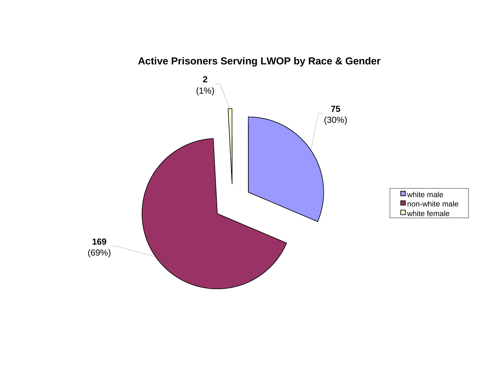

**Active Prisoners Serving LWOP by Race & Gender**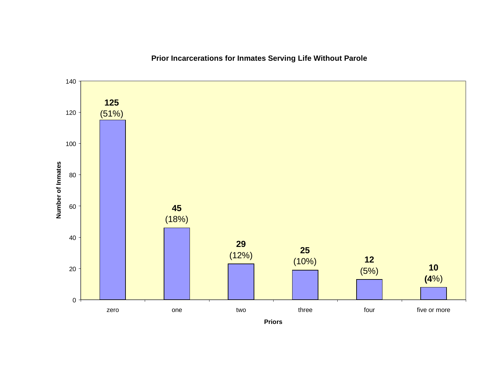

# **Prior Incarcerations for Inmates Serving Life Without Parole**

**Priors**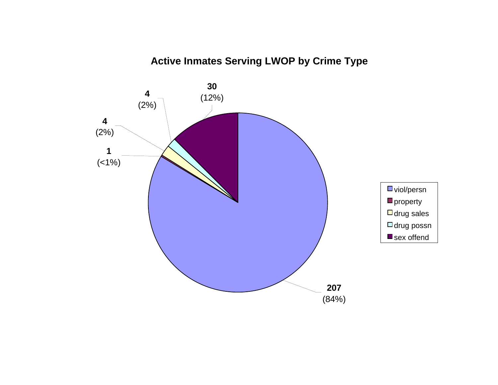# **Active Inmates Serving LWOP by Crime Type**

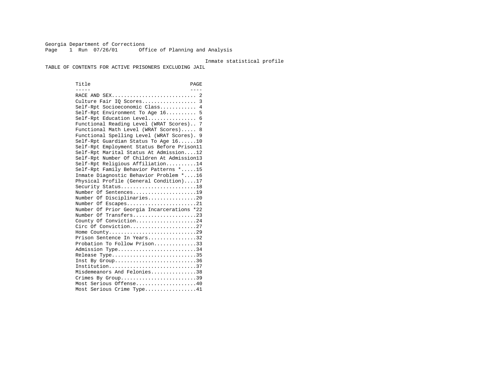Georgia Department of Corrections Page 1 Run 07/26/01 Office of Planning and Analysis

#### Inmate statistical profile

TABLE OF CONTENTS FOR ACTIVE PRISONERS EXCLUDING JAIL

Title PAGE ----- ---- RACE AND SEX............................ 2 Culture Fair IQ Scores.................. 3 Self-Rpt Socioeconomic Class............ 4 Self-Rpt Environment To Age 16.......... 5 Self-Rpt Education Level................ 6 Functional Reading Level (WRAT Scores).. 7 Functional Math Level (WRAT Scores)..... 8 Functional Spelling Level (WRAT Scores). 9 Self-Rpt Guardian Status To Age 16......10 Self-Rpt Employment Status Before Prison11 Self-Rpt Marital Status At Admission....12 Self-Rpt Number Of Children At Admission13 Self-Rpt Religious Affiliation..........14 Self-Rpt Family Behavior Patterns \*.....15 Inmate Diagnostic Behavior Problem \*....16 Physical Profile (General Condition)....17 Security Status...........................18 Number Of Sentences.....................19 Number Of Disciplinaries................20 Number Of Escapes........................21 Number Of Prior Georgia Incarcerations \*22 Number Of Transfers.....................23 County Of Conviction....................24 Circ Of Conviction......................27 Home County.............................29 Prison Sentence In Years.................32 Probation To Follow Prison..............33Admission Type............................34 Release Type..............................35 Inst By Group..............................36 Institution.............................37 Misdemeanors And Felonies...............38 Crimes By Group.............................39 Most Serious Offense....................40 Most Serious Crime Type.................41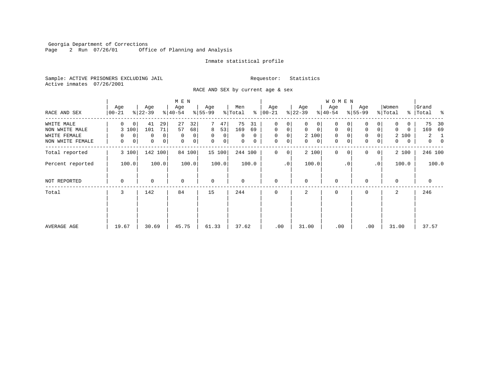Georgia Department of Corrections Page 2 Run 07/26/01 Office of Planning and Analysis

#### Inmate statistical profile

Sample: ACTIVE PRISONERS EXCLUDING JAIL **Requestor:** Statistics Active inmates 07/26/2001

RACE AND SEX by current age & sex

|                                                                  |                                                      |                                                               | M E N                                                         |                                                           |                                                  |                                                                              |                                                                           | <b>WOMEN</b>                                   |                                                                     |                                                       |                                                                      |
|------------------------------------------------------------------|------------------------------------------------------|---------------------------------------------------------------|---------------------------------------------------------------|-----------------------------------------------------------|--------------------------------------------------|------------------------------------------------------------------------------|---------------------------------------------------------------------------|------------------------------------------------|---------------------------------------------------------------------|-------------------------------------------------------|----------------------------------------------------------------------|
| RACE AND SEX                                                     | Age<br>$ 00-21 $                                     | Age<br>$ 22-39 $                                              | Age<br>$8 40-54$                                              | Age<br>$8 55-99$                                          | Men<br>% Total                                   | Age<br>$8   00 - 21$                                                         | Age<br>$ 22-39 $                                                          | Age<br>$ 40-54 $                               | Age<br>$8 55-99$                                                    | Women<br>% Total                                      | Grand<br>% Total %                                                   |
| WHITE MALE<br>NON WHITE MALE<br>WHITE FEMALE<br>NON WHITE FEMALE | $\Omega$<br>$\mathbf 0$<br>3 100<br>0<br>0<br>0<br>0 | 41<br>29<br>71<br>101<br>0<br>0<br>$\mathbf 0$<br>$\mathbf 0$ | 27<br>32<br>57<br>68<br>$\mathbf 0$<br>0<br>$\mathbf{0}$<br>0 | 47<br>8<br>53<br>$\mathbf 0$<br>$\overline{0}$<br>0<br> 0 | 75<br>31<br>169<br>69<br>$\Omega$<br>0<br>0<br>0 | $\mathbf 0$<br>0<br>$\mathbf 0$<br>0<br>$\mathbf 0$<br>0<br>0<br>$\mathbf 0$ | $\Omega$<br>0<br>$\mathbf 0$<br>$\mathbf 0$<br>2 100<br>$\mathbf{0}$<br>0 | 0<br>$\mathbf 0$<br>$\mathbf 0$<br>0<br>0<br>0 | $\mathbf 0$<br>$\overline{0}$<br>0<br>$\mathbf 0$<br>$\overline{0}$ | 0<br>0<br>$\Omega$<br>0<br>2 100<br>$\mathbf{0}$<br>0 | 75<br>30<br>169<br>69<br>$\overline{a}$<br>-1<br>$\overline{0}$<br>0 |
| Total reported                                                   | 3 100                                                | 142<br>100                                                    | 84 100                                                        | 15 100                                                    | 244 100                                          | $\mathbf 0$<br>0                                                             | 2 100                                                                     | $\mathbf{0}$<br>$\Omega$                       | $\Omega$<br>0 <sup>1</sup>                                          | 2 100                                                 | 246 100                                                              |
| Percent reported                                                 | 100.0                                                | 100.0                                                         | 100.0                                                         | 100.0                                                     | 100.0                                            | $\cdot$ 0                                                                    | 100.0                                                                     | $\cdot$ 0                                      | .0 <sup>1</sup>                                                     | 100.0                                                 | 100.0                                                                |
| NOT REPORTED                                                     | 0                                                    | 0                                                             | $\mathbf 0$                                                   | $\mathbf 0$                                               | 0                                                | $\mathbf 0$                                                                  | $\Omega$                                                                  | 0                                              | $\Omega$                                                            | $\Omega$                                              | $\mathbf 0$                                                          |
| Total                                                            | 3                                                    | 142                                                           | 84                                                            | 15                                                        | 244                                              | $\Omega$                                                                     | 2                                                                         | 0                                              | $\Omega$                                                            | 2                                                     | 246                                                                  |
| AVERAGE AGE                                                      | 19.67                                                | 30.69                                                         | 45.75                                                         | 61.33                                                     | 37.62                                            | .00                                                                          | 31.00                                                                     | .00                                            | .00                                                                 | 31.00                                                 | 37.57                                                                |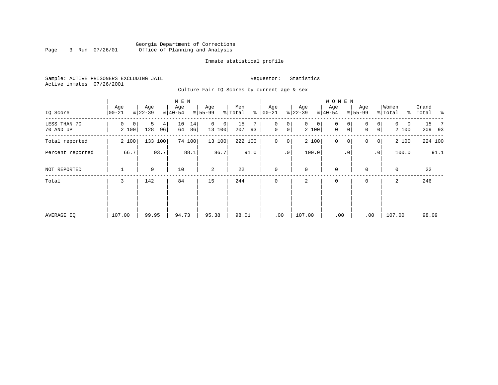### Georgia Department of Corrections Page 3 Run 07/26/01 Office of Planning and Analysis

#### Inmate statistical profile

Sample: ACTIVE PRISONERS EXCLUDING JAIL **Requestor:** Statistics Active inmates 07/26/2001

Culture Fair IQ Scores by current age & sex

|                           |                  |                                  | M E N                |                         |                      |                                     |                            | <b>WOMEN</b>     |                                        |                        |                                   |
|---------------------------|------------------|----------------------------------|----------------------|-------------------------|----------------------|-------------------------------------|----------------------------|------------------|----------------------------------------|------------------------|-----------------------------------|
| IQ Score                  | Age<br>$00 - 21$ | Age<br>$ 22-39 $                 | Age<br>$ 40-54 $     | Age<br>$8 55-99$        | Men<br>% Total<br>နွ | Age<br>$ 00 - 21 $                  | Age<br>$ 22-39$            | Age<br>$8 40-54$ | Age<br>$8 55-99$                       | Women<br>% Total       | Grand<br>ာ အေ<br>%   Total        |
| LESS THAN 70<br>70 AND UP | 0<br>0<br>2 100  | 5<br>4 <sup>1</sup><br>128<br>96 | 10<br>14<br>86<br>64 | $\Omega$<br>0<br>13 100 | 15<br>207<br>93      | 0<br>0<br>$\mathsf{O}\xspace$<br> 0 | $\mathbf{0}$<br>0<br>2 100 | 0<br>0<br>0<br>0 | $\overline{0}$<br>$\Omega$<br> 0 <br>0 | $\Omega$<br>0<br>2 100 | 15<br>$\overline{7}$<br>93<br>209 |
| Total reported            | 2 100            | 133 100                          | 74 100               | 13 100                  | 222 100              | $\mathbf 0$<br>$\overline{0}$       | 2 100                      | $\mathbf 0$<br>0 | 0<br> 0                                | 2 100                  | 224 100                           |
| Percent reported          | 66.7             | 93.7                             | 88.1                 | 86.7                    | 91.0                 | .0 <sup>1</sup>                     | 100.0                      | $\cdot$ 0        | $\cdot$ 0                              | 100.0                  | 91.1                              |
| NOT REPORTED              | 1                | 9                                | 10                   | 2                       | 22                   | $\mathbf 0$                         | $\mathbf 0$                | $\mathbf 0$      | $\Omega$                               | $\mathbf 0$            | 22                                |
| Total                     | 3                | 142                              | 84                   | 15                      | 244                  | $\mathbf 0$                         | 2                          | $\mathbf 0$      | 0                                      | 2                      | 246                               |
|                           |                  |                                  |                      |                         |                      |                                     |                            |                  |                                        |                        |                                   |
|                           |                  |                                  |                      |                         |                      |                                     |                            |                  |                                        |                        |                                   |
| AVERAGE IQ                | 107.00           | 99.95                            | 94.73                | 95.38                   | 98.01                | .00                                 | 107.00                     | .00              | .00                                    | 107.00                 | 98.09                             |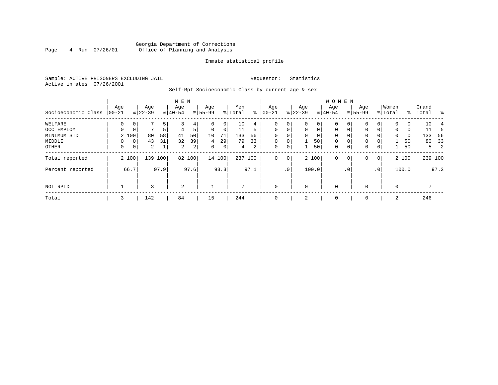### Georgia Department of Corrections<br>4 Run 07/26/01 Office of Planning and Analysis Page 4 Run 07/26/01 Office of Planning and Analysis

#### Inmate statistical profile

Sample: ACTIVE PRISONERS EXCLUDING JAIL **Requestor:** Statistics Active inmates 07/26/2001

Self-Rpt Socioeconomic Class by current age & sex

|                     |          |                |           |      | M E N     |                |             |             |                |      |              |                 |             |             | <b>WOMEN</b> |                 |             |                 |             |       |           |         |
|---------------------|----------|----------------|-----------|------|-----------|----------------|-------------|-------------|----------------|------|--------------|-----------------|-------------|-------------|--------------|-----------------|-------------|-----------------|-------------|-------|-----------|---------|
|                     | Age      |                | Age       |      | Age       |                | Age         |             | Men            |      | Age          |                 | Age         |             | Age          |                 | Age         |                 | Women       |       | Grand     |         |
| Socioeconomic Class | $ 00-21$ |                | $ 22-39 $ |      | $8 40-54$ |                | $8155 - 99$ |             | % Total        | နွ   | $00 - 21$    |                 | $ 22-39 $   |             | $8 40-54$    |                 | $8155 - 99$ |                 | % Total     |       | %   Total | ႜ       |
| WELFARE             | 0        |                |           | 5    |           | 4              | 0           | 0           | 10             | 4    | 0            | 0               | $\mathbf 0$ | 0           | 0            |                 | $\Omega$    |                 | $\Omega$    | 0     | 10        |         |
| OCC EMPLOY          | $\Omega$ | $\mathbf 0$    | 7         | 5    | 4         | 5              | $\mathbf 0$ | 0           | 11             | 5    | $\mathbf{0}$ | $\mathbf 0$     | $\mathbf 0$ | $\mathbf 0$ | $\Omega$     | $\Omega$        | $\Omega$    | 0               | $\mathbf 0$ | 0     | 11        | 5       |
| MINIMUM STD         |          | 2 100          | 80        | 58   | 41        | 50             | 10          | 71          | 133            | 56   | $\Omega$     |                 | 0           | 0           | 0            | 0               | 0           |                 | 0           | 0     | 133       | - 56    |
| MIDDLE              |          | 0 <sup>1</sup> | 43        | 31   | 32        | 39             | 4           | 29          | 79             | 33   | $\mathbf 0$  | $\mathbf 0$     |             | 50          | $\mathbf 0$  | $\mathbf 0$     | 0           |                 |             | 50    | 80        | 33      |
| OTHER               | 0        | 0 <sup>1</sup> | 2         | 1    | 2         | $\overline{a}$ | $\mathbf 0$ | $\mathbf 0$ | $\overline{4}$ | 2    | 0            | 0               | 1           | 50          | $\mathbf 0$  | $\mathbf 0$     | 0           | 0               |             | 50    | 5         | 2       |
| Total reported      |          | 2 100          | 139 100   |      |           | 82 100         |             | 14 100      | 237 100        |      | $\mathbf{0}$ | 0               |             | 2 100       | $\mathbf 0$  | 0               | 0           | 0               |             | 2 100 |           | 239 100 |
| Percent reported    |          | 66.7           |           | 97.9 |           | 97.6           |             | 93.3        |                | 97.1 |              | .0 <sup>1</sup> |             | 100.0       |              | .0 <sup>°</sup> |             | .0 <sup>1</sup> |             | 100.0 |           | 97.2    |
| NOT RPTD            |          |                | 3         |      | 2         |                |             |             | 7              |      | $\mathbf{0}$ |                 | $\mathbf 0$ |             | $\mathbf 0$  |                 | $\Omega$    |                 | $\Omega$    |       |           |         |
| Total               | 3        |                | 142       |      | 84        |                | 15          |             | 244            |      | $\mathbf 0$  |                 | 2           |             | $\mathbf 0$  |                 | 0           |                 | 2           |       | 246       |         |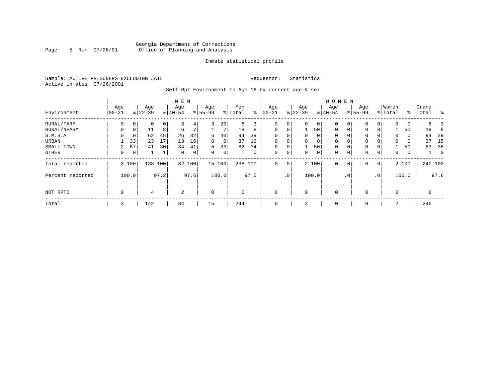### Georgia Department of Corrections Page 5 Run 07/26/01 Office of Planning and Analysis

#### Inmate statistical profile

Sample: ACTIVE PRISONERS EXCLUDING JAIL **Requestor:** Statistics Active inmates 07/26/2001

Self-Rpt Environment To Age 16 by current age & sex

|                  |                   |             |                  |      | M E N            |      |                 |        |                |      |                   |             |                  |          | <b>WOMEN</b>     |           |                    |                 |                  |       |                |             |
|------------------|-------------------|-------------|------------------|------|------------------|------|-----------------|--------|----------------|------|-------------------|-------------|------------------|----------|------------------|-----------|--------------------|-----------------|------------------|-------|----------------|-------------|
| Environment      | Age<br>$ 00 - 21$ |             | Age<br>$8 22-39$ |      | Age<br>$8 40-54$ |      | Age<br>$ 55-99$ |        | Men<br>% Total | နွ   | Age<br>$ 00 - 21$ |             | Age<br>$ 22-39 $ |          | Age<br>$8 40-54$ |           | Age<br>$8155 - 99$ |                 | Women<br>% Total | ွေ    | Grand<br>Total | ႜ           |
| RURAL/FARM       | 0                 | 0           | 0                | 0    | 3                | 4    | 3               | 20     | 6              | 3    | $\mathbf 0$       | 0           | $\Omega$         | 0        | 0                |           | 0                  | 0               | 0                | 0     | 6              |             |
| RURAL/NFARM      | $\Omega$          | $\Omega$    | 11               | 8    | 6                | 7    |                 |        | 18             | 8    | $\mathbf 0$       | 0           |                  | 50       | $\mathbf 0$      | 0         | $\Omega$           | 0               |                  | 50    | 19             | 8           |
| S.M.S.A          |                   | $\mathbf 0$ | 62               | 45   | 26               | 32   | 6               | 40     | 94             | 39   | $\mathbf 0$       | 0           | 0                | 0        | 0                |           | 0                  | 0               | 0                | 0     | 94             | 39          |
| URBAN            |                   | 33          | 23               | 17   | 13               | 16   | $\Omega$        | 0      | 37             | 16   | $\mathbf 0$       | 0           | $\Omega$         | $\Omega$ | $\mathbf 0$      |           | 0                  | 0               | 0                | 0     | 37             | 15          |
| SMALL TOWN       | 2                 | 67          | 41               | 30   | 34               | 41   | 5               | 33     | 82             | 34   | $\mathbf 0$       | 0           |                  | 50       | 0                |           | 0                  | 0               |                  | 50    | 83             | 35          |
| OTHER            | 0                 | $\mathbf 0$ |                  | 1    | $\mathbf 0$      | 0    | $\Omega$        | 0      |                | 0    | $\mathbf 0$       | 0           | 0                | 0        | 0                |           | 0                  | 0               | 0                | 0     |                | $\mathbf 0$ |
| Total reported   |                   | 3 100       | 138              | 100  | 82               | 100  |                 | 15 100 | 238 100        |      | $\mathbf 0$       | $\mathbf 0$ |                  | 2 100    | $\mathbf 0$      | 0         | 0                  | 0               |                  | 2 100 |                | 240 100     |
| Percent reported |                   | 100.0       |                  | 97.2 |                  | 97.6 |                 | 100.0  |                | 97.5 |                   | $\cdot$ 0   |                  | 100.0    |                  | $\cdot$ 0 |                    | .0 <sup>1</sup> |                  | 100.0 |                | 97.6        |
| NOT RPTD         | $\mathbf 0$       |             | 4                |      | 2                |      | $\mathbf 0$     |        | 6              |      | $\mathbf 0$       |             | $\Omega$         |          | $\mathbf 0$      |           | $\Omega$           |                 | 0                |       | 6              |             |
| Total            | 3                 |             | 142              |      | 84               |      | 15              |        | 244            |      | $\mathbf 0$       |             | 2                |          | 0                |           | $\mathbf 0$        |                 | 2                |       | 246            |             |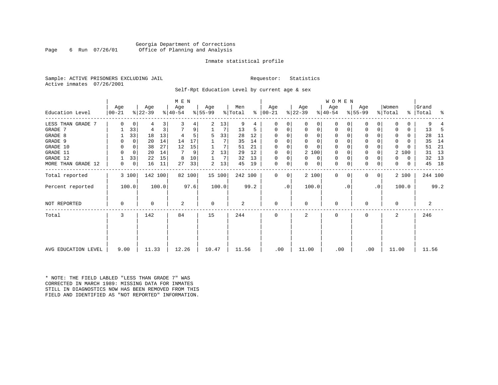#### Georgia Department of Corrections Page 6 Run 07/26/01 Office of Planning and Analysis

#### Inmate statistical profile

Sample: ACTIVE PRISONERS EXCLUDING JAIL **Requestor:** Statistics Active inmates 07/26/2001

Self-Rpt Education Level by current age & sex

|                     |                  |                  | M E N            |                  |                      |                               |                      | W O M E N               |                     |                      |                         |
|---------------------|------------------|------------------|------------------|------------------|----------------------|-------------------------------|----------------------|-------------------------|---------------------|----------------------|-------------------------|
| Education Level     | Age<br>$ 00-21 $ | Age<br>$ 22-39 $ | Age<br>$ 40-54 $ | Age<br>$ 55-99 $ | Men<br>% Total<br>ႜၟ | Age<br>$ 00-21 $              | Age<br>$ 22-39 $     | Age<br>$ 40-54 $        | Age<br>$8 55-99$    | Women<br>% Total     | Grand<br>%   Total<br>း |
| LESS THAN GRADE 7   | $\Omega$<br>0    | 3<br>4           |                  | 13<br>2          | 9<br>4               | $\Omega$                      | $\Omega$<br>0        | 0<br>O                  | 0<br>0              | n<br>0               |                         |
| GRADE 7             | 33               | 4                | 9                | 7                | 13<br>5              | 0<br>0                        | 0<br>0               | 0                       | 0<br>0              | $\Omega$<br>0        | 13<br>-5                |
| GRADE 8             | 33               | 18<br>13         |                  | 33<br>5          | 12<br>28             | O                             | 0<br>$\Omega$        | 0                       | 0                   | 0<br>n               | 28<br>-11               |
| GRADE 9             | $\Omega$         | 20<br>14         | 14<br>17         | 7                | 35<br>14             |                               | $\Omega$<br>$\Omega$ | 0                       | 0                   | $\Omega$<br>0        | 14<br>35                |
| GRADE 10            | 0<br>0           | 27<br>38         | 12<br>15         | 7                | 21<br>51             | $\Omega$<br>$\Omega$          | $\Omega$<br>$\Omega$ | 0<br>$\Omega$           | $\mathbf 0$         | 0<br>0               | -21<br>51               |
| GRADE 11            | 0<br>$\Omega$    | 20<br>14         | 7<br>9           | 13<br>2          | 29<br>12             | $\Omega$                      | 2 100                | 0                       | $\Omega$            | 2<br>100             | 13<br>31                |
| GRADE 12            | 33               | 22<br>15         | 10<br>8          | 7                | 32<br>13             | 0<br>$\Omega$                 | 0<br>$\Omega$        | 0<br>$\Omega$           | $\mathbf 0$         | $\Omega$<br>$\Omega$ | 13<br>32                |
| MORE THAN GRADE 12  | 0<br>0           | 16<br>11         | 33<br>27         | 13<br>2          | 45<br>19             | $\overline{0}$<br>$\mathbf 0$ | 0<br>0               | $\mathbf{0}$<br>0       | $\mathbf 0$<br>0    | 0<br>0               | 18<br>45                |
| Total reported      | 3 100            | 142 100          | 82 100           | 15 100           | 242 100              | $\Omega$<br>$\Omega$          | 2 100                | $\mathbf 0$<br>$\Omega$ | 0<br>0 <sup>1</sup> | 2 100                | 244 100                 |
| Percent reported    | 100.0            | 100.0            | 97.6             | 100.0            | 99.2                 | $\cdot$ 0                     | 100.0                | . 0                     | $\cdot$ 0           | 100.0                | 99.2                    |
| NOT REPORTED        | 0                | 0                | 2                | $\mathbf 0$      | $\overline{a}$       | $\Omega$                      | $\Omega$             | $\Omega$                | O                   | 0                    | 2                       |
| Total               | 3                | 142              | 84               | 15               | 244                  |                               | $\mathfrak{D}$       | $\Omega$                | O                   | $\overline{2}$       | 246                     |
|                     |                  |                  |                  |                  |                      |                               |                      |                         |                     |                      |                         |
| AVG EDUCATION LEVEL | 9.00             | 11.33            | 12.26            | 10.47            | 11.56                | .00                           | 11.00                | .00                     | .00                 | 11.00                | 11.56                   |

\* NOTE: THE FIELD LABLED "LESS THAN GRADE 7" WAS CORRECTED IN MARCH 1989: MISSING DATA FOR INMATES STILL IN DIAGNOSTICS NOW HAS BEEN REMOVED FROM THIS FIELD AND IDENTIFIED AS "NOT REPORTED" INFORMATION.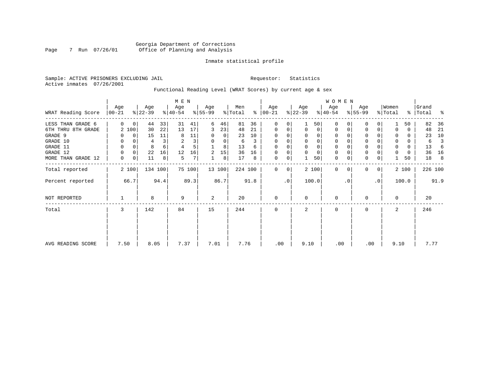### Georgia Department of Corrections Page 7 Run 07/26/01 Office of Planning and Analysis

#### Inmate statistical profile

Sample: ACTIVE PRISONERS EXCLUDING JAIL **Requestor:** Statistics Active inmates 07/26/2001

Functional Reading Level (WRAT Scores) by current age & sex

|                    |                   |          |                  |         | M E N            |        |                  |        |                |      |                      |           |                  |                | <b>WOMEN</b>     |           |                  |           |                  |       |                |         |
|--------------------|-------------------|----------|------------------|---------|------------------|--------|------------------|--------|----------------|------|----------------------|-----------|------------------|----------------|------------------|-----------|------------------|-----------|------------------|-------|----------------|---------|
| WRAT Reading Score | Age<br>$ 00 - 21$ |          | Age<br>$ 22-39 $ |         | Age<br>$ 40-54 $ |        | Age<br>$8 55-99$ |        | Men<br>% Total |      | Age<br>$8   00 - 21$ |           | Age<br>$ 22-39 $ |                | Age<br>$ 40-54 $ |           | Age<br>$ 55-99 $ |           | Women<br>% Total | ွေ    | Grand<br>Total | န္      |
| LESS THAN GRADE 6  | 0                 | 0        | 44               | 33      | 31               | 41     | 6                | 46     | 81             | 36   | $\Omega$             | 0         |                  | 50             | $\Omega$         |           | 0                | 0         |                  | 50    | 82             | 36      |
| 6TH THRU 8TH GRADE |                   | 2 100    | 30               | 22      | 13               | 17     | 3                | 23     | 48             | 21   | $\mathbf 0$          | 0         | $\Omega$         | $\overline{0}$ | 0                |           | 0                | 0         |                  | 0     | 48             | 21      |
| GRADE 9            |                   | 0        | 15               | 11      | 8                | 11     |                  | 0      | 23             | 10   | 0                    |           |                  |                |                  |           | 0                |           |                  | 0     | 23             | 10      |
| GRADE 10           | 0                 | 0        | 4                |         | 2                | 3      | 0                | 0      | 6              | 3    | $\mathbf 0$          | 0         |                  | $\Omega$       | 0                |           | $\mathbf 0$      |           | 0                | 0     | 6              |         |
| GRADE 11           | 0                 | $\Omega$ | 8                |         |                  | 5      |                  | 8      | 13             | 6    |                      |           |                  |                |                  |           | $\mathbf 0$      |           |                  | 0     | 13             | 6       |
| GRADE 12           | $\Omega$          | 0        | 22               | 16      | 12               | 16     | 2                | 15     | 36             | 16   | $\Omega$             | 0         |                  |                | 0                |           | $\mathbf 0$      |           | 0                | 0     | 36             | 16      |
| MORE THAN GRADE 12 | 0                 | 0        | 11               | 8       | 5                | 7      |                  | 8      | 17             | 8    | 0                    | 0         |                  | 50             | $\mathbf 0$      | 0         | $\mathbf 0$      | 0         |                  | 50    | 18             | 8       |
| Total reported     |                   | 2 100    |                  | 134 100 |                  | 75 100 |                  | 13 100 | 224 100        |      | $\Omega$             | 0         |                  | 2 100          | $\mathbf 0$      | $\Omega$  | $\mathbf 0$      | 0         |                  | 2 100 |                | 226 100 |
| Percent reported   |                   | 66.7     |                  | 94.4    |                  | 89.3   |                  | 86.7   |                | 91.8 |                      | $\cdot$ 0 |                  | 100.0          |                  | $\cdot$ 0 |                  | $\cdot$ 0 |                  | 100.0 |                | 91.9    |
| NOT REPORTED       |                   |          | 8                |         | 9                |        | 2                |        | 20             |      | $\mathbf 0$          |           | $\Omega$         |                | 0                |           | 0                |           | $\Omega$         |       | 20             |         |
| Total              | 3                 |          | 142              |         | 84               |        | 15               |        | 244            |      | $\mathbf 0$          |           | 2                |                | 0                |           | 0                |           | 2                |       | 246            |         |
|                    |                   |          |                  |         |                  |        |                  |        |                |      |                      |           |                  |                |                  |           |                  |           |                  |       |                |         |
| AVG READING SCORE  | 7.50              |          | 8.05             |         | 7.37             |        | 7.01             |        | 7.76           |      | .00                  |           | 9.10             |                | .00              |           | .00              |           | 9.10             |       | 7.77           |         |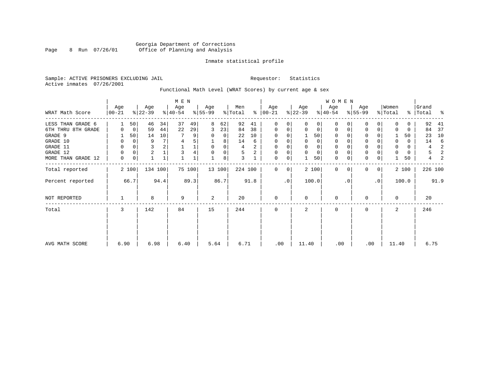### Georgia Department of Corrections Page 8 Run 07/26/01 Office of Planning and Analysis

#### Inmate statistical profile

Sample: ACTIVE PRISONERS EXCLUDING JAIL **Requestor:** Statistics Active inmates 07/26/2001

Functional Math Level (WRAT Scores) by current age & sex

|                    |                 |       |                  |         | M E N            |        |                  |        |                |      |                  |             |                  |       | <b>WOMEN</b>     |          |                  |              |                  |       |                    |      |
|--------------------|-----------------|-------|------------------|---------|------------------|--------|------------------|--------|----------------|------|------------------|-------------|------------------|-------|------------------|----------|------------------|--------------|------------------|-------|--------------------|------|
| WRAT Math Score    | Age<br>$ 00-21$ |       | Age<br>$ 22-39 $ |         | Age<br>$ 40-54 $ |        | Age<br>$8 55-99$ |        | Men<br>% Total | ⊱    | Age<br>$ 00-21 $ |             | Age<br>$ 22-39 $ |       | Age<br>$ 40-54 $ |          | Age<br>$8 55-99$ |              | Women<br>% Total |       | Grand<br>%   Total | း    |
| LESS THAN GRADE 6  |                 | 50    | 46               | 34      | 37               | 49     | 8                | 62     | 92             | 41   | $\mathbf 0$      | 0           | $\Omega$         | 0     | $\mathbf 0$      | $\Omega$ | $\Omega$         | $\Omega$     | <sup>0</sup>     | 0     | 92                 | 41   |
| 6TH THRU 8TH GRADE | 0               | 0     | 59               | 44      | 22               | 29     | 3                | 23     | 84             | 38   | 0                | 0           | $\mathbf 0$      | 0     | 0                | 0        | 0                | 0            |                  | 0     | 84                 | 37   |
| GRADE 9            |                 | 50    | 14               | 10      |                  | 9      | 0                | 0      | 22             | 10   | 0                |             |                  | 50    | 0                |          | 0                |              |                  | 50    | 23                 | 10   |
| GRADE 10           | 0               | 0     | 9                |         | 4                | 5      |                  | 8      | 14             | 6    | 0                |             | 0                | 0     | 0                |          | 0                |              | $\Omega$         | 0     | 14                 | -6   |
| GRADE 11           | 0               |       | 3                |         |                  |        | $\Omega$         | 0      | 4              | 2    | $\Omega$         |             |                  | 0     | $\mathbf 0$      |          | $\Omega$         |              |                  | 0     | 4                  | 2    |
| GRADE 12           | 0               | 0     | 2                |         | 3                |        | $\Omega$         | 0      | 5              | 2    | 0                | 0           | $\mathbf 0$      | 0     | $\mathbf 0$      |          | 0                |              | $\Omega$         | 0     | 5                  | 2    |
| MORE THAN GRADE 12 | 0               | 0     |                  | 1       |                  |        |                  | 8      | 3              |      | $\mathbf 0$      | 0           |                  | 50    | $\mathbf 0$      | 0        | $\mathbf 0$      | 0            |                  | 50    | 4                  | 2    |
| Total reported     |                 | 2 100 |                  | 134 100 |                  | 75 100 |                  | 13 100 | 224 100        |      | $\mathbf{0}$     | $\mathbf 0$ |                  | 2 100 | $\Omega$         | $\Omega$ | $\Omega$         | $\mathbf{0}$ |                  | 2 100 | 226 100            |      |
| Percent reported   |                 | 66.7  |                  | 94.4    |                  | 89.3   |                  | 86.7   |                | 91.8 |                  | $\cdot$ 0   |                  | 100.0 |                  | . 0      |                  | $\cdot$ 0    |                  | 100.0 |                    | 91.9 |
| NOT REPORTED       |                 |       | 8                |         | 9                |        | 2                |        | 20             |      | $\mathbf{0}$     |             | $\mathbf 0$      |       | $\mathbf 0$      |          | $\Omega$         |              | $\Omega$         |       | 20                 |      |
| Total              | 3               |       | 142              |         | 84               |        | 15               |        | 244            |      | $\mathbf 0$      |             | 2                |       | 0                |          | 0                |              | 2                |       | 246                |      |
|                    |                 |       |                  |         |                  |        |                  |        |                |      |                  |             |                  |       |                  |          |                  |              |                  |       |                    |      |
| AVG MATH SCORE     | 6.90            |       | 6.98             |         | 6.40             |        | 5.64             |        | 6.71           |      | .00              |             | 11.40            |       | .00              |          | .00              |              | 11.40            |       | 6.75               |      |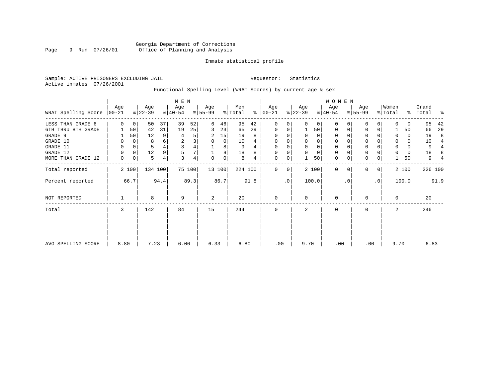#### Inmate statistical profile

Sample: ACTIVE PRISONERS EXCLUDING JAIL **Requestor:** Statistics Active inmates 07/26/2001

### Functional Spelling Level (WRAT Scores) by current age & sex

|                     |                  |             |                  |         | M E N            |        |                  |             |                |      |                   |           |                  |             | W O M E N        |          |                  |                |                  |       |                    |                          |
|---------------------|------------------|-------------|------------------|---------|------------------|--------|------------------|-------------|----------------|------|-------------------|-----------|------------------|-------------|------------------|----------|------------------|----------------|------------------|-------|--------------------|--------------------------|
| WRAT Spelling Score | Age<br>$00 - 21$ |             | Age<br>$ 22-39 $ |         | Age<br>$ 40-54 $ |        | Age<br>$ 55-99 $ |             | Men<br>% Total | ⊱    | Age<br>$ 00 - 21$ |           | Age<br>$ 22-39 $ |             | Age<br>$ 40-54 $ |          | Age<br>$8 55-99$ |                | Women<br>% Total |       | Grand<br>%   Total | ႜ                        |
| LESS THAN GRADE 6   | $\Omega$         | $\mathbf 0$ | 50               | 37      | 39               | 52     | 6                | 46          | 95             | 42   | $\mathbf 0$       | 0         | $\Omega$         | $\Omega$    | $\Omega$         | $\Omega$ | $\Omega$         | $\Omega$       |                  | 0     | 95                 | 42                       |
| 6TH THRU 8TH GRADE  |                  | 50          | 42               | 31      | 19               | 25     | 3                | 23          | 65             | 29   | $\mathbf 0$       | 0         |                  | 50          | $\mathbf 0$      | 0        | 0                | 0              |                  | 50    | 66                 | 29                       |
| GRADE 9             |                  | 50          | 12               | 9       | 4                | 5      | 2                | 15          | 19             | 8    | $\mathbf 0$       | 0         |                  | 0           | $\mathbf 0$      |          | $\Omega$         |                | 0                | 0     | 19                 | 8                        |
| GRADE 10            | 0                | 0           | 8                | 6       | $\overline{c}$   | 3      | 0                | 0           | 10             | 4    | $\mathbf 0$       | 0         | $\mathbf 0$      | 0           | $\mathbf 0$      |          | $\mathbf 0$      |                | $\mathbf 0$      | 0     | 10                 | $\overline{4}$           |
| GRADE 11            | 0                | 0           | 5                |         | 3                | 4      |                  | 8           | 9              |      | $\mathbf{0}$      |           |                  | $\mathbf 0$ | $\mathbf 0$      |          | $\mathbf 0$      |                |                  | 0     | 9                  | $\overline{4}$           |
| GRADE 12            | 0                | 0           | 12               | 9       | 5                | 7      |                  | 8           | 18             | 8    | $\mathbf 0$       | 0         | $\Omega$         | $\mathbf 0$ | 0                |          | 0                |                | 0                | 0     | 18                 | 8                        |
| MORE THAN GRADE 12  | 0                | 0           | 5                | 4       | 3                | 4      | $\Omega$         | $\mathbf 0$ | 8              | 4    | 0                 | 0         |                  | 50          | $\mathbf 0$      | 0        | $\mathbf 0$      | 0              |                  | 50    | 9                  | $\overline{\mathcal{L}}$ |
| Total reported      |                  | 2 100       |                  | 134 100 |                  | 75 100 |                  | 13 100      | 224 100        |      | $\mathbf 0$       | 0         |                  | 2 100       | $\mathbf 0$      | $\Omega$ | $\Omega$         | $\overline{0}$ |                  | 2 100 | 226 100            |                          |
| Percent reported    |                  | 66.7        |                  | 94.4    |                  | 89.3   |                  | 86.7        |                | 91.8 |                   | $\cdot$ 0 |                  | 100.0       |                  | . 0      |                  | $\cdot$ 0      |                  | 100.0 |                    | 91.9                     |
| <b>NOT REPORTED</b> |                  |             | 8                |         | 9                |        | 2                |             | 20             |      | $\mathbf{0}$      |           | $\Omega$         |             | $\mathbf 0$      |          | $\Omega$         |                | $\Omega$         |       | 20                 |                          |
| Total               | 3                |             | 142              |         | 84               |        | 15               |             | 244            |      | $\mathbf 0$       |           | 2                |             | $\mathbf 0$      |          | 0                |                | 2                |       | 246                |                          |
|                     |                  |             |                  |         |                  |        |                  |             |                |      |                   |           |                  |             |                  |          |                  |                |                  |       |                    |                          |
| AVG SPELLING SCORE  | 8.80             |             | 7.23             |         | 6.06             |        | 6.33             |             | 6.80           |      | .00               |           | 9.70             |             | .00              |          | .00              |                | 9.70             |       | 6.83               |                          |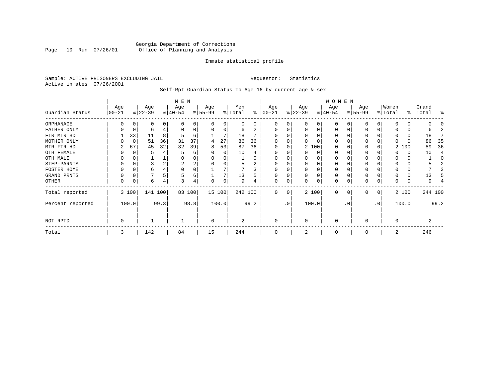#### Georgia Department of Corrections Page 10 Run 07/26/01 Office of Planning and Analysis

#### Inmate statistical profile

Sample: ACTIVE PRISONERS EXCLUDING JAIL **Requestor:** Statistics Active inmates 07/26/2001

Self-Rpt Guardian Status To Age 16 by current age & sex

|                  |                  |       |                  |      | M E N            |        |                 |          |                |      |                 |                 |                  |          | WOMEN            |          |                  |    |                  |       |                    |         |
|------------------|------------------|-------|------------------|------|------------------|--------|-----------------|----------|----------------|------|-----------------|-----------------|------------------|----------|------------------|----------|------------------|----|------------------|-------|--------------------|---------|
| Guardian Status  | Age<br>$00 - 21$ |       | Age<br>$ 22-39 $ |      | Age<br>$ 40-54 $ |        | Age<br>$ 55-99$ |          | Men<br>% Total | ႜ    | Age<br>$ 00-21$ |                 | Age<br>$ 22-39 $ |          | Age<br>$ 40-54 $ |          | Age<br>$8 55-99$ |    | Women<br>% Total |       | Grand<br>%   Total | ႜ       |
| ORPHANAGE        |                  |       | 0                | 0    | n                | 0      |                 | O        | 0              | 0    | 0               | 0               |                  | 0        | $\Omega$         |          | O                |    |                  |       |                    |         |
| FATHER ONLY      | 0                | 0     | 6                |      | <sup>0</sup>     | 0      | $\Omega$        | $\Omega$ | 6              | 2    | $\Omega$        | 0               | O                | $\Omega$ | $\Omega$         |          | $\Omega$         |    |                  |       | b                  |         |
| FTR MTR HD       |                  | 33    | 11               | 8    |                  | 6      |                 |          | 18             |      |                 |                 |                  |          | O                |          | O                |    |                  |       | 18                 |         |
| MOTHER ONLY      |                  | 0     | 51               | 36   | 31               | 37     | 4               | 27       | 86             | 36   |                 |                 |                  |          | O                |          | 0                |    |                  |       | 86                 | 35      |
| MTR FTR HD       | 2                | 67    | 45               | 32   | 32               | 39     | 8               | 53       | 87             | 36   | $\Omega$        |                 |                  | 2 100    | $\Omega$         |          | <sup>0</sup>     |    |                  | 2 100 | 89                 | 36      |
| OTH FEMALE       |                  | C     |                  |      |                  | 6      |                 | $\Omega$ | 10             |      |                 |                 | ∩                | 0        | 0                |          | 0                |    |                  | 0     | 10                 |         |
| OTH MALE         |                  |       |                  |      |                  | 0      |                 |          |                |      |                 |                 |                  |          | 0                |          |                  |    |                  |       |                    | C       |
| STEP-PARNTS      | 0                | C     | 3                |      | 2                | 2      |                 |          | 5              | 2    | $\Omega$        |                 |                  |          | 0                |          | 0                |    |                  | 0     |                    |         |
| FOSTER HOME      |                  | C     | 6                |      | $\Omega$         | 0      |                 |          |                |      | $\Omega$        |                 |                  |          | 0                |          | $\Omega$         |    |                  |       |                    |         |
| GRAND PRNTS      | 0                | C     |                  |      | 5                | 6      |                 |          | 13             | 5    | $\Omega$        | 0               | $\Omega$         | $\Omega$ | 0                |          | 0                |    |                  |       | 13                 |         |
| OTHER            | 0                | C     | 6                | 4    | 3                | 4      |                 | $\Omega$ | 9              |      | $\mathbf 0$     | 0               |                  | $\Omega$ | 0                |          | $\Omega$         |    |                  |       | 9                  |         |
| Total reported   |                  | 3 100 | 141 100          |      |                  | 83 100 |                 | 15 100   | 242 100        |      | $\Omega$        | 0               |                  | 2 100    | 0                | $\Omega$ | $\Omega$         | 0  |                  | 2 100 |                    | 244 100 |
| Percent reported |                  | 100.0 |                  | 99.3 |                  | 98.8   |                 | 100.0    |                | 99.2 |                 | .0 <sup>′</sup> |                  | 100.0    |                  | . 0      |                  | .0 |                  | 100.0 |                    | 99.2    |
| NOT RPTD         | 0                |       |                  |      |                  |        | $\Omega$        |          | 2              |      | $\mathbf 0$     |                 | $\Omega$         |          | 0                |          | $\Omega$         |    | O                |       | 2                  |         |
| Total            | 3                |       | 142              |      | 84               |        | 15              |          | 244            |      | $\Omega$        |                 |                  |          | 0                |          |                  |    | 2                |       | 246                |         |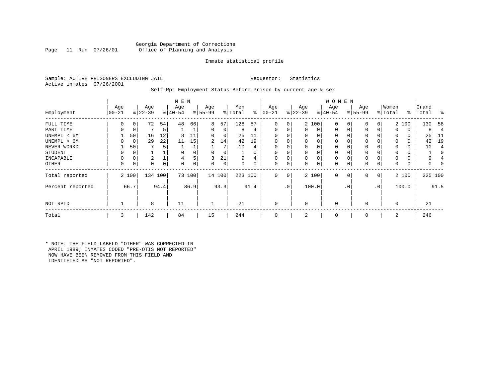#### Georgia Department of Corrections Office of Planning and Analysis

#### Inmate statistical profile

Sample: ACTIVE PRISONERS EXCLUDING JAIL **Requestor:** Statistics Active inmates 07/26/2001

#### Self-Rpt Employment Status Before Prison by current age & sex

|                  |                  |       |                  |      | M E N            |        |                 |        |                |          |                 |     |                  |          | <b>WOMEN</b>     |             |                    |              |                  |       |                    |                          |
|------------------|------------------|-------|------------------|------|------------------|--------|-----------------|--------|----------------|----------|-----------------|-----|------------------|----------|------------------|-------------|--------------------|--------------|------------------|-------|--------------------|--------------------------|
| Employment       | Age<br>$00 - 21$ |       | Age<br>$ 22-39 $ |      | Age<br>$ 40-54 $ |        | Age<br>$ 55-99$ |        | Men<br>% Total | ⊱        | Age<br>$ 00-21$ |     | Age<br>$ 22-39 $ |          | Age<br>$ 40-54 $ |             | Age<br>$8155 - 99$ |              | Women<br>% Total |       | Grand<br>%   Total | ႜ                        |
| FULL TIME        | 0                | 0     | 72               | 54   | 48               | 66     | 8               | 57     | 128            | 57       | 0               | 0   |                  | 2 100    | $\mathbf 0$      | $\Omega$    | 0                  | 0            |                  | 2 100 | 130                | 58                       |
| PART TIME        | 0                | 0     |                  | 5    |                  |        | 0               | 0      | 8              | 4        | 0               | 0   | $\mathbf{0}$     | 0        | $\mathbf 0$      | $\mathbf 0$ | 0                  |              | $\Omega$         | 0     | 8                  | 4                        |
| UNEMPL < 6M      |                  | 50    | 16               | 12   | 8                | 11     | 0               | 0      | 25             | 11       |                 |     | 0                | 0        | 0                |             | $\Omega$           |              |                  | 0     | 25                 | -11                      |
| UNEMPL > 6M      |                  | 0     | 29               | 22   | 11               | 15     | 2               | 14     | 42             | 19       | $\Omega$        |     | $\Omega$         | $\Omega$ | $\Omega$         |             | $\Omega$           |              |                  | 0     | 42                 | 19                       |
| NEVER WORKD      |                  | 50    |                  | 5.   |                  |        |                 | 7      | 10             | 4        |                 |     | 0                |          | $\mathbf 0$      |             | $\Omega$           |              |                  | 0     | 10                 | $\overline{\mathcal{L}}$ |
| <b>STUDENT</b>   | O                | 0     |                  |      | 0                |        | $\Omega$        | 0      |                | $\Omega$ | $\Omega$        |     | 0                | $\Omega$ | $\mathbf 0$      | 0           | 0                  |              | <sup>0</sup>     | 0     |                    | C                        |
| INCAPABLE        | $\Omega$         | 0     | 2                |      | 4                | 5      | 3               | 21     | 9              | 4        |                 |     | 0                | $\Omega$ | $\mathbf 0$      |             | $\Omega$           |              |                  |       | 9                  |                          |
| OTHER            | $\Omega$         | 0     | 0                | 0    | 0                | 0      | 0               | 0      | 0              | 0        | 0               | 0   | 0                | 0        | 0                | $\Omega$    | 0                  | 0            | $\Omega$         | 0     | 0                  |                          |
| Total reported   |                  | 2 100 | 134 100          |      |                  | 73 100 |                 | 14 100 | 223 100        |          | 0               | 0   |                  | 2 100    | $\mathbf 0$      | $\mathbf 0$ | 0                  | $\mathbf{0}$ |                  | 2 100 | 225 100            |                          |
| Percent reported |                  | 66.7  |                  | 94.4 |                  | 86.9   |                 | 93.3   |                | 91.4     |                 | .0' |                  | 100.0    |                  | . 0         |                    | .0           |                  | 100.0 |                    | 91.5                     |
| NOT RPTD         |                  |       | 8                |      | 11               |        |                 |        | 21             |          |                 |     | $\Omega$         |          | $\mathbf 0$      |             | $\Omega$           |              | $\Omega$         |       | 21                 |                          |
| Total            | 3                |       | 142              |      | 84               |        | 15              |        | 244            |          | $\Omega$        |     | 2                |          | $\mathbf 0$      |             | $\Omega$           |              | 2                |       | 246                |                          |

\* NOTE: THE FIELD LABELD "OTHER" WAS CORRECTED IN APRIL 1989; INMATES CODED "PRE-OTIS NOT REPORTED" NOW HAVE BEEN REMOVED FROM THIS FIELD AND IDENTIFIED AS "NOT REPORTED".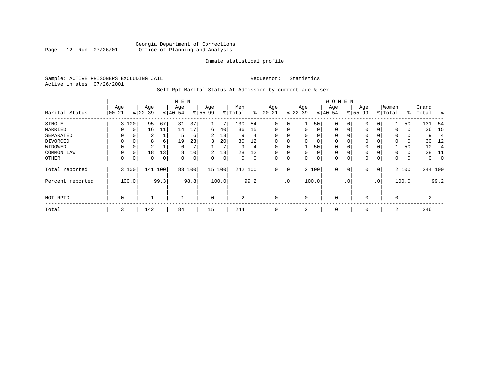#### Georgia Department of Corrections Page 12 Run 07/26/01 Office of Planning and Analysis

#### Inmate statistical profile

Sample: ACTIVE PRISONERS EXCLUDING JAIL **Requestor:** Statistics Active inmates 07/26/2001

Self-Rpt Marital Status At Admission by current age & sex

|                  |             |                |           |      | M E N     |      |             |       |                |      |             |           |              |          | <b>WOMEN</b> |              |             |           |             |       |         |          |
|------------------|-------------|----------------|-----------|------|-----------|------|-------------|-------|----------------|------|-------------|-----------|--------------|----------|--------------|--------------|-------------|-----------|-------------|-------|---------|----------|
|                  | Age         |                | Age       |      | Age       |      | Age         |       | Men            |      | Age         |           | Age          |          | Age          |              | Age         |           | Women       |       | Grand   |          |
| Marital Status   | $ 00-21$    |                | $8 22-39$ |      | $8 40-54$ |      | $8 55-99$   |       | % Total        | ႜ    | $ 00-21$    |           | $ 22-39$     |          | $8 40-54$    |              | $8 55-99$   |           | % Total     | ႜ     | Total   | ွေ       |
| SINGLE           | 3           | 100            | 95        | 67   | 31        | 37   | 1           |       | 130            | 54   | $\mathbf 0$ | 0         |              | 50       | 0            | 0            | $\mathbf 0$ | 0         |             | 50    | 131     | -54      |
| MARRIED          |             | 0 <sup>1</sup> | 16        | 11   | 14        | 17   | 6           | 40    | 36             | 15   | 0           | 0         | $\mathbf{0}$ | $\Omega$ | 0            | 0            | $\mathbf 0$ | $\Omega$  | 0           | 0     | 36      | 15       |
| SEPARATED        | $\Omega$    | 0              | 2         |      | 5         | 6    | 2           | 13    | 9              | 4    | $\Omega$    | 0         | $\Omega$     | 0        | 0            |              | 0           |           | 0           | 0     | 9       |          |
| DIVORCED         | 0           | 0              | 8         | 6    | 19        | 23   | 3           | 20    | 30             | 12   | $\mathbf 0$ | 0         | $\Omega$     | 0        | 0            |              | 0           |           | $\mathbf 0$ | 0     | 30      | 12       |
| WIDOWED          | $\Omega$    |                | 2         |      | 6         |      |             |       | 9              | 4    | $\mathbf 0$ | 0         |              | 50       | 0            |              | 0           |           |             | 50    | 10      | 4        |
| COMMON LAW       | 0           | $\Omega$       | 18        | 13   | 8         | 10   | 2           | 13    | 28             | 12   | $\Omega$    | 0         | $\Omega$     | 0        | 0            |              | 0           |           | $\Omega$    | 0     | 28      | -11      |
| OTHER            | 0           | 0              | 0         | 0    | 0         | 0    | 0           | 0     | 0              | 0    | 0           | 0         | 0            | 0        | 0            |              | $\mathbf 0$ | 0         | 0           | 0     | 0       | $\Omega$ |
| Total reported   |             | 3 100          | 141       | 100  | 83        | 100  | 15 100      |       | 242 100        |      | $\mathbf 0$ | 0         |              | 2 100    | 0            | $\mathbf{0}$ | $\mathbf 0$ | 0         |             | 2 100 | 244 100 |          |
| Percent reported |             | 100.0          |           | 99.3 |           | 98.8 |             | 100.0 |                | 99.2 |             | $\cdot$ 0 |              | 100.0    |              | $\cdot$ 0    |             | $\cdot$ 0 |             | 100.0 |         | 99.2     |
| NOT RPTD         | $\mathbf 0$ |                |           |      |           |      | $\mathbf 0$ |       | $\overline{a}$ |      | $\mathbf 0$ |           | $\Omega$     |          | 0            |              | $\mathbf 0$ |           | $\Omega$    |       | 2       |          |
| Total            | 3           |                | 142       |      | 84        |      | 15          |       | 244            |      | $\mathbf 0$ |           | 2            |          | 0            |              | 0           |           | 2           |       | 246     |          |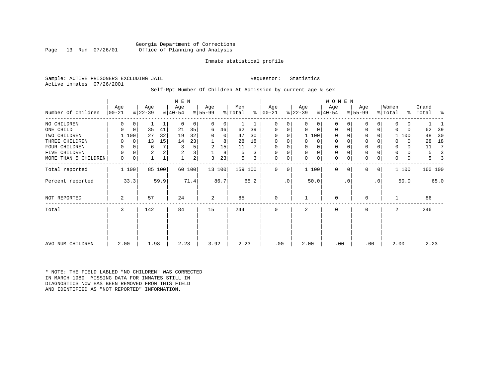Georgia Department of Corrections Office of Planning and Analysis

#### Inmate statistical profile

Sample: ACTIVE PRISONERS EXCLUDING JAIL **Requestor:** Statistics Active inmates 07/26/2001

#### Self-Rpt Number Of Children At Admission by current age & sex

|                      |                   |             |                  |        | M E N            |                         |                 |                |                |      |                  |           |                  |             | <b>WOMEN</b>     |           |                 |              |                  |          |                |         |
|----------------------|-------------------|-------------|------------------|--------|------------------|-------------------------|-----------------|----------------|----------------|------|------------------|-----------|------------------|-------------|------------------|-----------|-----------------|--------------|------------------|----------|----------------|---------|
| Number Of Children   | Age<br>$ 00 - 21$ |             | Age<br>$ 22-39 $ |        | Age<br>$ 40-54 $ |                         | Age<br>$ 55-99$ |                | Men<br>% Total | ႜ    | Age<br>$ 00-21 $ |           | Age<br>$ 22-39 $ |             | Age<br>$ 40-54 $ |           | Age<br>$ 55-99$ |              | Women<br>% Total | ွေ       | Grand<br>Total | ႜ       |
| NO CHILDREN          | 0                 | $\mathbf 0$ |                  |        | $\Omega$         | 0                       | 0               | $\overline{0}$ |                |      | $\Omega$         | 0         | $\Omega$         | $\Omega$    | 0                | 0         | $\mathbf 0$     | 0            | $\Omega$         | 0        |                |         |
| ONE CHILD            | 0                 | $\mathbf 0$ | 35               | 41     | 21               | 35                      | 6               | 46             | 62             | 39   | 0                | 0         | 0                | 0           | 0                | 0         | $\mathbf 0$     | 0            | $\Omega$         | $\Omega$ | 62             | 39      |
| TWO CHILDREN         |                   | 100         | 27               | 32     | 19               | 32                      | $\Omega$        | 0              | 47             | 30   | 0                | 0         |                  | 1 100       | 0                |           | $\mathbf 0$     |              |                  | 100      | 48             | 30      |
| THREE CHILDREN       | O                 | 0           | 13               | 15     | 14               | 23                      |                 | 8              | 28             | 18   | $\Omega$         | 0         | $\Omega$         | $\Omega$    | 0                |           | $\mathbf 0$     |              | 0                | $\Omega$ | 28             | 18      |
| FOUR CHILDREN        | 0                 | $\Omega$    | 6                |        | 3                | 5                       | 2               | 15             | 11             |      | $\Omega$         | U         |                  | 0           |                  |           | $\mathbf 0$     |              | 0                | $\Omega$ | 11             | 7       |
| FIVE CHILDREN        | 0                 | 0           | $\overline{2}$   |        | 2                | $\overline{\mathbf{3}}$ |                 | 8              | 5              |      | 0                | 0         | $\Omega$         | $\Omega$    | 0                |           | $\mathbf 0$     |              | 0                | 0        | 5              | 3       |
| MORE THAN 5 CHILDREN | $\mathbf 0$       | 0           |                  |        |                  | $\overline{2}$          | ζ               | 23             | 5              | 3    | $\mathbf 0$      | 0         | $\Omega$         | $\mathbf 0$ | $\mathbf 0$      | 0         | $\mathbf 0$     | 0            | 0                | 0        | 5              |         |
| Total reported       | 1 100             |             |                  | 85 100 |                  | 60 100                  |                 | 13 100         | 159 100        |      | $\Omega$         | 0         |                  | 1 100       | $\mathbf 0$      | $\Omega$  | $\mathbf 0$     | $\mathbf{0}$ |                  | 1 100    |                | 160 100 |
| Percent reported     |                   | 33.3        |                  | 59.9   |                  | 71.4                    |                 | 86.7           |                | 65.2 |                  | $\cdot$ 0 |                  | 50.0        |                  | $\cdot$ 0 |                 | $\cdot$ 0    |                  | 50.0     |                | 65.0    |
| NOT REPORTED         | 2                 |             | 57               |        | 24               |                         | 2               |                | 85             |      | 0                |           |                  |             | $\mathbf 0$      |           | $\mathbf 0$     |              |                  |          | 86             |         |
| Total                | 3                 |             | 142              |        | 84               |                         | 15              |                | 244            |      | 0                |           | 2                |             | 0                |           | $\mathbf 0$     |              | 2                |          | 246            |         |
|                      |                   |             |                  |        |                  |                         |                 |                |                |      |                  |           |                  |             |                  |           |                 |              |                  |          |                |         |
| AVG NUM CHILDREN     | 2.00              |             | 1.98             |        | 2.23             |                         | 3.92            |                | 2.23           |      | .00              |           | 2.00             |             | .00              |           | .00             |              | 2.00             |          |                | 2.23    |

\* NOTE: THE FIELD LABLED "NO CHILDREN" WAS CORRECTED IN MARCH 1989: MISSING DATA FOR INMATES STILL IN DIAGNOSTICS NOW HAS BEEN REMOVED FROM THIS FIELD AND IDENTIFIED AS "NOT REPORTED" INFORMATION.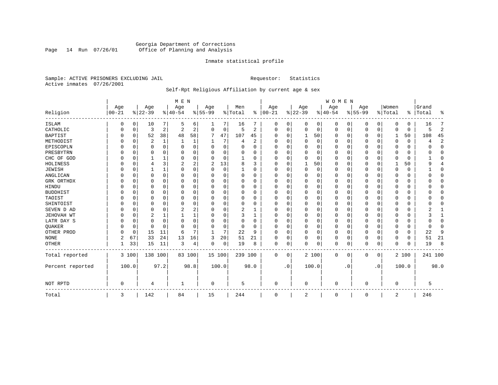### Georgia Department of Corrections Page 14 Run 07/26/01 Office of Planning and Analysis

#### Inmate statistical profile

Sample: ACTIVE PRISONERS EXCLUDING JAIL **Requestor:** Statistics Active inmates 07/26/2001

## Self-Rpt Religious Affiliation by current age & sex

|                  |                  |          |                  |          | M E N           |                |                  |          |                |          |                 |              |                 |       | <b>WOMEN</b>    |           |                  |             |                  |          |                 |                |
|------------------|------------------|----------|------------------|----------|-----------------|----------------|------------------|----------|----------------|----------|-----------------|--------------|-----------------|-------|-----------------|-----------|------------------|-------------|------------------|----------|-----------------|----------------|
| Religion         | Age<br>$00 - 21$ |          | Age<br>$8 22-39$ |          | Age<br>$ 40-54$ |                | Age<br>$8 55-99$ |          | Men<br>% Total | %        | Age<br>$ 00-21$ |              | Age<br>$ 22-39$ |       | Age<br>$ 40-54$ |           | Age<br>$8 55-99$ |             | Women<br>% Total | ⊱        | Grand<br> Total | ႜ              |
| <b>ISLAM</b>     | 0                | $\Omega$ | 10               | 7        | .5              | 6              |                  | 7        | 16             |          | 0               | 0            | 0               | 0     | $\mathbf 0$     | 0         | 0                | 0           | $\Omega$         | $\Omega$ | 16              | 7              |
| CATHOLIC         | 0                | 0        | 3                | 2        | $\overline{c}$  | $\overline{2}$ | $\Omega$         | 0        | 5              | 2        | $\Omega$        | $\Omega$     | $\mathbf 0$     | 0     | $\Omega$        | 0         | 0                | 0           | $\Omega$         | $\Omega$ | 5               | $\overline{2}$ |
| <b>BAPTIST</b>   | $\Omega$         | 0        | 52               | 38       | 48              | 58             | 7                | 47       | 107            | 45       | U               | $\Omega$     | 1               | 50    | 0               | 0         | 0                | $\mathbf 0$ | 1                | 50       | 108             | 45             |
| METHODIST        |                  | 0        | 2                | 1        |                 |                |                  | 7        | 4              | 2        | 0               | <sup>0</sup> | 0               | 0     | $\Omega$        | 0         | 0                | $\Omega$    | $\Omega$         | $\Omega$ | 4               | $\sqrt{2}$     |
| EPISCOPLN        |                  | 0        | 0                | $\Omega$ | $\Omega$        | 0              | O                | 0        | O              | $\Omega$ | 0               | O            | 0               | 0     | $\Omega$        | 0         | 0                | 0           | $\Omega$         | $\Omega$ | U               | $\mathbf 0$    |
| PRESBYTRN        |                  | $\Omega$ | 0                | $\Omega$ | $\Omega$        | $\Omega$       | O                | $\Omega$ | n              | O        | U               | $\Omega$     | $\Omega$        | 0     | $\Omega$        | $\Omega$  | 0                | $\Omega$    | $\Omega$         | $\Omega$ | O               | $\Omega$       |
| CHC OF GOD       |                  | $\Omega$ |                  |          | $\Omega$        | $\Omega$       | O                | $\Omega$ |                | $\Omega$ | $\Omega$        | $\Omega$     | $\Omega$        | 0     | $\Omega$        | $\Omega$  | 0                | $\Omega$    | $\Omega$         | $\Omega$ |                 | $\Omega$       |
| HOLINESS         |                  | $\Omega$ | 4                | 3        | 2               | 2              | 2                | 13       |                | ζ        | $\Omega$        | U            | $\mathbf{1}$    | 50    | $\Omega$        | 0         | 0                | $\Omega$    |                  | 50       | 9               | 4              |
| <b>JEWISH</b>    |                  | $\Omega$ |                  | 1        | $\Omega$        | $\Omega$       | O                | 0        |                | O        | 0               | O            | 0               | 0     | $\Omega$        | 0         | 0                | $\Omega$    | $\Omega$         | $\Omega$ |                 | 0              |
| ANGLICAN         |                  | 0        | 0                | 0        | $\Omega$        | 0              | U                | 0        | 0              | O        | 0               | U            | 0               | 0     | $\Omega$        | 0         | 0                | 0           | $\Omega$         | 0        |                 | $\mathbf 0$    |
| GRK ORTHDX       |                  | 0        | O                | $\Omega$ | $\Omega$        | $\Omega$       | U                | 0        | 0              | $\Omega$ | $\Omega$        | <sup>0</sup> | $\Omega$        | 0     | $\Omega$        | 0         | 0                | 0           | $\Omega$         | 0        |                 | 0              |
| HINDU            |                  | $\Omega$ | 0                | $\Omega$ | ∩               | $\Omega$       |                  | $\Omega$ | n              | $\Omega$ | $\Omega$        |              | $\Omega$        | 0     | $\Omega$        | $\Omega$  | 0                | $\Omega$    | $\Omega$         | $\Omega$ |                 | $\Omega$       |
| <b>BUDDHIST</b>  |                  | $\Omega$ | 0                | $\Omega$ | $\Omega$        | $\Omega$       |                  | 0        | 0              | $\Omega$ | 0               | O            | $\Omega$        | 0     | $\Omega$        | $\Omega$  | 0                | $\Omega$    | $\Omega$         | $\Omega$ |                 | $\Omega$       |
| TAOIST           |                  | $\Omega$ | 0                | $\Omega$ |                 | $\Omega$       |                  | $\Omega$ |                | O        | U               | O            | 0               | 0     | $\Omega$        | 0         | 0                | $\Omega$    | $\Omega$         | 0        |                 | $\Omega$       |
| SHINTOIST        |                  | $\Omega$ | 0                | $\Omega$ | $\Omega$        | $\Omega$       | O                | $\Omega$ | 0              | O        | U               | $\Omega$     | $\Omega$        | 0     | $\Omega$        | $\Omega$  | 0                | $\Omega$    | $\Omega$         | $\Omega$ |                 | $\Omega$       |
| SEVEN D AD       |                  | $\Omega$ | 0                | $\Omega$ | 2               |                | O                | $\Omega$ | 2              |          | U               |              | $\mathbf 0$     | O     | $\Omega$        | $\Omega$  | 0                | $\Omega$    | $\Omega$         | $\Omega$ |                 |                |
| JEHOVAH WT       |                  | $\Omega$ | 2                |          |                 |                | O                | $\Omega$ | 3              | 1        | $\Omega$        | $\Omega$     | $\Omega$        | 0     | $\Omega$        | $\Omega$  | 0                | 0           | $\Omega$         | $\Omega$ |                 | $\mathbf{1}$   |
| LATR DAY S       |                  | $\Omega$ | 0                | $\Omega$ | $\Omega$        | $\Omega$       |                  | $\Omega$ | 0              | O        | 0               |              | 0               | 0     | $\Omega$        | 0         | 0                | 0           | $\Omega$         | $\Omega$ |                 | $\Omega$       |
| QUAKER           |                  | 0        | 0                | $\Omega$ | ∩               | $\Omega$       | U                | 0        | 0              | $\Omega$ | $\Omega$        | <sup>0</sup> | 0               | 0     | 0               | 0         | 0                | 0           | $\Omega$         | 0        | 0               | 0              |
| OTHER PROD       |                  | 0        | 15               | 11       | 6               | 7              | -1               | 7        | 22             | 9        | $\Omega$        | $\Omega$     | 0               | 0     | $\Omega$        | $\Omega$  | 0                | $\Omega$    | $\Omega$         | $\Omega$ | 22              | 9              |
| <b>NONE</b>      | 2                | 67       | 33               | 24       | 13              | 16             | 3                | 20       | 51             | 21       | $\Omega$        | $\Omega$     | $\Omega$        | 0     | $\Omega$        | 0         | 0                | $\Omega$    | $\Omega$         | $\Omega$ | 51              | 21             |
| <b>OTHER</b>     |                  | 33       | 15               | 11       | 3               | 4              | 0                | 0        | 19             | 8        | 0               | 0            | $\Omega$        | 0     | $\Omega$        | 0         | 0                | 0           | $\Omega$         | $\Omega$ | 19              | 8              |
| Total reported   |                  | 3 100    | 138 100          |          |                 | 83 100         | 15 100           |          | 239 100        |          | 0               | 0            |                 | 2 100 | 0               | 0         | 0                | 0           |                  | 2 100    | 241 100         |                |
| Percent reported |                  | 100.0    |                  | 97.2     |                 | 98.8           |                  | 100.0    |                | 98.0     |                 | $\cdot$ 0    |                 | 100.0 |                 | $\cdot$ 0 |                  | . 0         |                  | 100.0    |                 | 98.0           |
| NOT RPTD         | $\Omega$         |          | 4                |          | -1              |                | $\Omega$         |          | 5              |          | $\Omega$        |              | $\Omega$        |       | $\Omega$        |           | U                |             | $\mathbf 0$      |          | 5               |                |
| Total            | 3                |          | 142              |          | 84              |                | 15               |          | 244            |          | $\Omega$        |              | 2               |       | 0               |           | 0                |             | 2                |          | 246             |                |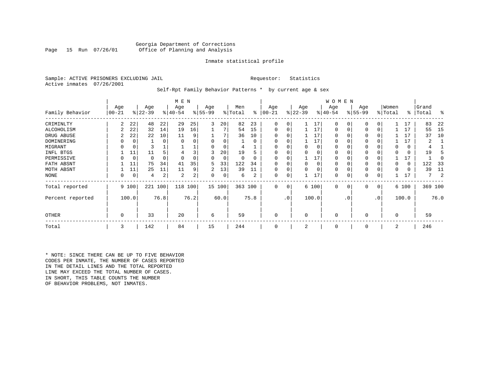#### Georgia Department of Corrections<br>Page 15 Run 07/26/01 office of Planning and Analysis Office of Planning and Analysis

#### Inmate statistical profile

Sample: ACTIVE PRISONERS EXCLUDING JAIL **Requestor:** Statistics Active inmates 07/26/2001

Self-Rpt Family Behavior Patterns \* by current age & sex

|                  |                 |             |                  |      | M E N            |      |                 |             |                |          |                  |                 |                  |          | W O M E N       |           |                 |     |                  |       |                |      |
|------------------|-----------------|-------------|------------------|------|------------------|------|-----------------|-------------|----------------|----------|------------------|-----------------|------------------|----------|-----------------|-----------|-----------------|-----|------------------|-------|----------------|------|
| Family Behavior  | Age<br>$ 00-21$ |             | Age<br>$ 22-39 $ |      | Age<br>$ 40-54 $ |      | Age<br>$ 55-99$ |             | Men<br>% Total | ႜ        | Age<br>$00 - 21$ |                 | Age<br>$ 22-39 $ |          | Age<br>$ 40-54$ |           | Age<br>$ 55-99$ |     | Women<br>% Total | ∻     | Grand<br>Total | ႜ    |
| CRIMINLTY        | 2               | 22          | 48               | 22   | 29               | 25   | 3               | 20          | 82             | 23       | 0                | 0               |                  | 17       | $\Omega$        | 0         | $\Omega$        | 0   |                  | 17    | 83             | 22   |
| ALCOHOLISM       |                 | 22          | 32               | 14   | 19               | 16   |                 |             | 54             | 15       | 0                | 0               |                  | 17       | 0               |           | $\Omega$        | 0   |                  | 17    | 55             | -15  |
| DRUG ABUSE       |                 | 22          | 22               | 10   | 11               | 9    |                 |             | 36             | 10       |                  |                 |                  | 17       | U               |           |                 |     |                  | 17    | 37             | 10   |
| DOMINERING       |                 | 0           |                  | 0    | $\Omega$         |      |                 |             |                | $\Omega$ | $\Omega$         |                 |                  | 17       | 0               |           |                 |     |                  | 17    |                |      |
| MIGRANT          |                 | 0           |                  |      |                  |      |                 |             |                |          |                  |                 |                  | 0        | 0               |           | $\Omega$        |     |                  | 0     |                |      |
| INFL BTGS        |                 | 11          | 11               |      |                  |      |                 | 20          | 19             | h        |                  |                 |                  | $\Omega$ | 0               |           | $\Omega$        |     |                  | 0     | 19             |      |
| PERMISSIVE       |                 | $\mathbf 0$ | 0                | 0    | $\Omega$         |      | 0               | $\mathbf 0$ | $\Omega$       | $\Omega$ | $\Omega$         | O               |                  | 17       | 0               |           | $\Omega$        |     |                  | 17    |                |      |
| FATH ABSNT       |                 | 11          | 75               | 34   | 41               | 35   | 5.              | 33          | 122            | 34       |                  |                 | <sup>0</sup>     | $\Omega$ | 0               |           |                 |     |                  | 0     | 122            | -33  |
| MOTH ABSNT       |                 | 11          | 25               | 11   | 11               | 9    | 2               | 13          | 39             | 11       |                  | 0               |                  | $\Omega$ | 0               |           | $\Omega$        |     |                  | 0     | 39             | 11   |
| NONE             | 0               | 0           | 4                | 2    | 2                | 2    | 0               | 0           | 6              | 2        | 0                | 0               |                  | 17       | 0               |           | 0               |     |                  | 17    | 7              |      |
| Total reported   |                 | 9 100       | 221              | 100  | 118              | 100  |                 | 15 100      | 363 100        |          | 0                | 0               |                  | 6 100    | $\mathbf 0$     | 0         | 0               | 0   |                  | 6 100 | 369 100        |      |
| Percent reported |                 | 100.0       |                  | 76.8 |                  | 76.2 |                 | 60.0        |                | 75.8     |                  | .0 <sup>1</sup> |                  | 100.0    |                 | $\cdot$ 0 |                 | .0' |                  | 100.0 |                | 76.0 |
| <b>OTHER</b>     | 0               |             | 33               |      | 20               |      | 6               |             | 59             |          | 0                |                 | $\Omega$         |          | $\Omega$        |           | $\Omega$        |     | $\Omega$         |       | 59             |      |
| Total            | 3               |             | 142              |      | 84               |      | 15              |             | 244            |          | 0                |                 | 2                |          | 0               |           | 0               |     | 2                |       | 246            |      |

\* NOTE: SINCE THERE CAN BE UP TO FIVE BEHAVIOR CODES PER INMATE, THE NUMBER OF CASES REPORTED IN THE DETAIL LINES AND THE TOTAL REPORTED LINE MAY EXCEED THE TOTAL NUMBER OF CASES. IN SHORT, THIS TABLE COUNTS THE NUMBER OF BEHAVIOR PROBLEMS, NOT INMATES.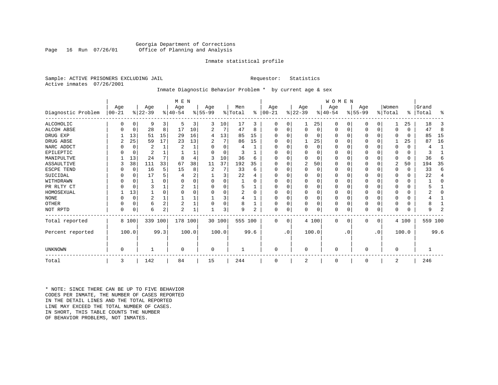#### Georgia Department of Corrections Office of Planning and Analysis

#### Inmate statistical profile

Sample: ACTIVE PRISONERS EXCLUDING JAIL **Requestor:** Statistics Active inmates 07/26/2001

### Inmate Diagnostic Behavior Problem \* by current age & sex

|                    |            |             |           |                | M E N          |       |          |          |         |      |          |           |                |          | <b>WOMEN</b> |           |           |             |             |          |           |              |
|--------------------|------------|-------------|-----------|----------------|----------------|-------|----------|----------|---------|------|----------|-----------|----------------|----------|--------------|-----------|-----------|-------------|-------------|----------|-----------|--------------|
|                    | Age        |             | Age       |                | Age            |       | Age      |          | Men     |      | Age      |           | Age            |          | Age          |           | Age       |             | Women       |          | Grand     |              |
| Diagnostic Problem | $ 00 - 21$ |             | $ 22-39 $ |                | $8 40-54$      |       | $ 55-99$ |          | % Total | ႜ    | $ 00-21$ |           | $ 22-39 $      |          | $ 40-54$     |           | $ 55-99 $ |             | % Total     |          | %   Total | ႜ            |
| <b>ALCOHOLIC</b>   | O          | 0           | 9         | 3              | 5              | 3     | 3        | 10       | 17      | 3    | 0        | 0         |                | 25       | $\Omega$     | 0         | 0         | $\Omega$    |             | 25       | 18        | 3            |
| <b>ALCOH ABSE</b>  |            | 0           | 28        | 8              | 17             | 10    | 2        | 7        | 47      | 8    | 0        | 0         | $\mathbf 0$    | 0        | 0            | 0         | 0         | $\mathbf 0$ | $\Omega$    | $\Omega$ | 47        | 8            |
| DRUG EXP           |            | 13          | 51        | 15             | 29             | 16    | 4        | 13       | 85      | 15   | U        |           | $\Omega$       | 0        | $\Omega$     | 0         | U         | $\Omega$    | $\Omega$    | $\Omega$ | 85        | 15           |
| DRUG ABSE          |            | 25          | 59        | 17             | 23             | 13    |          | 7        | 86      | 15   | U        |           |                | 25       | $\Omega$     | O         | 0         | $\Omega$    |             | 25       | 87        | 16           |
| NARC ADDCT         |            | 0           | 2         |                | $\overline{2}$ |       | U        | $\Omega$ | 4       |      | U        |           | $\mathbf 0$    | $\Omega$ | $\Omega$     | $\Omega$  | U         | $\Omega$    | $\Omega$    | $\Omega$ | 4         | $\mathbf{1}$ |
| EPILEPTIC          |            | 0           | 2         |                |                |       |          | $\Omega$ |         |      | U        |           | $\Omega$       | O        | $\Omega$     | $\Omega$  | U         | $\Omega$    | $\Omega$    | $\Omega$ |           |              |
| MANIPULTVE         |            | 13          | 24        | 7              |                |       | ζ        | 10       | 36      | 6    |          |           | $\Omega$       | O        | $\Omega$     | $\Omega$  | U         | $\Omega$    | $\Omega$    | $\Omega$ | 36        | 6            |
| ASSAULTIVE         |            | 38          | 111       | 33             | 67             | 38    | 11       | 37       | 192     | 35   | U        |           | 2              | 50       | $\Omega$     | O         | 0         | $\Omega$    | 2           | 50       | 194       | 35           |
| ESCPE TEND         |            | 0           | 16        | 5              | 15             | 8     | 2        | 7        | 33      | 6    |          |           | $\Omega$       | 0        | $\Omega$     | $\Omega$  | 0         | $\Omega$    | $\Omega$    | $\Omega$ | 33        | 6            |
| SUICIDAL           |            | $\Omega$    | 17        |                |                | ∠     |          | 3        | 22      |      | U        |           | $\Omega$       | O        | $\Omega$     | $\Omega$  | U         | $\Omega$    | O           | $\Omega$ | 22        | 4            |
| WITHDRAWN          |            | $\Omega$    |           |                |                |       |          | U        |         |      |          |           | $\Omega$       | U        | $\Omega$     | O         |           | O           |             | $\Omega$ |           | O            |
| PR RLTY CT         |            | $\Omega$    | 3         |                |                |       |          | U        |         |      | U        |           | $\Omega$       | 0        | $\Omega$     | 0         | U         | $\Omega$    | ∩           | $\Omega$ |           |              |
| HOMOSEXUAL         |            | 13          |           | $\Omega$       |                |       |          | U        | 2       | U    |          |           | $\Omega$       | O        | $\Omega$     | $\Omega$  |           | $\Omega$    |             | U        |           | ∩            |
| <b>NONE</b>        |            | $\mathbf 0$ | 2         |                |                |       |          | 3        |         |      | ∩        |           | $\Omega$       | O        | $\Omega$     | O         |           | $\Omega$    |             | $\Omega$ |           |              |
| <b>OTHER</b>       |            | $\Omega$    | 6         | $\overline{a}$ | $\overline{c}$ |       |          | 0        | 8       |      | $\Omega$ |           | $\Omega$       | O        | $\Omega$     | $\Omega$  |           | $\Omega$    | $\Omega$    | U        |           |              |
| NOT RPTD           | $\Omega$   | 0           | 6         | 2              | $\overline{2}$ |       |          | 3        | 9       | 2    | 0        | 0         | $\Omega$       | 0        | 0            | 0         | N         | 0           | $\Omega$    | U        | 9         | 2            |
| Total reported     |            | 8 100       | 339       | 100            | 178 100        |       |          | 30 100   | 555 100 |      | $\Omega$ | $\Omega$  |                | 4 100    | $\Omega$     | 0         | 0         | 0           |             | 4 100    | 559 100   |              |
| Percent reported   |            | 100.0       |           | 99.3           |                | 100.0 |          | 100.0    |         | 99.6 |          | $\cdot$ 0 |                | 100.0    |              | $\cdot$ 0 |           | $\cdot$ 0   |             | 100.0    |           | 99.6         |
| <b>UNKNOWN</b>     | 0          |             |           |                | $\Omega$       |       | 0        |          |         |      | 0        |           | $\overline{0}$ |          | 0            |           | 0         |             | $\mathbf 0$ |          |           |              |
| Total              | 3          |             | 142       |                | 84             |       | 15       |          | 244     |      | 0        |           | 2              |          | 0            |           | 0         |             | 2           |          | 246       |              |
|                    |            |             |           |                |                |       |          |          |         |      |          |           |                |          |              |           |           |             |             |          |           |              |

\* NOTE: SINCE THERE CAN BE UP TO FIVE BEHAVIOR CODES PER INMATE, THE NUMBER OF CASES REPORTED IN THE DETAIL LINES AND THE TOTAL REPORTED LINE MAY EXCEED THE TOTAL NUMBER OF CASES.IN SHORT, THIS TABLE COUNTS THE NUMBER OF BEHAVIOR PROBLEMS, NOT INMATES.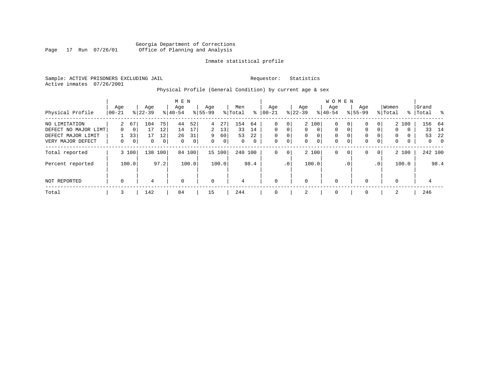#### Georgia Department of Corrections Page 17 Run 07/26/01 Office of Planning and Analysis

#### Inmate statistical profile

Sample: ACTIVE PRISONERS EXCLUDING JAIL **Requestor:** Statistics Active inmates 07/26/2001

# Physical Profile (General Condition) by current age & sex

|                                                             |                   |                         |                  |                | M E N              |                |                           |                |                 |                |                           |                                       |                              |                            | <b>WOMEN</b>                      |               |                    |                                       |                  |                        |                |                    |
|-------------------------------------------------------------|-------------------|-------------------------|------------------|----------------|--------------------|----------------|---------------------------|----------------|-----------------|----------------|---------------------------|---------------------------------------|------------------------------|----------------------------|-----------------------------------|---------------|--------------------|---------------------------------------|------------------|------------------------|----------------|--------------------|
| Physical Profile                                            | Age<br>$ 00 - 21$ |                         | Age<br>$8 22-39$ |                | Age<br>$8140 - 54$ |                | Age<br>$8 55-99$          |                | Men<br>% Total  | ႜ              | Age<br>$ 00-21$           |                                       | Age<br>$ 22-39 $             |                            | Age<br>$8 40-54$                  |               | Age<br>$8155 - 99$ |                                       | Women<br>% Total | $\frac{1}{6}$          | Grand<br>Total | - 옹                |
| NO LIMITATION<br>DEFECT NO MAJOR LIMT<br>DEFECT MAJOR LIMIT | 2<br>0            | 67<br>$\mathbf 0$<br>33 | 104<br>17<br>17  | 75<br>12<br>12 | 44<br>14<br>26     | 52<br>17<br>31 | $4\overline{ }$<br>2<br>9 | 27<br>13<br>60 | 154<br>33<br>53 | 64<br>14<br>22 | 0<br>$\Omega$<br>$\Omega$ | $\overline{0}$<br>0<br>$\overline{0}$ | $\mathbf{0}$<br>$\mathbf{0}$ | 2 100<br>$\mathbf{0}$<br>0 | $\mathbf{0}$<br>$\mathbf{0}$<br>0 | 0<br>$\Omega$ | 0<br>0<br>0        | 0 <sup>1</sup><br>$\overline{0}$<br>0 | 0<br>$\mathbf 0$ | 2 100<br>$\Omega$<br>0 | 33<br>53       | 156 64<br>14<br>22 |
| VERY MAJOR DEFECT                                           | $\Omega$          | 0                       | $\Omega$         | 0              | $\Omega$           | 0 <sup>1</sup> | $\Omega$                  | $\mathbf 0$    | $\Omega$        | $\mathbf{0}$   | $\Omega$                  | $\overline{0}$                        | $\Omega$                     | 0                          | $\Omega$                          | $\mathbf 0$   | $\mathbf 0$        | $\overline{0}$                        | $\mathbf 0$      | 0                      | $\mathbf{0}$   | $\mathbf 0$        |
| Total reported                                              |                   | 3 100                   | 138              | 100            |                    | 84 100         |                           | 15 100         | 240 100         |                | 0                         | 0 <sup>1</sup>                        |                              | 2 100                      | 0                                 | 0             | 0                  | 0                                     |                  | 2 100                  |                | 242 100            |
| Percent reported                                            |                   | 100.0                   |                  | 97.2           |                    | 100.0          |                           | 100.0          |                 | 98.4           |                           | .0 <sup>1</sup>                       |                              | 100.0                      |                                   | $\cdot$ 0     |                    | $\cdot$ 0                             |                  | 100.0                  |                | 98.4               |
| NOT REPORTED                                                | $\mathbf 0$       |                         | 4                |                | $\mathbf 0$        |                | $\mathbf 0$               |                | 4               |                | 0                         |                                       | $\mathbf 0$                  |                            | 0                                 |               | $\mathbf 0$        |                                       | $\mathbf 0$      |                        | 4              |                    |
| Total                                                       | 3                 |                         | 142              |                | 84                 |                | 15                        |                | 244             |                |                           |                                       | 2                            |                            | 0                                 |               | $\mathbf 0$        |                                       | 2                |                        | 246            |                    |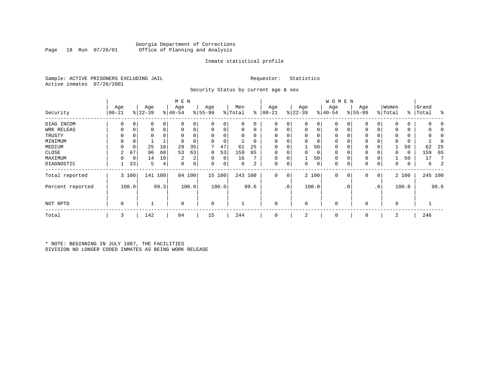#### Georgia Department of Corrections Office of Planning and Analysis

#### Inmate statistical profile

Sample: ACTIVE PRISONERS EXCLUDING JAIL **Requestor:** Statistics Active inmates 07/26/2001

Security Status by current age & sex

|                  |            |             |           |      | M E N          |                |           |        |         |              |           |             |             |       | <b>WOMEN</b> |           |             |           |             |       |           |         |
|------------------|------------|-------------|-----------|------|----------------|----------------|-----------|--------|---------|--------------|-----------|-------------|-------------|-------|--------------|-----------|-------------|-----------|-------------|-------|-----------|---------|
|                  | Age        |             | Age       |      | Age            |                | Age       |        | Men     |              | Age       |             | Age         |       | Age          |           | Age         |           | Women       |       | Grand     |         |
| Security         | $ 00 - 21$ |             | $ 22-39 $ |      | $ 40-54$       |                | $8 55-99$ |        | % Total | ႜ            | $00 - 21$ |             | $ 22-39 $   |       | $ 40-54 $    |           | $8155 - 99$ |           | % Total     |       | %   Total | း       |
| DIAG INCOM       | 0          | 0           | 0         | 0    |                |                | 0         | 0      |         | 0            | $\Omega$  | 0           | 0           | 0     |              |           | 0           | 0         | $\mathbf 0$ | 0     |           |         |
| WRK RELEAS       | 0          | 0           | 0         | 0    |                | 0              | 0         | 0      |         | 0            | 0         |             | 0           | 0     | 0            | 0         | 0           | 0         | $\Omega$    | 0     |           |         |
| TRUSTY           |            |             | 0         |      |                |                |           | 0      |         |              |           |             | $\Omega$    |       |              |           |             |           | $\Omega$    | 0     |           |         |
| MINIMUM          |            | 0           |           |      |                |                |           | 0      |         |              |           |             | $\Omega$    | 0     | $\Omega$     |           | 0           |           | $\Omega$    | 0     |           |         |
| MEDIUM           | $\Omega$   | 0           | 25        | 18   | 29             | 35             |           | 47     | 61      | 25           | $\Omega$  |             |             | 50    | $\mathbf 0$  |           | 0           |           |             | 50    | 62        | 25      |
| CLOSE            | 2          | 67          | 96        | 68   | 53             | 63             | 8         | 53     | 159     | 65           | $\Omega$  |             | $\Omega$    | 0     | $\Omega$     |           | 0           |           | 0           | 0     | 159       | 65      |
| MAXIMUM          |            | $\mathbf 0$ | 14        | 10   | $\overline{2}$ | 2              | $\Omega$  | 0      | 16      | $\mathbf{r}$ | $\Omega$  |             |             | 50    | $\Omega$     |           | 0           |           |             | 50    | 17        |         |
| DIAGNOSTIC       |            | 33          | 5         | 4    | $\Omega$       | 0 <sup>1</sup> | 0         | 0      | 6       | 2            | 0         | 0           | 0           | 0     | $\mathbf 0$  | 0         | 0           | 0         | 0           | 0     | 6         |         |
| Total reported   |            | 3 100       | 141       | 100  | 84             | 100            |           | 15 100 | 243 100 |              | 0         | $\mathbf 0$ |             | 2 100 | $\mathbf 0$  | $\circ$   | 0           | 0         |             | 2 100 |           | 245 100 |
| Percent reported |            | 100.0       |           | 99.3 |                | 100.0          |           | 100.0  |         | 99.6         |           | $\cdot$ 0   |             | 100.0 |              | $\cdot$ 0 |             | $\cdot$ 0 |             | 100.0 |           | 99.6    |
| NOT RPTD         | 0          |             |           |      | $\Omega$       |                | 0         |        |         |              | $\Omega$  |             | $\mathbf 0$ |       | $\mathbf 0$  |           | 0           |           | $\mathbf 0$ |       |           |         |
| Total            | 3          |             | 142       |      | 84             |                | 15        |        | 244     |              | $\Omega$  |             | 2           |       | $\mathbf 0$  |           | 0           |           | 2           |       | 246       |         |

\* NOTE: BEGINNING IN JULY 1987, THE FACILITIES DIVISION NO LONGER CODED INMATES AS BEING WORK RELEASE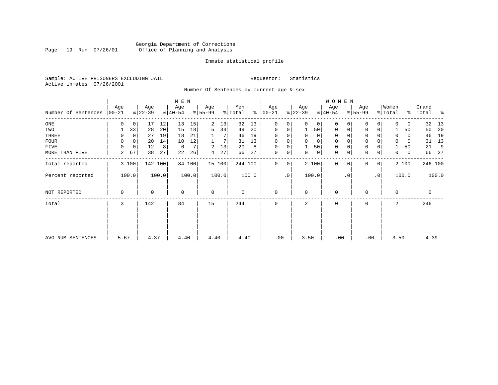#### Georgia Department of Corrections Page 19 Run 07/26/01 Office of Planning and Analysis

#### Inmate statistical profile

Sample: ACTIVE PRISONERS EXCLUDING JAIL **Requestor:** Statistics Active inmates 07/26/2001

Number Of Sentences by current age & sex

|                     |                 |             |                  |       | M E N            |        |                 |        |                |       |                      |                |                  |                | W O M E N        |           |                     |                 |                  |             |                |       |
|---------------------|-----------------|-------------|------------------|-------|------------------|--------|-----------------|--------|----------------|-------|----------------------|----------------|------------------|----------------|------------------|-----------|---------------------|-----------------|------------------|-------------|----------------|-------|
| Number Of Sentences | Age<br>$ 00-21$ |             | Age<br>$ 22-39 $ |       | Age<br>$ 40-54 $ |        | Age<br>$ 55-99$ |        | Men<br>% Total |       | Age<br>$8   00 - 21$ |                | Age<br>$ 22-39 $ |                | Age<br>$8 40-54$ |           | Age<br>$8 55-99$    |                 | Women<br>% Total | ိ           | Grand<br>Total | ႜ     |
| $_{\rm ONE}$        | 0               | 0           | 17               | 12    | 13               | 15     | 2               | 13     | 32             | 13    | 0                    | 0              | $\Omega$         | 0 <sup>1</sup> | 0                |           | $\mathbf 0$         | 0               | $\Omega$         | 0           | 32             | 13    |
| TWO                 |                 | 33          | 28               | 20    | 15               | 18     | 5               | 33     | 49             | 20    | 0                    | 0              |                  | 50             | 0                |           | 0                   | 0               |                  | 50          | 50             | 20    |
| THREE               | 0               | 0           | 27               | 19    | 18               | 21     |                 |        | 46             | 19    | $\Omega$             |                |                  | $\mathbf{0}$   | 0                |           | 0                   |                 | $\Omega$         | 0           | 46             | 19    |
| <b>FOUR</b>         | $\Omega$        | 0           | 20               | 14    | 10               | 12     |                 |        | 31             | 13    | $\Omega$             | 0              |                  | $\mathbf 0$    | $\Omega$         |           | $\mathsf{O}\xspace$ |                 |                  | $\Omega$    | 31             | 13    |
| FIVE                | $\Omega$        | $\mathbf 0$ | 12               | 8     | 6                | 7      | 2               | 13     | 20             | 8     | 0                    | 0              |                  | 50             | 0                |           | $\mathbf 0$         |                 |                  | 50          | 21             | 9     |
| MORE THAN FIVE      | 2               | 67          | 38               | 27    | 22               | 26     | 4               | 27     | 66             | 27    | $\mathbf 0$          | $\overline{0}$ | 0                | 0              | 0                |           | $\mathsf{O}\xspace$ | 0               | 0                | $\mathbf 0$ | 66             | 27    |
| Total reported      |                 | 3 100       | 142 100          |       |                  | 84 100 |                 | 15 100 | 244 100        |       | $\Omega$             | $\overline{0}$ |                  | 2 100          | $\Omega$         | $\Omega$  | 0                   | 0               |                  | 2 100       | 246 100        |       |
| Percent reported    |                 | 100.0       |                  | 100.0 |                  | 100.0  |                 | 100.0  |                | 100.0 |                      | $\cdot$ 0      |                  | 100.0          |                  | $\cdot$ 0 |                     | .0 <sup>1</sup> |                  | 100.0       |                | 100.0 |
| NOT REPORTED        | 0               |             | 0                |       | $\Omega$         |        | $\mathbf 0$     |        | 0              |       | 0                    |                | $\Omega$         |                | $\mathbf 0$      |           | 0                   |                 | $\Omega$         |             | 0              |       |
| Total               | 3               |             | 142              |       | 84               |        | 15              |        | 244            |       | $\Omega$             |                | 2                |                | $\mathbf 0$      |           | 0                   |                 | 2                |             | 246            |       |
|                     |                 |             |                  |       |                  |        |                 |        |                |       |                      |                |                  |                |                  |           |                     |                 |                  |             |                |       |
| AVG NUM SENTENCES   | 5.67            |             | 4.37             |       | 4.40             |        | 4.40            |        | 4.40           |       | .00                  |                | 3.50             |                | .00              |           | .00                 |                 | 3.50             |             | 4.39           |       |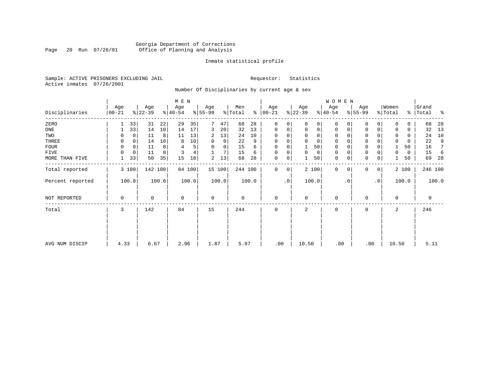### Georgia Department of Corrections Page 20 Run 07/26/01 Office of Planning and Analysis

#### Inmate statistical profile

Sample: ACTIVE PRISONERS EXCLUDING JAIL **Requestor:** Statistics Active inmates 07/26/2001

Number Of Disciplinaries by current age & sex

|                  |                  |       |                  |       | M E N            |        |                 |          |                |       |                   |           |                  |       | W O M E N        |             |                  |             |                  |       |                    |         |
|------------------|------------------|-------|------------------|-------|------------------|--------|-----------------|----------|----------------|-------|-------------------|-----------|------------------|-------|------------------|-------------|------------------|-------------|------------------|-------|--------------------|---------|
| Disciplinaries   | Age<br>$00 - 21$ |       | Age<br>$ 22-39 $ |       | Age<br>$ 40-54 $ |        | Age<br>$ 55-99$ |          | Men<br>% Total | ి     | Age<br>$ 00 - 21$ |           | Age<br>$ 22-39 $ |       | Age<br>$ 40-54 $ |             | Age<br>$8 55-99$ |             | Women<br>% Total |       | Grand<br>%   Total | ಿ       |
| ZERO             |                  | 33    | 31               | 22    | 29               | 35     | 7               | 47       | 68             | 28    | $\mathbf 0$       | 0         | $\Omega$         | 0     | $\mathbf 0$      | O           | 0                |             |                  | U     | 68                 | 28      |
| ONE              |                  | 33    | 14               | 10    | 14               | 17     | 3               | 20       | 32             | 13    | $\mathbf 0$       | 0         | 0                | 0     | $\mathbf 0$      | 0           | 0                | 0           | $\Omega$         | 0     | 32                 | 13      |
| TWO              |                  |       | 11               | 8     | 11               | 13     | 2               | 13       | 24             | 10    |                   |           |                  |       | 0                |             | $\Omega$         |             |                  | 0     | 24                 | 10      |
| THREE            | 0                | 0     | 14               | 10    | 8                | 10     | 0               | 0        | 22             | 9     | $\Omega$          |           | 0                | 0     | $\mathbf 0$      |             | 0                |             |                  | 0     | 22                 | 9       |
| FOUR             | $\Omega$         | 0     | 11               | 8     | 4                | 5      | $\Omega$        | $\Omega$ | 15             | 6     | $\Omega$          | $\Omega$  |                  | 50    | $\mathbf 0$      | O           | $\Omega$         |             |                  | 50    | 16                 | 7       |
| FIVE             | $\Omega$         | 0     | 11               | 8     | ζ                | 4      |                 | 7        | 15             | 6     | $\Omega$          | 0         | $\Omega$         | 0     | $\mathbf 0$      | $\Omega$    | 0                |             | $\Omega$         | 0     | 15                 | -6      |
| MORE THAN FIVE   |                  | 33    | 50               | 35    | 15               | 18     | 2               | 13       | 68             | 28    | 0                 | 0         |                  | 50    | $\mathbf 0$      | $\mathbf 0$ | $\mathbf 0$      | $\mathbf 0$ |                  | 50    | 69                 | 28      |
| Total reported   |                  | 3 100 | 142 100          |       |                  | 84 100 |                 | 15 100   | 244 100        |       | 0                 | 0         |                  | 2 100 | $\mathbf{0}$     | $\mathbf 0$ | 0                | 0           |                  | 2 100 |                    | 246 100 |
| Percent reported |                  | 100.0 |                  | 100.0 |                  | 100.0  |                 | 100.0    |                | 100.0 |                   | $\cdot$ 0 |                  | 100.0 |                  | . 0         |                  | $\cdot$ 0   |                  | 100.0 |                    | 100.0   |
| NOT REPORTED     | 0                |       | 0                |       | 0                |        | $\mathbf 0$     |          | 0              |       | 0                 |           | 0                |       | 0                |             | 0                |             | 0                |       | 0                  |         |
| Total            | 3                |       | 142              |       | 84               |        | 15              |          | 244            |       | 0                 |           | 2                |       | $\mathbf 0$      |             | 0                |             | 2                |       | 246                |         |
|                  |                  |       |                  |       |                  |        |                 |          |                |       |                   |           |                  |       |                  |             |                  |             |                  |       |                    |         |
|                  |                  |       |                  |       |                  |        |                 |          |                |       |                   |           |                  |       |                  |             |                  |             |                  |       |                    |         |
| AVG NUM DISCIP   | 4.33             |       | 6.67             |       | 2.96             |        | 1.87            |          | 5.07           |       | .00               |           | 10.50            |       | .00              |             | .00              |             | 10.50            |       | 5.11               |         |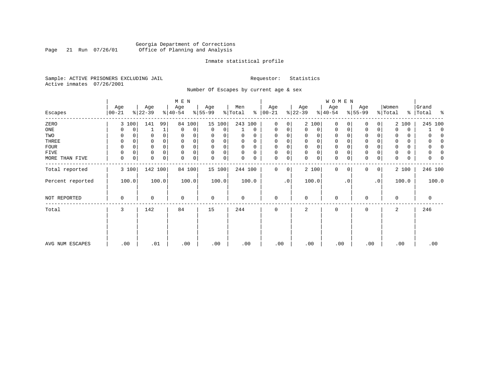### Georgia Department of Corrections<br>Page 21 Run 07/26/01 Office of Planning and Analysis Page 21 Run 07/26/01 Office of Planning and Analysis

#### Inmate statistical profile

Sample: ACTIVE PRISONERS EXCLUDING JAIL **Requestor:** Statistics Active inmates 07/26/2001

Number Of Escapes by current age & sex

|                  |                  |       |                  |       | M E N            |        |                 |        |                |          |                 |    |                  |       | W O M E N        |             |                 |             |                  |       |                    |
|------------------|------------------|-------|------------------|-------|------------------|--------|-----------------|--------|----------------|----------|-----------------|----|------------------|-------|------------------|-------------|-----------------|-------------|------------------|-------|--------------------|
| Escapes          | Age<br>$00 - 21$ |       | Age<br>$ 22-39 $ |       | Age<br>$ 40-54 $ |        | Age<br>$ 55-99$ |        | Men<br>% Total | ៖        | Age<br>$ 00-21$ |    | Age<br>$ 22-39 $ |       | Age<br>$ 40-54 $ |             | Age<br>$ 55-99$ |             | Women<br>% Total |       | Grand<br>% Total % |
|                  |                  |       |                  |       |                  |        |                 |        |                |          |                 |    |                  |       |                  |             |                 |             |                  |       |                    |
| ZERO             |                  | 3 100 | 141              | 99    | 84               | 100    |                 | 15 100 | 243 100        |          | 0               | 0  |                  | 2 100 | $\mathbf 0$      | $\Omega$    | $\Omega$        | 0           |                  | 2 100 | 245 100            |
| ONE              |                  | 0     |                  | 1     | $\mathbf 0$      | 0      | 0               | 0      |                | 0        | $\mathbf 0$     | 0  | 0                | 0     | 0                | 0           | 0               | 0           | $\Omega$         | 0     | $\Omega$           |
| TWO              | 0                | 0     | 0                |       | 0                |        | 0               |        | 0              | O        | $\Omega$        |    | 0                | 0     | 0                | $\Omega$    | $\Omega$        |             | 0                | 0     | O                  |
| THREE            | 0                |       |                  |       | $\Omega$         |        | $\Omega$        |        | 0              | 0        | $\Omega$        |    | 0                | 0     | 0                |             | 0               |             |                  | 0     | O                  |
| <b>FOUR</b>      | $\Omega$         |       |                  |       | $\Omega$         |        | $\Omega$        |        | $\Omega$       | $\Omega$ | $\Omega$        |    | $\Omega$         | 0     | 0                | O           | 0               |             |                  | 0     | O                  |
| FIVE             | 0                | 0     | 0                | 0     | $\mathbf 0$      | 0      | $\mathbf 0$     | 0      | 0              | 0        | $\Omega$        | 0  | 0                | 0     | 0                | $\Omega$    | 0               |             |                  | 0     | 0                  |
| MORE THAN FIVE   | $\mathbf 0$      | 0     | 0                | 0     | $\mathbf 0$      | 0      | $\mathbf 0$     | 0      | 0              | 0        | 0               | 0  | $\mathbf 0$      | 0     | $\mathbf 0$      | 0           | $\mathbf 0$     | $\mathsf 0$ | 0                | 0     | 0                  |
| Total reported   |                  | 3 100 | 142 100          |       |                  | 84 100 |                 | 15 100 | 244 100        |          | $\Omega$        | 0  |                  | 2 100 | $\mathbf{0}$     | $\mathbf 0$ | 0               | 0           |                  | 2 100 | 246 100            |
| Percent reported |                  | 100.0 |                  | 100.0 |                  | 100.0  |                 | 100.0  |                | 100.0    |                 | .0 |                  | 100.0 |                  | . 0         |                 | $\cdot$ 0   |                  | 100.0 | 100.0              |
| NOT REPORTED     | 0                |       | 0                |       | $\mathbf 0$      |        | $\mathbf 0$     |        | 0              |          | $\mathbf 0$     |    | $\mathbf 0$      |       | 0                |             | 0               |             | 0                |       | 0                  |
| Total            | 3                |       | 142              |       | 84               |        | 15              |        | 244            |          | $\mathbf 0$     |    | 2                |       | 0                |             | 0               |             | 2                |       | 246                |
|                  |                  |       |                  |       |                  |        |                 |        |                |          |                 |    |                  |       |                  |             |                 |             |                  |       |                    |
|                  |                  |       |                  |       |                  |        |                 |        |                |          |                 |    |                  |       |                  |             |                 |             |                  |       |                    |
| AVG NUM ESCAPES  | .00              |       | .01              |       |                  | .00    | .00             |        | .00            |          | .00             |    | .00              |       | .00              |             | .00             |             | .00              |       | .00                |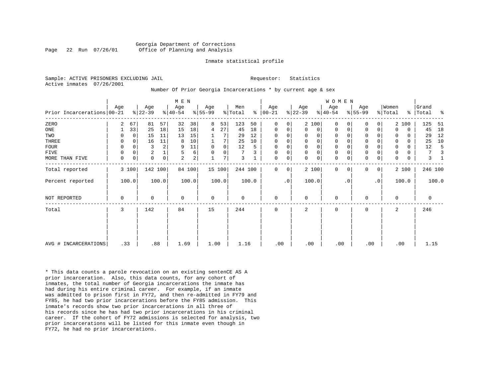#### Georgia Department of Corrections Page 22 Run 07/26/01 Office of Planning and Analysis

#### Inmate statistical profile

Sample: ACTIVE PRISONERS EXCLUDING JAIL **Requestor:** Statistics Active inmates 07/26/2001

#### Number Of Prior Georgia Incarcerations \* by current age & sex

|                            |             |             |                |       | M E N     |                |             |                |             |       |               |                |              |                | <b>WOMEN</b> |           |                     |                |                     |             |         |       |
|----------------------------|-------------|-------------|----------------|-------|-----------|----------------|-------------|----------------|-------------|-------|---------------|----------------|--------------|----------------|--------------|-----------|---------------------|----------------|---------------------|-------------|---------|-------|
|                            | Age         |             | Age            |       | Age       |                | Age         |                | Men         |       | Age           |                | Age          |                | Age          |           | Age                 |                | Women               |             | Grand   |       |
| Prior Incarcerations 00-21 |             |             | $ 22-39$       |       | $ 40-54 $ |                | $8 55-99$   |                | % Total     |       | $8   00 - 21$ |                | $ 22-39 $    |                | $8 40-54$    |           | $ 55-99 $           |                | $\frac{1}{2}$ Total | %           | Total   | ႜ     |
| ZERO                       | 2           | 67          | 81             | 57    | 32        | 38             | 8           | 53             | 123         | 50    | $\Omega$      | $\overline{0}$ |              | 2 100          | $\Omega$     |           | 0                   | $\mathbf 0$    |                     | 2 100       | 125     | 51    |
| ONE                        |             | 33          | 25             | 18    | 15        | 18             | 4           | 27             | 45          | 18    | 0             | 0              | $\Omega$     | $\overline{0}$ | $\Omega$     | 0         | $\mathbf 0$         | $\mathbf 0$    | $\Omega$            | $\mathbf 0$ | 45      | 18    |
| TWO                        | 0           | $\Omega$    | 15             | 11    | 13        | 15             |             |                | 29          | 12    | $\Omega$      | 0              |              | 0              | $\Omega$     |           | 0                   |                | 0                   | $\Omega$    | 29      | 12    |
| THREE                      | 0           | $\Omega$    | 16             | 11    | 8         | 10             |             | 7              | 25          | 10    | $\mathbf 0$   | 0              | $\Omega$     | 0 <sup>1</sup> | 0            |           | $\mathbf 0$         | 0              | $\Omega$            | $\Omega$    | 25      | 10    |
| <b>FOUR</b>                | 0           | $\Omega$    | 3              |       | 9         | 11             | $\mathbf 0$ | $\overline{0}$ | 12          | 5     | 0             | 0              | $\mathbf 0$  | $\mathbf 0$    | 0            |           | $\mathbf 0$         |                | $\mathbf 0$         | 0           | 12      |       |
| FIVE                       | 0           | 0           | $\overline{2}$ |       | 5         | 6              |             | $\overline{0}$ | 7           |       | 0             | 0              | $\mathbf{0}$ | 0 <sup>1</sup> | 0            |           | $\mathbb O$         |                | 0                   | 0           | 7       |       |
| MORE THAN FIVE             | $\mathbf 0$ | $\mathbf 0$ | $\mathbf 0$    | 0     | 2         | $\overline{a}$ |             | 7              | 3           |       | $\mathbf 0$   | 0              | $\Omega$     | 0 <sup>1</sup> | $\mathbf 0$  | 0         | $\mathsf{O}\xspace$ | 0              | 0                   | 0           | 3       |       |
| Total reported             |             | 3 100       | 142 100        |       |           | 84 100         |             | 15 100         | 244 100     |       | $\Omega$      | $\overline{0}$ |              | 2 100          | $\Omega$     | $\Omega$  | 0                   | $\overline{0}$ |                     | 2 100       | 246 100 |       |
| Percent reported           |             | 100.0       |                | 100.0 |           | 100.0          |             | 100.0          |             | 100.0 |               | $\cdot$ 0      |              | 100.0          |              | $\cdot$ 0 |                     | $\cdot$ 0      |                     | 100.0       |         | 100.0 |
| NOT REPORTED               | 0           |             | 0              |       | $\Omega$  |                | $\mathbf 0$ |                | $\mathbf 0$ |       | $\mathbf 0$   |                | $\Omega$     |                | $\mathbf 0$  |           | 0                   |                | $\Omega$            |             | 0       |       |
| Total                      | 3           |             | 142            |       | 84        |                | 15          |                | 244         |       | 0             |                | 2            |                | 0            |           | 0                   |                | 2                   |             | 246     |       |
|                            |             |             |                |       |           |                |             |                |             |       |               |                |              |                |              |           |                     |                |                     |             |         |       |
|                            |             |             |                |       |           |                |             |                |             |       |               |                |              |                |              |           |                     |                |                     |             |         |       |
| AVG # INCARCERATIONS       | .33         |             | .88            |       | 1.69      |                | 1.00        |                | 1.16        |       | .00           |                | .00          |                | .00          |           | .00                 |                | .00                 |             | 1.15    |       |

\* This data counts a parole revocation on an existing sentenCE AS A prior incarceration. Also, this data counts, for any cohort of inmates, the total number of Georgia incarcerations the inmate has had during his entire criminal career. For example, if an inmate was admitted to prison first in FY72, and then re-admitted in FY79 and FY85, he had two prior incarcerations before the FY85 admission. This inmate's records show two prior incarcerations in all three of his records since he has had two prior incarcerations in his criminal career. If the cohort of FY72 admissions is selected for analysis, two prior incarcerations will be listed for this inmate even though in FY72, he had no prior incarcerations.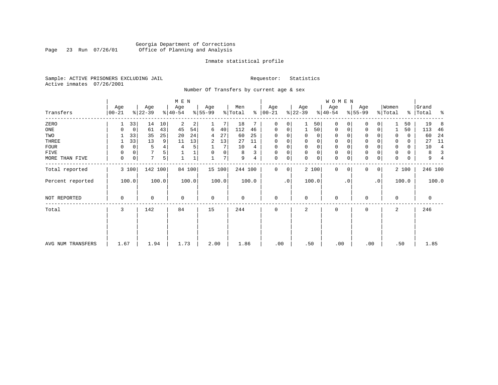### Georgia Department of Corrections Page 23 Run 07/26/01 Office of Planning and Analysis

#### Inmate statistical profile

Sample: ACTIVE PRISONERS EXCLUDING JAIL **Requestor:** Statistics Active inmates 07/26/2001

Number Of Transfers by current age & sex

|                   |                |             |                  |       | M E N            |        |                  |        |                |       |                      |           |                  |          | W O M E N        |          |                  |                |                  |       |                    |       |
|-------------------|----------------|-------------|------------------|-------|------------------|--------|------------------|--------|----------------|-------|----------------------|-----------|------------------|----------|------------------|----------|------------------|----------------|------------------|-------|--------------------|-------|
| Transfers         | Age<br>  00-21 |             | Age<br>$ 22-39 $ |       | Age<br>$8 40-54$ |        | Age<br>$ 55-99 $ |        | Men<br>% Total |       | Age<br>$8   00 - 21$ |           | Age<br>$ 22-39 $ |          | Age<br>$ 40-54 $ |          | Age<br>$8 55-99$ |                | Women<br>% Total |       | Grand<br>%   Total | ႜ     |
|                   |                |             |                  |       |                  |        |                  |        |                |       |                      |           |                  |          |                  |          |                  |                |                  |       |                    |       |
| ZERO              |                | 33          | 14               | 10    | 2                | 2      |                  | 7      | 18             |       | 0                    | 0         |                  | 50       | 0                | 0        | $\Omega$         |                |                  | 50    | 19                 | 8     |
| ONE               |                | 0           | 61               | 43    | 45               | 54     | 6                | 40     | 112            | 46    | 0                    | 0         |                  | 50       | 0                | 0        | $\mathbf 0$      | 0              |                  | 50    | 113                | 46    |
| TWO               |                | 33          | 35               | 25    | 20               | 24     | 4                | 27     | 60             | 25    | $\Omega$             |           | 0                | 0        | 0                |          | $\Omega$         |                | 0                | 0     | 60                 | 24    |
| THREE             |                | 33          | 13               | 9     | 11               | 13     | 2                | 13     | 27             | 11    | 0                    |           | 0                | 0        | 0                |          | $\mathbf 0$      |                | $\Omega$         | 0     | 27                 | 11    |
| <b>FOUR</b>       | 0              | 0           | 5                | 4     | 4                | 5      |                  | 7      | 10             | 4     | $\Omega$             |           | $\Omega$         | $\Omega$ | $\Omega$         |          | $\Omega$         |                | $\Omega$         | 0     | 10                 | 4     |
| FIVE              | 0              | 0           |                  | 5     |                  |        | 0                | 0      | 8              | 3     | $\Omega$             | 0         | $\mathbf 0$      | 0        | 0                |          | $\mathbf 0$      |                | $\Omega$         | 0     | 8                  | 3     |
| MORE THAN FIVE    | 0              | $\mathbf 0$ | $7\overline{ }$  | 5     |                  |        |                  | 7      | 9              | 4     | 0                    | 0         | $\Omega$         | 0        | $\mathbf 0$      | 0        | $\mathbf 0$      | $\mathbf 0$    | 0                | 0     | 9                  |       |
| Total reported    | 3 100          |             | 142 100          |       |                  | 84 100 |                  | 15 100 | 244 100        |       | $\Omega$             | 0         |                  | 2 100    | 0                | $\Omega$ | $\Omega$         | 0 <sup>1</sup> |                  | 2 100 | 246 100            |       |
| Percent reported  | 100.0          |             |                  | 100.0 |                  | 100.0  |                  | 100.0  |                | 100.0 |                      | $\cdot$ 0 |                  | 100.0    |                  | . 0      |                  | $\cdot$ 0      |                  | 100.0 |                    | 100.0 |
| NOT REPORTED      | 0              |             | 0                |       | $\mathbf 0$      |        | $\mathbf 0$      |        | 0              |       | $\mathbf 0$          |           | $\mathbf 0$      |          | $\mathbf 0$      |          | $\Omega$         |                | $\mathbf 0$      |       | 0                  |       |
| Total             | 3              |             | 142              |       | 84               |        | 15               |        | 244            |       | $\mathbf 0$          |           | 2                |          | $\mathbf 0$      |          | 0                |                | 2                |       | 246                |       |
|                   |                |             |                  |       |                  |        |                  |        |                |       |                      |           |                  |          |                  |          |                  |                |                  |       |                    |       |
| AVG NUM TRANSFERS | 1.67           |             | 1.94             |       | 1.73             |        | 2.00             |        | 1.86           |       | .00                  |           | .50              |          | .00              |          | .00              |                | .50              |       | 1.85               |       |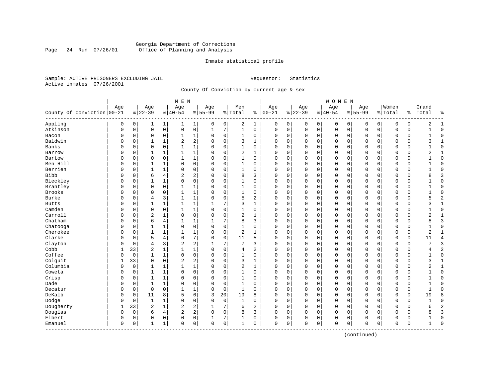#### Georgia Department of Corrections Page 24 Run 07/26/01 Office of Planning and Analysis

#### Inmate statistical profile

Sample: ACTIVE PRISONERS EXCLUDING JAIL **Requestor:** Statistics Active inmates 07/26/2001

County Of Conviction by current age & sex

|                            |             |          |                |              | M E N          |                         |           |             |                |                |              |             |             |             | <b>WOMEN</b> |              |             |             |             |             |              |                |
|----------------------------|-------------|----------|----------------|--------------|----------------|-------------------------|-----------|-------------|----------------|----------------|--------------|-------------|-------------|-------------|--------------|--------------|-------------|-------------|-------------|-------------|--------------|----------------|
|                            | Age         |          | Age            |              | Age            |                         | Age       |             | Men            |                | Age          |             | Age         |             | Age          |              | Age         |             | Women       |             | Grand        |                |
| County Of Conviction 00-21 |             |          | $8 22-39$      |              | $8 40-54$      |                         | $8 55-99$ |             | %   Total      |                | $% 100 - 21$ |             | $ 22-39$    |             | $8 40-54$    |              | $8155 - 99$ |             | % Total     | ႜၟ          | Total        | ႜ              |
| Appling                    | 0           | 0        | 1              | 1            | 1              | $\mathbf 1$             | 0         | 0           | 2              | 1              | 0            | 0           | 0           | 0           | 0            | 0            | 0           | 0           | 0           | 0           | 2            | 1              |
| Atkinson                   | $\mathbf 0$ | 0        | $\mathbf 0$    | $\mathsf{O}$ | $\mathsf 0$    | 0                       | 1         | 7           | $\mathbf{1}$   | $\mathbf 0$    | 0            | 0           | $\mathbf 0$ | $\mathbf 0$ | 0            | $\mathbf 0$  | $\Omega$    | $\mathbf 0$ | O           | 0           | $\mathbf{1}$ | $\mathbf 0$    |
| Bacon                      | 0           | 0        | $\mathbf 0$    | 0            | 1              | 1                       | 0         | 0           | 1              | 0              | O            | 0           | $\Omega$    | 0           | 0            | $\mathbf 0$  | 0           | 0           | O           | 0           | 1            | $\mathbf 0$    |
| Baldwin                    | 0           | 0        | $\mathbf{1}$   | 1            | 2              | 2                       | $\Omega$  | $\mathbf 0$ | 3              | $\mathbf{1}$   | $\Omega$     | 0           | $\Omega$    | $\mathbf 0$ | $\Omega$     | $\mathbf 0$  | $\Omega$    | $\Omega$    | $\Omega$    | 0           | 3            | $\mathbf{1}$   |
| Banks                      | O           | 0        | $\mathbf 0$    | $\mathbf 0$  | $\mathbf{1}$   | $\mathbf 1$             | $\Omega$  | $\mathbf 0$ | $\mathbf{1}$   | $\Omega$       | $\cap$       | 0           | $\Omega$    | $\Omega$    | $\Omega$     | $\sqrt{ }$   | $\Omega$    | $\Omega$    | $\cap$      | $\Omega$    |              | $\mathbf 0$    |
| Barrow                     | U           | 0        | 1              | 1            | $\mathbf{1}$   | 1                       | $\Omega$  | $\mathbf 0$ | $\overline{2}$ | $\mathbf{1}$   | $\Omega$     | 0           | $\Omega$    | $\Omega$    | 0            | $\Omega$     | $\Omega$    | $\Omega$    | $\Omega$    | 0           | 2            | 1              |
| Bartow                     | 0           | 0        | $\mathbf 0$    | $\mathbf 0$  | $\mathbf{1}$   | $\mathbf 1$             | $\Omega$  | $\mathbf 0$ | 1              | 0              | 0            | 0           | $\Omega$    | 0           | 0            | 0            | $\Omega$    | 0           | $\Omega$    | 0           |              | $\mathbf 0$    |
| Ben Hill                   | 0           | 0        | 1              | 1            | 0              | 0                       | $\Omega$  | $\mathbf 0$ | 1              | 0              | C            | 0           | $\Omega$    | $\mathbf 0$ | 0            | 0            | $\Omega$    | 0           | 0           | 0           |              | $\mathbf 0$    |
| Berrien                    | 0           | 0        | $\mathbf{1}$   | $\mathbf{1}$ | $\Omega$       | 0                       | $\Omega$  | $\mathbf 0$ | $\mathbf{1}$   | $\Omega$       | $\Omega$     | 0           | $\Omega$    | $\Omega$    | $\Omega$     | $\mathbf 0$  | $\Omega$    | $\Omega$    | $\Omega$    | 0           | $\mathbf{1}$ | $\Omega$       |
| <b>Bibb</b>                | O           | 0        | 6              | 4            | 2              | 2                       | $\Omega$  | $\mathbf 0$ | 8              | 3              | $\Omega$     | 0           | $\Omega$    | 0           | 0            | $\mathbf 0$  | $\Omega$    | $\Omega$    | $\Omega$    | 0           | 8            | 3              |
| Bleckley                   | O           | 0        | $\mathbf{1}$   | $\mathbf{1}$ | $\mathbf 0$    | 0                       | $\Omega$  | $\mathbf 0$ | $\mathbf{1}$   | 0              | $\Omega$     | 0           | $\Omega$    | $\mathbf 0$ | $\Omega$     | $\mathbf 0$  | $\Omega$    | $\Omega$    | $\Omega$    | $\Omega$    |              | $\mathbf 0$    |
| Brantley                   | U           | 0        | $\mathbf 0$    | $\mathbf 0$  | $\mathbf{1}$   | 1                       | $\Omega$  | $\mathbf 0$ | 1              | $\Omega$       | $\Omega$     | 0           | $\Omega$    | $\mathbf 0$ | $\Omega$     | $\mathbf 0$  | $\Omega$    | $\Omega$    | $\mathbf 0$ | 0           |              | $\mathbf 0$    |
| Brooks                     | U           | 0        | $\mathbf 0$    | 0            | 1              | 1                       | $\Omega$  | $\mathbf 0$ | 1              | 0              | O            | 0           | $\Omega$    | 0           | 0            | 0            | 0           | 0           | 0           | 0           |              | $\mathbf 0$    |
| Burke                      | 0           | 0        | 4              | 3            | 1              | 1                       | 0         | $\mathbf 0$ | 5              | $\overline{a}$ | $\Omega$     | 0           | $\Omega$    | 0           | 0            | $\mathbf 0$  | $\Omega$    | 0           | O           | 0           | 5            | $\overline{c}$ |
| <b>Butts</b>               | 0           | 0        | $\mathbf{1}$   | 1            | 1              | 1                       | 1         | 7           | 3              | 1              | $\Omega$     | 0           | $\Omega$    | 0           | 0            | $\Omega$     | $\Omega$    | 0           | $\Omega$    | 0           | 3            | $\mathbf{1}$   |
| Camden                     | O           | 0        | $\mathbf 0$    | 0            | $\mathbf{1}$   | 1                       | $\Omega$  | $\mathbf 0$ | 1              | 0              | $\Omega$     | 0           | $\Omega$    | 0           | 0            | $\Omega$     | $\Omega$    | 0           | $\Omega$    | 0           |              | $\mathbf 0$    |
| Carroll                    | O           | $\Omega$ | $\overline{c}$ | 1            | $\Omega$       | 0                       | $\Omega$  | $\mathbf 0$ | 2              | 1              | C            | 0           | $\Omega$    | $\Omega$    | $\Omega$     | $\mathbf 0$  | $\Omega$    | $\Omega$    | $\Omega$    | $\Omega$    | 2            | $\mathbf{1}$   |
| Chatham                    | U           | 0        | 6              | 4            | $\mathbf{1}$   | 1                       | 1         | 7           | 8              | 3              | O            | 0           | $\Omega$    | 0           | 0            | 0            | $\Omega$    | $\Omega$    | $\Omega$    | 0           | 8            | 3              |
| Chatooga                   | 0           | 0        | 1              | $\mathbf{1}$ | 0              | 0                       | $\Omega$  | $\mathbf 0$ | 1              | 0              | O            | 0           | $\Omega$    | 0           | 0            | $\mathbf 0$  | 0           | 0           | 0           | 0           |              | $\mathbf 0$    |
| Cherokee                   | 0           | 0        | 1              | 1            | 1              | 1                       | $\Omega$  | $\mathbf 0$ | $\overline{2}$ | $\mathbf{1}$   | $\Omega$     | 0           | $\Omega$    | 0           | 0            | $\mathbf 0$  | $\Omega$    | 0           | O           | 0           | 2            | $\mathbf{1}$   |
| Clarke                     | 0           | 0        | 5              | 4            | 6              | 7                       | $\Omega$  | $\mathbf 0$ | 11             | 5              | $\Omega$     | 0           | $\Omega$    | $\mathbf 0$ | $\Omega$     | $\mathbf 0$  | $\Omega$    | $\Omega$    | $\Omega$    | $\mathbf 0$ | 11           | 4              |
| Clayton                    | U           | 0        | $\overline{4}$ | 3            | 2              | $\overline{\mathbf{c}}$ |           | 7           | 7              | 3              | $\Omega$     | 0           | $\Omega$    | 0           | 0            | $\mathbf 0$  | $\Omega$    | 0           | $\Omega$    | 0           |              | 3              |
| Cobb                       |             | 33       | $\overline{c}$ | $\mathbf{1}$ | $\mathbf{1}$   | 1                       | $\Omega$  | $\mathbf 0$ | 4              | 2              | O            | 0           | $\Omega$    | 0           | $\Omega$     | $\mathbf 0$  | $\Omega$    | 0           | $\Omega$    | $\Omega$    | 4            | $\overline{2}$ |
| Coffee                     | U           | 0        | 1              | 1            | $\mathbf 0$    | 0                       | $\Omega$  | 0           | 1              | 0              | $\Omega$     | 0           | $\Omega$    | 0           | 0            | 0            | $\Omega$    | $\Omega$    | $\mathbf 0$ | 0           | 1            | $\mathbf 0$    |
| Colquit                    | 1           | 33       | $\mathbf 0$    | $\mathbf 0$  | $\overline{2}$ | 2                       | $\Omega$  | $\mathbf 0$ | 3              | 1              | $\mathbf 0$  | 0           | $\Omega$    | 0           | 0            | 0            | 0           | 0           | $\mathbf 0$ | 0           | 3            | 1              |
| Columbia                   | 0           | 0        | 1              | $\mathbf{1}$ | $\mathbf{1}$   | $\mathbf 1$             | $\Omega$  | $\mathbf 0$ | $\overline{2}$ | $\mathbf{1}$   | $\Omega$     | 0           | $\Omega$    | $\mathbf 0$ | $\Omega$     | $\mathbf 0$  | $\Omega$    | $\Omega$    | $\Omega$    | 0           | 2            | $\mathbf{1}$   |
| Coweta                     | 0           | 0        | $\mathbf{1}$   | $\mathbf{1}$ | $\mathbf 0$    | 0                       | $\Omega$  | $\mathbf 0$ | $\mathbf{1}$   | $\Omega$       | $\Omega$     | 0           | $\Omega$    | $\mathbf 0$ | $\Omega$     | $\Omega$     | $\Omega$    | $\Omega$    | $\Omega$    | 0           | 1            | $\mathbf 0$    |
| Crisp                      | 0           | 0        | $\mathbf{1}$   | 1            | $\Omega$       | 0                       | $\Omega$  | 0           | 1              | 0              | $\Omega$     | 0           | $\Omega$    | 0           | 0            | 0            | $\Omega$    | 0           | $\Omega$    | 0           |              | $\mathbf 0$    |
| Dade                       | 0           | 0        | $\mathbf{1}$   | 1            | $\Omega$       | 0                       | $\Omega$  | $\mathbf 0$ | 1              | 0              | C            | 0           | $\Omega$    | $\Omega$    | 0            | $\Omega$     | $\Omega$    | 0           | $\Omega$    | $\Omega$    |              | $\mathbf 0$    |
| Decatur                    | 0           | 0        | $\mathbf 0$    | 0            | $\mathbf{1}$   | 1                       | 0         | 0           | 1              | 0              | $\Omega$     | 0           | $\Omega$    | 0           | $\Omega$     | $\mathsf{C}$ | $\Omega$    | $\Omega$    | $\mathbf 0$ | 0           | $\mathbf{1}$ | $\Omega$       |
| DeKalb                     | 0           | 0        | 11             | 8            | 5              | 6                       | 3         | 20          | 19             | 8              | $\mathbf 0$  | 0           | $\Omega$    | $\mathbf 0$ | $\Omega$     | $\mathbf 0$  | $\Omega$    | $\Omega$    | $\Omega$    | 0           | 19           | 8              |
| Dodge                      | 0           | 0        | $\mathbf{1}$   | $\mathbf{1}$ | $\Omega$       | 0                       | $\Omega$  | $\mathbf 0$ | $\mathbf{1}$   | $\Omega$       | $\Omega$     | $\mathbf 0$ | $\Omega$    | $\mathbf 0$ | $\Omega$     | $\mathbf 0$  | $\Omega$    | $\mathbf 0$ | $\Omega$    | 0           |              | $\mathbf 0$    |
| Dougherty                  | 1           | 33       | $\overline{2}$ | $\mathbf{1}$ | $\sqrt{2}$     | 2                       | 1         | 7           | 6              | $\overline{c}$ | $\Omega$     | 0           | $\Omega$    | 0           | $\Omega$     | $\mathbf 0$  | $\Omega$    | $\Omega$    | $\Omega$    | 0           | 6            | $\overline{c}$ |
| Douglas                    | 0           | 0        | 6              | 4            | 2              | 2                       | $\Omega$  | $\mathbf 0$ | 8              | 3              | $\Omega$     | 0           | $\Omega$    | 0           | 0            | 0            | $\Omega$    | 0           | $\Omega$    | 0           | 8            | 3              |
| Elbert                     | 0           | 0        | $\mathbf 0$    | 0            | 0              | 0                       |           | 7           | 1              | 0              | 0            | 0           | $\Omega$    | 0           | 0            | 0            | 0           | 0           | $\Omega$    | 0           |              | $\mathbf 0$    |
| Emanuel<br>---------       | $\mathbf 0$ | 0        | 1              | $\mathbf{1}$ | 0              | 0                       | 0         | 0           | 1              | 0              | 0            | 0           | $\Omega$    | 0           | 0            | 0            | $\Omega$    | 0           | $\mathbf 0$ | 0           | 1            | $\bigcap$      |

(continued)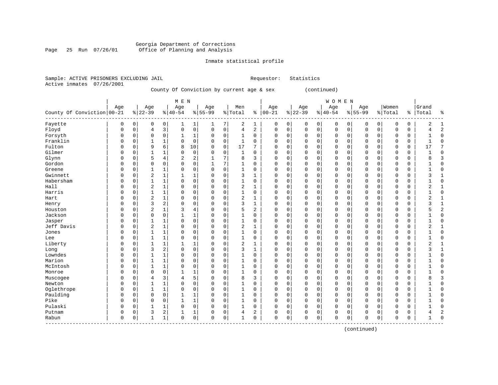#### Georgia Department of Corrections Page 25 Run 07/26/01 Office of Planning and Analysis

#### Inmate statistical profile

|                           | Sample: ACTIVE PRISONERS EXCLUDING JAIL | Requestor: Statistics |  |
|---------------------------|-----------------------------------------|-----------------------|--|
| Active inmates 07/26/2001 |                                         |                       |  |

### County Of Conviction by current age & sex (continued)

|                            |          |          |                |                | M E N          |             |           |             |                |              |             |          |          |             | WOMEN       |          |              |             |             |             |                |                             |
|----------------------------|----------|----------|----------------|----------------|----------------|-------------|-----------|-------------|----------------|--------------|-------------|----------|----------|-------------|-------------|----------|--------------|-------------|-------------|-------------|----------------|-----------------------------|
|                            | Age      |          | Age            |                | Age            |             | Age       |             | Men            |              | Age         |          | Age      |             | Age         |          | Age          |             | Women       |             | Grand          |                             |
| County Of Conviction 00-21 |          |          | $ 22-39$       |                | $ 40-54$       |             | $8 55-99$ |             | % Total        | ႜ            | $ 00-21$    |          | $ 22-39$ |             | $ 40-54$    |          | $8 55-99$    |             | % Total     | ႜႂ          | Total          | ٩,                          |
| Fayette                    | 0        | 0        | 0              | 0              | 1              | 1           | 1         | 7           | 2              | 1            | 0           | 0        | 0        | $\mathbf 0$ | 0           | 0        | 0            | 0           | 0           | 0           | $\overline{2}$ | $\mathbf{1}$                |
| Floyd                      | $\Omega$ | 0        | 4              | 3              | $\mathbf 0$    | $\mathbf 0$ | 0         | $\mathbf 0$ | $\overline{4}$ | 2            | $\mathbf 0$ | 0        | $\Omega$ | $\mathbf 0$ | $\mathbf 0$ | 0        | $\mathbf{0}$ | $\mathbf 0$ | $\mathbf 0$ | $\mathbf 0$ | 4              | $\overline{2}$              |
| Forsyth                    | 0        | $\Omega$ | $\Omega$       | $\mathbf 0$    | 1              | 1           | $\Omega$  | $\mathbf 0$ | 1              | 0            | 0           | $\Omega$ | $\Omega$ | $\Omega$    | 0           | 0        | $\mathbf 0$  | $\Omega$    | 0           | 0           | 1              | $\Omega$                    |
| Franklin                   | $\Omega$ | $\Omega$ | $\mathbf{1}$   | $\mathbf 1$    | $\Omega$       | $\mathbf 0$ | 0         | $\mathbf 0$ | $\mathbf{1}$   | $\mathbf 0$  | 0           | $\Omega$ | $\Omega$ | $\mathbf 0$ | 0           | 0        | $\Omega$     | $\Omega$    | 0           | 0           | 1              | $\Omega$                    |
| Fulton                     | $\Omega$ | $\Omega$ | 9              | 6              | 8              | 10          | 0         | 0           | 17             | 7            | 0           | 0        | $\Omega$ | $\mathbf 0$ | 0           | 0        | $\mathbf 0$  | $\Omega$    | $\mathbf 0$ | 0           | 17             |                             |
| Gilmer                     | $\Omega$ | 0        | $\mathbf{1}$   | $\mathbf 1$    | $\Omega$       | $\mathbf 0$ | $\Omega$  | $\mathbf 0$ | $\mathbf{1}$   | 0            | 0           | 0        | $\Omega$ | $\mathbf 0$ | 0           | 0        | $\mathbf 0$  | $\mathbf 0$ | $\mathbf 0$ | $\mathbf 0$ |                | $\Omega$                    |
| Glynn                      | $\Omega$ | $\Omega$ | 5              | 4              | $\overline{2}$ | 2           | 1         | 7           | 8              | 3            | $\Omega$    | 0        | $\Omega$ | $\Omega$    | 0           | 0        | $\mathbf 0$  | $\Omega$    | $\Omega$    | $\mathbf 0$ | 8              | 3                           |
| Gordon                     | $\Omega$ | $\Omega$ | $\mathbf 0$    | 0              | $\Omega$       | 0           | 1         | 7           | 1              | $\mathbf 0$  | 0           | 0        | $\Omega$ | 0           | 0           | 0        | $\mathbf 0$  | 0           | 0           | 0           |                | $\Omega$                    |
| Greene                     | $\Omega$ | 0        | $\mathbf{1}$   | $\mathbf 1$    | $\Omega$       | 0           | $\Omega$  | 0           | $\mathbf{1}$   | 0            | $\Omega$    | 0        | $\Omega$ | $\mathbf 0$ | $\mathbf 0$ | 0        | $\mathbf 0$  | 0           | $\mathbf 0$ | $\mathsf 0$ |                | $\Omega$                    |
| Gwinnett                   | $\Omega$ | $\Omega$ | $\overline{2}$ | 1              |                | 1           | 0         | $\mathbf 0$ | 3              | 1            | 0           | 0        | $\Omega$ | 0           | 0           | 0        | $\mathbf 0$  | $\mathbf 0$ | 0           | 0           | 3              | 1                           |
| Habersham                  | $\Omega$ | O        | $\mathbf{1}$   | $\mathbf 1$    | $\Omega$       | $\mathbf 0$ | $\Omega$  | $\mathbf 0$ | $\mathbf{1}$   | $\Omega$     | $\Omega$    | $\Omega$ | $\Omega$ | $\Omega$    | $\Omega$    | $\Omega$ | $\Omega$     | $\Omega$    | $\Omega$    | $\mathbf 0$ |                | $\Omega$                    |
| Hall                       | $\Omega$ | O        | $\overline{2}$ | $\mathbf{1}$   | $\Omega$       | $\mathbf 0$ | 0         | $\Omega$    | $\overline{c}$ | 1            | $\Omega$    | $\Omega$ | $\Omega$ | $\Omega$    | $\Omega$    | $\Omega$ | $\Omega$     | $\Omega$    | $\Omega$    | $\Omega$    | 2              | -1                          |
| Harris                     | $\Omega$ | $\Omega$ | $\mathbf{1}$   | $\mathbf{1}$   | $\Omega$       | $\mathbf 0$ | O         | $\Omega$    | 1              | $\mathbf 0$  | $\Omega$    | $\Omega$ | $\Omega$ | $\Omega$    | $\Omega$    | $\Omega$ | $\Omega$     | $\Omega$    | $\Omega$    | 0           | 1              | $\Omega$                    |
| Hart                       | $\Omega$ | $\Omega$ | $\overline{2}$ | $\mathbf 1$    | $\Omega$       | $\mathbf 0$ | 0         | $\mathbf 0$ | $\overline{2}$ | 1            | 0           | 0        | $\Omega$ | $\mathbf 0$ | 0           | 0        | $\mathbf 0$  | $\Omega$    | $\Omega$    | $\mathbf 0$ | $\overline{2}$ |                             |
| Henry                      | $\Omega$ | $\Omega$ | 3              | 2              | $\Omega$       | $\mathbf 0$ | $\Omega$  | $\mathbf 0$ | 3              | $\mathbf 1$  | 0           | 0        | $\Omega$ | $\mathbf 0$ | 0           | 0        | $\mathbf 0$  | $\mathbf 0$ | $\Omega$    | $\mathbf 0$ | 3              | $\mathbf{1}$                |
| Houston                    | 0        | 0        | $\overline{2}$ | 1              | 3              | 4           | 0         | 0           | 5              | 2            | 0           | 0        | 0        | $\mathbf 0$ | 0           | 0        | $\Omega$     | $\mathbf 0$ | $\Omega$    | $\mathbf 0$ | 5              | $\overline{c}$              |
| Jackson                    | $\Omega$ | $\Omega$ | $\Omega$       | $\mathbf 0$    | 1              | 1           | $\Omega$  | 0           | $\mathbf{1}$   | $\Omega$     | $\Omega$    | 0        | $\Omega$ | 0           | 0           | 0        | $\mathbf 0$  | $\Omega$    | $\Omega$    | 0           | 1              | $\Omega$                    |
| Jasper                     | $\Omega$ | $\Omega$ | $\mathbf{1}$   | $\mathbf 1$    | $\Omega$       | $\mathbf 0$ | $\Omega$  | $\mathbf 0$ | $\mathbf{1}$   | 0            | $\Omega$    | 0        | $\Omega$ | $\mathbf 0$ | $\mathbf 0$ | 0        | $\Omega$     | $\mathbf 0$ | $\mathbf 0$ | $\mathbf 0$ | 1              | $\Omega$                    |
| Jeff Davis                 | $\Omega$ | 0        | $\overline{2}$ | 1              | $\Omega$       | $\mathbf 0$ | $\Omega$  | $\mathbf 0$ | $\overline{2}$ | 1            | $\Omega$    | 0        | $\Omega$ | $\mathbf 0$ | $\mathbf 0$ | 0        | $\mathbf 0$  | $\mathbf 0$ | 0           | $\mathbf 0$ | $\overline{2}$ |                             |
| Jones                      | $\Omega$ | $\Omega$ | $\mathbf{1}$   | $\mathbf 1$    | $\Omega$       | $\mathbf 0$ | $\Omega$  | $\mathbf 0$ | $\mathbf{1}$   | $\Omega$     | $\Omega$    | 0        | $\Omega$ | $\mathbf 0$ | $\Omega$    | 0        | $\mathbf 0$  | $\Omega$    | $\Omega$    | $\mathbf 0$ |                | $\Omega$                    |
| Lee                        | $\Omega$ | $\Omega$ | $\mathbf{1}$   | $\mathbf 1$    | $\Omega$       | 0           | $\Omega$  | $\Omega$    | $\mathbf{1}$   | 0            | 0           | 0        | $\Omega$ | $\mathbf 0$ | $\mathbf 0$ | 0        | $\mathbf 0$  | $\mathbf 0$ | $\mathbf 0$ | $\mathbf 0$ |                | $\Omega$                    |
| Liberty                    | $\Omega$ | $\Omega$ | $\mathbf{1}$   | $\mathbf 1$    | 1              | 1           | $\Omega$  | $\Omega$    | $\overline{2}$ | $\mathbf 1$  | $\mathbf 0$ | $\Omega$ | $\Omega$ | $\mathbf 0$ | $\mathbf 0$ | 0        | $\mathbf 0$  | $\Omega$    | $\mathbf 0$ | $\mathbf 0$ | $\overline{2}$ | $\mathbf{1}$                |
| Long                       | $\Omega$ | $\Omega$ | 3              | $\overline{a}$ | $\Omega$       | $\mathbf 0$ | $\Omega$  | $\mathbf 0$ | 3              | $\mathbf{1}$ | $\mathbf 0$ | $\Omega$ | $\Omega$ | $\mathbf 0$ | $\mathbf 0$ | 0        | $\mathbf 0$  | $\Omega$    | $\mathbf 0$ | $\mathbf 0$ | 3              | 1                           |
| Lowndes                    | $\Omega$ | $\Omega$ | $\mathbf{1}$   | $\mathbf{1}$   | $\Omega$       | $\mathbf 0$ | 0         | $\Omega$    | $\mathbf{1}$   | $\mathbf 0$  | $\Omega$    | $\Omega$ | $\Omega$ | $\Omega$    | $\Omega$    | $\Omega$ | $\Omega$     | $\Omega$    | $\Omega$    | 0           |                | $\Omega$                    |
| Marion                     | $\Omega$ | $\Omega$ | $\mathbf{1}$   | $\mathbf 1$    | $\Omega$       | $\mathbf 0$ | 0         | $\mathbf 0$ | $\mathbf{1}$   | $\Omega$     | 0           | 0        | 0        | $\mathbf 0$ | 0           | 0        | $\mathbf 0$  | $\Omega$    | $\Omega$    | $\mathbf 0$ |                | $\Omega$                    |
| McIntosh                   | $\Omega$ | $\Omega$ | $\mathbf{1}$   | $\mathbf 1$    | $\Omega$       | 0           | 0         | $\mathbf 0$ | $\mathbf{1}$   | 0            | 0           | 0        | 0        | $\mathbf 0$ | 0           | 0        | $\mathbf 0$  | $\mathbf 0$ | 0           | 0           |                | $\Omega$                    |
| Monroe                     | $\Omega$ | $\Omega$ | $\mathbf 0$    | 0              | 1              | 1           | 0         | 0           | $\mathbf{1}$   | 0            | 0           | 0        | $\Omega$ | 0           | 0           | 0        | $\mathbf 0$  | $\mathbf 0$ | 0           | 0           |                | $\Omega$                    |
| Muscogee                   | $\Omega$ | $\Omega$ | 4              | 3              | 4              | 5           | $\Omega$  | $\mathbf 0$ | 8              | 3            | $\Omega$    | $\Omega$ | $\Omega$ | $\Omega$    | 0           | $\Omega$ | $\Omega$     | $\Omega$    | $\Omega$    | $\Omega$    | 8              | 3                           |
| Newton                     | $\Omega$ | $\Omega$ | $\mathbf{1}$   | $\mathbf{1}$   | $\Omega$       | $\mathbf 0$ | 0         | $\mathbf 0$ | 1              | $\Omega$     | $\Omega$    | 0        | $\Omega$ | 0           | 0           | 0        | $\mathbf 0$  | 0           | $\Omega$    | 0           |                | $\Omega$                    |
| Oglethrope                 | $\Omega$ | $\Omega$ | $\mathbf{1}$   | $\mathbf{1}$   | $\Omega$       | 0           | 0         | $\mathbf 0$ | 1              | $\Omega$     | $\Omega$    | 0        | $\Omega$ | $\Omega$    | 0           | 0        | $\mathbf 0$  | $\mathbf 0$ | $\Omega$    | 0           |                | $\Omega$                    |
| Paulding                   | $\Omega$ | $\Omega$ | $\Omega$       | 0              | $\mathbf{1}$   | 1           | 0         | $\Omega$    | 1              | 0            | 0           | 0        | $\Omega$ | 0           | $\mathbf 0$ | 0        | $\mathbf 0$  | 0           | $\Omega$    | 0           |                | $\sqrt{ }$                  |
| Pike                       | $\Omega$ | $\Omega$ | $\Omega$       | $\mathbf 0$    | $\mathbf{1}$   | $\mathbf 1$ | $\Omega$  | $\Omega$    | $\mathbf{1}$   | 0            | $\mathbf 0$ | 0        | $\Omega$ | $\mathbf 0$ | $\mathbf 0$ | 0        | $\mathbf 0$  | $\Omega$    | $\mathbf 0$ | 0           |                | $\Omega$                    |
| Pulaski                    | 0        | O        | $\mathbf{1}$   | 1              | $\Omega$       | $\mathbf 0$ | $\Omega$  | $\Omega$    | 1              | 0            | $\Omega$    | $\Omega$ | $\Omega$ | $\Omega$    | $\Omega$    | 0        | $\Omega$     | $\Omega$    | $\Omega$    | $\Omega$    |                | ſ                           |
| Putnam                     | $\Omega$ | 0        | 3              | 2              |                | 1           | 0         | 0           | 4              | 2            | 0           | 0        | $\Omega$ | 0           | 0           | 0        | $\mathbf 0$  | 0           | 0           | 0           | 4              | 2                           |
| Rabun                      | $\Omega$ | 0        | $\mathbf{1}$   | $\mathbf 1$    | $\Omega$       | 0           | $\Omega$  | 0           | 1              | 0            | O           | 0        | $\Omega$ | $\mathbf 0$ | $\mathbf 0$ | 0        | $\mathbf{0}$ | 0           | 0           | 0           | 1              | $\mathcal{C}_{\mathcal{C}}$ |

------------------------------------------------------------------------------------------------------------------------------------

(continued)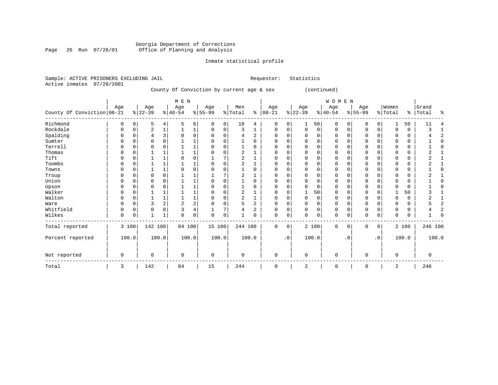#### Georgia Department of Corrections Page 26 Run 07/26/01 Office of Planning and Analysis

# Inmate statistical profile

| Sample: ACTIVE PRISONERS EXCLUDING JAIL    |            |         |            |                                           |                      | Requestor: | Statistics |              |         |                      |         |
|--------------------------------------------|------------|---------|------------|-------------------------------------------|----------------------|------------|------------|--------------|---------|----------------------|---------|
| Active inmates                             | 07/26/2001 |         |            |                                           |                      |            |            |              |         |                      |         |
|                                            |            |         |            | County Of Conviction by current age & sex |                      |            |            | (continued)  |         |                      |         |
|                                            |            |         |            | M E N                                     |                      |            |            | <b>WOMEN</b> |         |                      |         |
|                                            |            | Aqe     | Aqe<br>Aqe | Aqe                                       | Men                  | Age        | Age        | Age          | Age     | 'Women               | Grand   |
| $G$ ountu $G$ f $G$ onu $H$ ation $100.21$ |            | eloo oo | 0.110E1    | eltt oo                                   | $0.1 \text{m} + 0.1$ | $\sqrt{2}$ | eloo oo    | 0.110E1      | ALEE 00 | $0.1 \text{m} + 0.1$ | $m0+01$ |

| County Of Conviction 00-21 | nyu         |       | nyu<br>$ 22-39 $ |   | nyu<br>$8 40-54$ |                | nyu<br>$8 55-99$ |       | <b>TIMTT</b><br>% Total |       | $-19$<br>$% 00-21$ |             | nyu<br>$ 22-39 $ |             | $-19$<br>$ 40-54$ |           | nyu<br>$ 55-99 $ |           | 11011211<br>% Total | နွ       | ui uitu<br>Total | ٩,    |
|----------------------------|-------------|-------|------------------|---|------------------|----------------|------------------|-------|-------------------------|-------|--------------------|-------------|------------------|-------------|-------------------|-----------|------------------|-----------|---------------------|----------|------------------|-------|
|                            |             |       |                  |   |                  |                |                  |       |                         |       |                    |             |                  |             |                   |           |                  |           |                     |          |                  |       |
| Richmond                   |             |       | 5                | 4 |                  | 6              | 0                | 0     | 10                      | 4     | 0                  | 0           |                  | 50          | $\mathbf 0$       |           | $\mathbf 0$      | 0         |                     | 50       | 11               |       |
| Rockdale                   |             |       | 2                |   |                  |                | U                | 0     | 3                       |       | O                  | 0           | 0                | $\mathbf 0$ | $\mathbf 0$       | O         | 0                | 0         |                     | 0        |                  |       |
| Spalding                   |             |       |                  |   |                  | $\Omega$       |                  |       |                         | 2     |                    |             |                  | $\cap$      | 0                 |           |                  |           |                     | 0        |                  |       |
| Sumter                     |             |       |                  |   |                  |                |                  |       |                         |       |                    |             |                  | $\cap$      | 0                 |           | $\Omega$         |           |                     | 0        |                  |       |
| Terrell                    |             |       |                  |   |                  |                |                  |       |                         |       |                    |             |                  | $\cap$      | $\Omega$          |           |                  |           |                     | $\Omega$ |                  |       |
| Thomas                     |             |       |                  |   |                  |                |                  |       |                         |       |                    |             |                  | $\Omega$    | 0                 |           | 0                |           |                     | 0        |                  |       |
| Tift                       |             |       |                  |   |                  | $\Omega$       |                  |       |                         |       |                    |             |                  | $\Omega$    | 0                 |           | $\Omega$         |           |                     | 0        |                  |       |
| Toombs                     |             |       |                  |   |                  |                |                  |       |                         |       |                    | $\Omega$    |                  | $\Omega$    | $\Omega$          |           |                  |           |                     | $\Omega$ |                  |       |
| Towns                      |             |       |                  |   |                  | $\Omega$       |                  |       |                         |       |                    |             |                  | $\Omega$    | $\Omega$          |           | O                |           |                     | 0        |                  |       |
| Troup                      |             |       | U                |   |                  |                |                  |       |                         |       |                    |             |                  | $\Omega$    | O                 |           | $\Omega$         |           |                     | 0        |                  |       |
| Union                      |             |       |                  |   |                  |                |                  |       |                         |       |                    |             |                  | $\cap$      | $\Omega$          |           |                  |           |                     | 0        |                  |       |
| Upson                      |             |       |                  |   |                  |                |                  |       |                         |       |                    |             |                  | $\Omega$    | $\Omega$          |           | O                |           |                     | 0        |                  |       |
| Walker                     |             |       |                  |   |                  |                |                  |       |                         |       |                    |             |                  | 50          | O                 |           | $\Omega$         |           |                     | 50       |                  |       |
| Walton                     | $\Omega$    |       |                  |   |                  |                |                  |       |                         |       |                    |             |                  | $\Omega$    | $\Omega$          |           | $\Omega$         |           |                     | 0        |                  |       |
| Ware                       |             |       |                  |   | 2                | $\overline{2}$ |                  |       |                         |       | O                  |             |                  | $\Omega$    | $\Omega$          |           | $\Omega$         |           |                     | 0        |                  |       |
| Whitfield                  |             |       |                  |   |                  |                |                  |       |                         |       |                    | 0           |                  | $\Omega$    | $\Omega$          |           | 0                |           |                     | 0        |                  |       |
| Wilkes                     | 0           | 0     |                  |   | $\Omega$         | 0              | 0                | 0     |                         |       | 0                  | 0           | O                | $\mathbf 0$ | $\mathbf 0$       | 0         | $\mathbf 0$      | 0         | $\Omega$            | 0        |                  |       |
| Total reported             |             | 3 100 | 142 100          |   | 84 100           |                | 15 100           |       | 244 100                 |       | $\mathbf 0$        | $\mathbf 0$ |                  | 2 100       | $\mathbf 0$       | $\Omega$  | $\mathbf 0$      | 0         |                     | 2 100    | 246 100          |       |
| Percent reported           |             | 100.0 | 100.0            |   |                  | 100.0          |                  | 100.0 |                         | 100.0 |                    | $\cdot$ 0   |                  | 100.0       |                   | $\cdot$ 0 |                  | $\cdot$ 0 |                     | 100.0    |                  | 100.0 |
| Not reported               | $\mathbf 0$ |       | 0                |   | $\Omega$         |                | $\mathbf 0$      |       | $\mathbf 0$             |       | $\mathbf 0$        |             | $\mathbf 0$      |             | $\mathbf 0$       |           | $\mathbf 0$      |           | $\Omega$            |          | U                |       |
| Total                      | 3           |       | 142              |   | 84               |                | 15               |       | 244                     |       | $\mathbf 0$        |             | 2                |             | $\mathbf 0$       |           | $\mathbf 0$      |           | 2                   |          | 246              |       |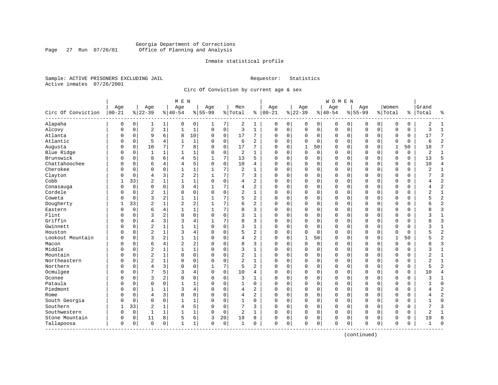#### Georgia Department of Corrections Page 27 Run 07/26/01 Office of Planning and Analysis

#### Inmate statistical profile

Sample: ACTIVE PRISONERS EXCLUDING JAIL **Requestor:** Statistics Active inmates 07/26/2001

Circ Of Conviction by current age & sex

| Age<br>$ 00 - 21$<br>Circ Of Conviction<br>$8 22-39$<br>Alapaha<br>0<br>0 | Age<br>Age<br>$8 40-54$<br>1<br>0<br>1<br>$\sqrt{2}$<br>$\mathbf{1}$<br>$\mathbf{1}$<br>9<br>6<br>8 | Age<br>$8 55-99$<br>0<br>1<br>$\mathbf{1}$<br>$\Omega$ | % Total<br>7 | Men<br>ి                       | Age<br>$ 00-21$ | Age<br>$8 22-39$         |                            | Age<br>$8 40-54$ |             | Age<br>$8155 - 99$ |             | Women<br>% Total |             | Grand<br>%   Total | ٩,             |
|---------------------------------------------------------------------------|-----------------------------------------------------------------------------------------------------|--------------------------------------------------------|--------------|--------------------------------|-----------------|--------------------------|----------------------------|------------------|-------------|--------------------|-------------|------------------|-------------|--------------------|----------------|
|                                                                           |                                                                                                     |                                                        |              |                                |                 |                          |                            |                  |             |                    |             |                  |             |                    |                |
|                                                                           |                                                                                                     |                                                        |              |                                |                 |                          |                            |                  |             |                    |             |                  |             |                    |                |
|                                                                           |                                                                                                     |                                                        |              | 2<br>1                         | 0               | 0                        | 0<br>0                     | $\mathbf 0$      | 0           | 0                  | 0           | 0                | 0           | 2                  | 1              |
| Alcovy<br>$\Omega$<br>0                                                   |                                                                                                     |                                                        | $\mathbf 0$  | 3<br>$\mathbf{1}$              | $\mathbf 0$     | 0                        | $\mathsf 0$<br>0           | $\mathsf 0$      | $\mathbf 0$ | $\mathbf 0$        | 0           | $\mathbf 0$      | 0           | 3                  | $\mathbf{1}$   |
| Atlanta<br>$\mathbf 0$<br>0                                               |                                                                                                     | 10<br>$\Omega$                                         | 0            | 17<br>7                        | $\Omega$        | 0                        | 0<br>0                     | 0                | $\mathbf 0$ | $\mathbf 0$        | 0           | 0                | 0           | 17                 | 7              |
| Atlantic<br>$\mathbf 0$<br>0                                              | 5<br>4                                                                                              | 1                                                      | $\mathbf 0$  | 6<br>$\overline{a}$            | $\Omega$        | $\Omega$                 | $\mathbf 0$<br>$\Omega$    | 0                | $\mathbf 0$ | $\Omega$           | $\Omega$    | $\mathbf 0$      | $\Omega$    | 6                  | $\overline{2}$ |
| Augusta<br>$\Omega$<br>N                                                  | 10<br>7                                                                                             | 8<br>$\Omega$                                          | $\Omega$     | 17<br>7                        | $\Omega$        | $\mathbf{1}$<br>$\Omega$ | 50                         | 0                | $\Omega$    | $\Omega$           | $\Omega$    | $\mathbf{1}$     | 50          | 18                 | 7              |
| Blue Ridge<br>$\mathbf 0$<br>0                                            | 1<br>-1                                                                                             | 1<br>$\Omega$                                          | $\mathbf 0$  | 2<br>-1                        | $\Omega$        | $\Omega$                 | $\mathbf 0$<br>$\mathbf 0$ | $\Omega$         | $\mathbf 0$ | $\Omega$           | $\Omega$    | $\mathbf 0$      | $\mathbf 0$ | $\overline{2}$     | $\mathbf{1}$   |
| Brunswick<br>$\mathbf 0$<br>0                                             | 8<br>6<br>4                                                                                         | 5                                                      | 7            | 13<br>5                        | $\Omega$        | $\mathbf 0$              | 0<br>0                     | 0                | 0           | $\Omega$           | $\mathbf 0$ | $\mathbf 0$      | 0           | 13                 | 5              |
| Chattahoochee<br>$\mathbf 0$<br>0                                         | 6<br>$\overline{4}$<br>4                                                                            | 5<br>$\Omega$                                          | $\Omega$     | 10<br>4                        | $\Omega$        | $\mathbf 0$              | $\mathbf 0$<br>$\mathbf 0$ | $\Omega$         | $\mathbf 0$ | $\Omega$           | $\Omega$    | $\Omega$         | $\Omega$    | 10                 | $\overline{4}$ |
| Cherokee<br>$\Omega$<br>N                                                 | $\Omega$<br>$\Omega$<br>$\mathbf{1}$                                                                | $\mathbf{1}$<br>1                                      | 7            | $\overline{2}$<br>$\mathbf{1}$ | $\Omega$        | $\Omega$                 | $\Omega$<br>$\mathbf 0$    | $\Omega$         | $\mathbf 0$ | $\mathbf{0}$       | $\Omega$    | $\Omega$         | 0           | $\overline{c}$     | $\mathbf{1}$   |
| Clayton<br>$\mathbf 0$<br>N                                               | $\overline{2}$<br>$\overline{4}$<br>$\mathbf{3}$                                                    | 2                                                      | 7            | 7<br>3                         | $\Omega$        | 0                        | $\mathbf 0$<br>0           | 0                | 0           | $\Omega$           | $\Omega$    | $\Omega$         | 0           |                    | 3              |
| Cobb<br>33                                                                | $\overline{c}$<br>$\mathbf{1}$                                                                      | $\mathbf 1$<br>$\Omega$                                | $\Omega$     | 2<br>4                         | $\Omega$        | $\Omega$                 | $\mathbf 0$<br>$\Omega$    | $\Omega$         | $\mathbf 0$ | $\mathbf 0$        | $\Omega$    | $\mathbf 0$      | 0           |                    | $\overline{2}$ |
| $\mathbf 0$<br>Conasauga<br>0                                             | $\mathbf 0$<br>3<br>0                                                                               | 4                                                      | 7            | $\overline{a}$<br>4            | 0               | 0                        | 0<br>0                     | 0                | $\mathbf 0$ | $\Omega$           | 0           | $\mathbf 0$      | 0           |                    | $\overline{2}$ |
| Cordele<br>$\mathbf 0$<br>0                                               | $\overline{2}$<br>0                                                                                 | 0<br>$\Omega$                                          | $\mathbf 0$  | 2<br>1                         | 0               | 0                        | $\mathbf 0$<br>0           | 0                | $\mathbf 0$ | 0                  | 0           | $\mathbf 0$      | 0           | 2                  | $\mathbf 1$    |
| Coweta<br>$\Omega$<br>0                                                   | 3<br>2<br>$\mathbf{1}$                                                                              | 1                                                      | 7            | 2<br>5                         | $\Omega$        | $\Omega$                 | $\mathbf 0$<br>$\mathbf 0$ | $\Omega$         | $\mathbf 0$ | $\mathbf{0}$       | $\Omega$    | $\Omega$         | 0           |                    | $\overline{2}$ |
| Dougherty<br>33                                                           | $\overline{2}$<br>$\overline{c}$                                                                    | 2                                                      | 7            | 6<br>$\overline{a}$            | $\Omega$        | 0                        | $\mathbf 0$<br>0           | $\Omega$         | $\mathbf 0$ | $\mathbf 0$        | 0           | $\mathbf 0$      | 0           |                    | $\overline{2}$ |
| Eastern<br>0<br>0                                                         | 6<br>4                                                                                              | 1                                                      | 7            | 8<br>3                         | $\Omega$        | 0                        | 0<br>0                     | 0                | 0           | 0                  | 0           | 0                | 0           |                    | 3              |
| Flint<br>$\Omega$<br>N                                                    | 3<br>2<br>$\Omega$                                                                                  | 0<br>$\Omega$                                          | 0            | 3<br>1                         | $\Omega$        | 0                        | 0<br>0                     | 0                | $\mathbf 0$ | $\Omega$           | $\Omega$    | $\mathbf 0$      | 0           |                    | 1              |
| Griffin<br>$\Omega$<br>0                                                  | $\overline{4}$<br>3<br>3                                                                            | 4                                                      | 7            | 8<br>3                         | $\Omega$        | $\Omega$                 | $\Omega$<br>$\Omega$       | 0                | $\Omega$    | $\Omega$           | $\Omega$    | $\Omega$         | $\Omega$    | ጸ                  | 3              |
| Gwinnett<br>0<br>N                                                        | $\sqrt{2}$                                                                                          | 1                                                      | $\mathbf 0$  | 3<br>$\mathbf{1}$              | $\Omega$        | 0                        | $\mathbf 0$<br>0           | $\Omega$         | $\mathbf 0$ | $\Omega$           | $\Omega$    | $\mathbf 0$      | 0           | 3                  | $1\,$          |
| Houston<br>$\mathbf 0$                                                    | $\overline{2}$<br>3<br>$\mathbf{1}$                                                                 | 4                                                      | $\mathbf 0$  | 5<br>2                         | $\Omega$        | 0                        | $\mathbf 0$<br>0           | $\Omega$         | $\mathbf 0$ | $\mathbf 0$        | 0           | $\Omega$         | 0           |                    | $\overline{a}$ |
| Lookout Mountain<br>$\Omega$<br>N                                         | 3<br>2<br>1                                                                                         | 1<br>$\Omega$                                          | $\mathbf 0$  | $\overline{a}$<br>4            | $\Omega$        | 0<br>$\mathbf{1}$        | 50                         | 0                | 0           | $\mathbf 0$        | 0           | 1                | 50          |                    | $\overline{2}$ |
| Macon<br>$\mathbf 0$<br>N                                                 | $\overline{2}$<br>6<br>4                                                                            | 2<br>$\Omega$                                          | 0            | 8<br>3                         | $\Omega$        | $\Omega$                 | 0<br>0                     | $\Omega$         | $\mathbf 0$ | $\mathbf 0$        | $\Omega$    | $\mathbf 0$      | 0           |                    | $\overline{3}$ |
| Middle<br>$\Omega$                                                        | $\overline{c}$<br>$\mathbf{1}$                                                                      | $\mathbf 1$<br>$\Omega$                                | $\Omega$     | 3<br>$\mathbf{1}$              | $\Omega$        | 0                        | $\mathbf 0$<br>$\Omega$    | 0                | $\mathbf 0$ | $\mathbf 0$        | $\Omega$    | $\mathbf 0$      | 0           |                    | $\mathbf{1}$   |
| Mountain<br>$\Omega$<br>U                                                 | $\overline{2}$<br>$\Omega$<br>1                                                                     | $\mathbf 0$<br>$\Omega$                                | $\Omega$     | 2<br>$\mathbf{1}$              | $\Omega$        | $\Omega$                 | $\mathbf 0$<br>$\Omega$    | 0                | $\mathbf 0$ | $\Omega$           | $\Omega$    | $\mathbf 0$      | 0           | 2                  | $\mathbf{1}$   |
| Northeastern<br>$\mathbf 0$<br>0                                          | $\sqrt{2}$<br>0                                                                                     | 0<br>$\Omega$                                          | $\mathbf 0$  | $\overline{\mathbf{c}}$<br>1   | 0               | 0                        | $\mathbf 0$<br>0           | 0                | 0           | 0                  | $\Omega$    | 0                | 0           | 2                  | $\mathbf 1$    |
| Northern<br>$\mathbf 0$<br>0                                              | $\overline{4}$<br>3<br>$\Omega$                                                                     | 0                                                      | 7            | 5<br>2                         | $\Omega$        | 0                        | 0<br>0                     | 0                | 0           | $\mathbf 0$        | 0           | $\mathbf 0$      | 0           | 5                  | $\overline{2}$ |
| Ocmulgee<br>$\Omega$<br>N                                                 | 7<br>5<br>3                                                                                         | 4<br>$\Omega$                                          | 0            | 10<br>4                        | $\Omega$        | 0                        | 0<br>0                     | 0                | $\mathbf 0$ | $\mathbf 0$        | 0           | 0                | 0           | 10                 | $\overline{4}$ |
| Oconee<br>$\Omega$<br>N                                                   | 3<br>$\overline{2}$<br>$\Omega$                                                                     | 0<br>$\Omega$                                          | $\mathbf 0$  | 3<br>1                         | $\Omega$        | $\Omega$                 | $\mathbf 0$<br>0           | $\Omega$         | $\mathbf 0$ | $\mathbf 0$        | $\Omega$    | $\Omega$         | 0           | ς                  | 1              |
| Pataula<br>n<br>N                                                         | $\Omega$<br>$\Omega$<br>$\mathbf{1}$                                                                | 1                                                      | $\mathbf 0$  | 1<br>$\Omega$                  | $\Omega$        | 0                        | 0<br>0                     | 0                | $\mathbf 0$ | $\Omega$           | $\Omega$    | $\mathbf 0$      | 0           |                    | $\mathbf 0$    |
| Piedmont<br>n<br>O                                                        | 3                                                                                                   | 4<br>∩                                                 | 0            | 2<br>4                         | $\Omega$        | $\Omega$                 | 0<br>0                     | 0                | $\mathbf 0$ | $\Omega$           | $\Omega$    | $\mathbf 0$      | 0           |                    | $\overline{2}$ |
| Rome<br>$\mathbf 0$<br>0                                                  | 3<br>$\overline{4}$<br>0                                                                            | 0                                                      | $\mathbf 0$  | $\overline{a}$<br>4            | 0               | 0                        | 0<br>0                     | 0                | $\mathbf 0$ | 0                  | 0           | $\mathbf 0$      | 0           |                    | $\overline{2}$ |
| South Georgia<br>$\mathbf 0$<br>0                                         | $\Omega$<br>$\Omega$<br>$\mathbf{1}$                                                                | $\mathbf{1}$                                           | $\mathbf 0$  | $\mathbf{1}$<br>$\Omega$       | $\Omega$        | $\mathbf 0$              | $\mathbf 0$<br>$\mathbf 0$ | $\Omega$         | $\mathbf 0$ | $\Omega$           | $\mathbf 0$ | $\Omega$         | $\Omega$    |                    | $\Omega$       |
| Southern<br>33                                                            | $\overline{c}$<br>1<br>4                                                                            | 5                                                      | $\mathbf 0$  | 7<br>3                         | $\mathbf 0$     | $\Omega$                 | $\mathbf 0$<br>0           | $\Omega$         | 0           | $\mathbf 0$        | $\mathbf 0$ | $\Omega$         | 0           | 7                  | $\overline{3}$ |
| Southwestern<br>0<br>0                                                    | $\mathbf{1}$<br>1                                                                                   | 1<br>$\Omega$                                          | 0            | 2<br>1                         | $\Omega$        | 0                        | 0<br>0                     | 0                | 0           | 0                  | 0           | $\mathbf 0$      | 0           | 2                  | $\mathbf{1}$   |
| Stone Mountain<br>0<br>0                                                  | 5<br>11<br>8                                                                                        | 6<br>3                                                 | 20           | 19<br>8                        | 0               | 0                        | 0<br>0                     | 0                | 0           | 0                  | 0           | 0                | 0           | 19                 | 8              |
| 0<br>Tallapoosa<br>$\mathbf 0$<br>-------------                           | $\Omega$<br>$\mathbf{1}$<br>0                                                                       | 1<br>$\Omega$                                          | 0            | 1<br>$\Omega$                  | $\mathbf 0$     | 0                        | $\mathbf 0$<br>0           | $\Omega$         | $\mathbf 0$ | $\mathbf 0$        | 0           | $\mathbf 0$      | 0           | -1                 | $\cap$         |

(continued)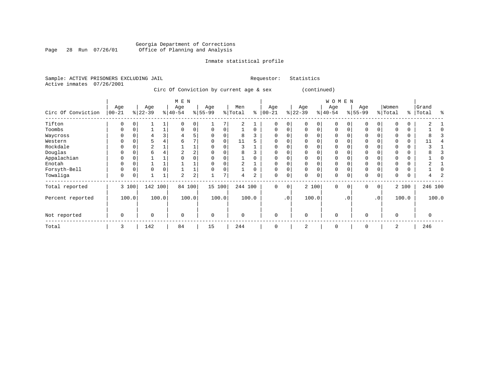#### Georgia Department of Corrections Page 28 Run 07/26/01 Office of Planning and Analysis

# Inmate statistical profile

|  |                           | Sample: ACTIVE PRISONERS EXCLUDING JAIL |  |                                         |  |  | Requestor: Statistics |
|--|---------------------------|-----------------------------------------|--|-----------------------------------------|--|--|-----------------------|
|  | Active inmates 07/26/2001 |                                         |  |                                         |  |  |                       |
|  |                           |                                         |  | Circ Of Conviction by current age & sex |  |  | (continued)           |

|                    |                   |          |                 |          | M E N            |       |                  |              |                |                |                   |             |                  |             | <b>WOMEN</b>    |           |                  |     |                  |          |                |       |
|--------------------|-------------------|----------|-----------------|----------|------------------|-------|------------------|--------------|----------------|----------------|-------------------|-------------|------------------|-------------|-----------------|-----------|------------------|-----|------------------|----------|----------------|-------|
| Circ Of Conviction | Age<br>$ 00 - 21$ |          | Age<br>$ 22-39$ |          | Age<br>$ 40-54 $ |       | Age<br>$8 55-99$ |              | Men<br>% Total |                | Age<br>$% 100-21$ |             | Age<br>$ 22-39 $ |             | Age<br>$ 40-54$ |           | Age<br>$ 55-99 $ |     | Women<br>% Total | ి        | Grand<br>Total | ፠     |
| Tifton             | 0                 | $\Omega$ |                 |          |                  | 0     |                  |              | 2              |                | $\Omega$          | 0           | 0                | $\Omega$    | $\Omega$        |           | $\Omega$         | 0   |                  | 0        |                |       |
| Toombs             | 0                 | 0        |                 |          | 0                | 0     | 0                | 0            |                | 0              | 0                 | 0           | $\mathbf 0$      | 0           | $\mathbf 0$     |           | $\mathbf 0$      | 0   |                  | 0        |                |       |
| Waycross           | U                 | $\Omega$ |                 |          | 4                | 5     | 0                | $\Omega$     | 8              |                | 0                 | $\Omega$    | 0                | $\Omega$    | $\Omega$        |           | 0                |     |                  | 0        |                |       |
| Western            | U                 |          |                 |          | 6                | 7     |                  |              | 11             |                | 0                 |             |                  |             | ∩               |           | $\Omega$         |     |                  | 0        | 11             |       |
| Rockdale           | U                 |          | 2               |          |                  |       |                  |              | ζ              |                | $\Omega$          |             |                  |             | $\Omega$        |           | $\Omega$         |     |                  | 0        |                |       |
| Douglas            | 0                 |          | 6               |          |                  | 2     |                  |              | 8              |                | 0                 |             |                  | O           | 0               |           | 0                |     |                  | 0        |                |       |
| Appalachian        | 0                 | 0        |                 |          |                  |       | $\Omega$         |              |                |                | 0                 |             |                  | $\Omega$    | $\Omega$        |           | 0                |     |                  | 0        |                |       |
| Enotah             | U                 | $\Omega$ |                 |          |                  |       | $\Omega$         |              |                |                | $\Omega$          | $\Omega$    |                  | $\Omega$    | $\Omega$        |           | $\mathbf 0$      |     |                  | $\Omega$ |                |       |
| Forsyth-Bell       | 0                 | $\Omega$ | $\Omega$        | $\Omega$ |                  |       | $\Omega$         | $\Omega$     |                | $\Omega$       | $\Omega$          | 0           | $\Omega$         | $\Omega$    | $\Omega$        |           | $\mathbf 0$      |     |                  | $\Omega$ |                |       |
| Towaliga           | 0                 | 0        |                 |          | 2                | 2     |                  | $\mathbf{r}$ | 4              | $\overline{a}$ | 0                 | 0           | O                | $\mathbf 0$ | $\Omega$        |           | 0                | 0   | $\Omega$         | 0        |                |       |
| Total reported     |                   | 3 100    | 142             | 100      | 84 100           |       | 15 100           |              | 244 100        |                | 0                 | $\mathbf 0$ |                  | 2 100       | $\Omega$        | $\Omega$  | 0                | 0   |                  | 2 100    | 246 100        |       |
| Percent reported   |                   | 100.0    |                 | 100.0    |                  | 100.0 |                  | 100.0        |                | 100.0          |                   | $\cdot$ 0   |                  | 100.0       |                 | $\cdot$ 0 |                  | .0' |                  | 100.0    |                | 100.0 |
| Not reported       | $\mathbf 0$       |          | $\Omega$        |          | $\mathbf 0$      |       | $\mathbf 0$      |              | $\mathbf 0$    |                | $\mathbf 0$       |             | $\mathbf 0$      |             | $\mathbf 0$     |           | 0                |     | $\mathbf 0$      |          |                |       |
| Total              | 3                 |          | 142             |          | 84               |       | 15               |              | 244            |                | 0                 |             | 2                |             | $\mathbf 0$     |           | $\Omega$         |     | 2                |          | 246            |       |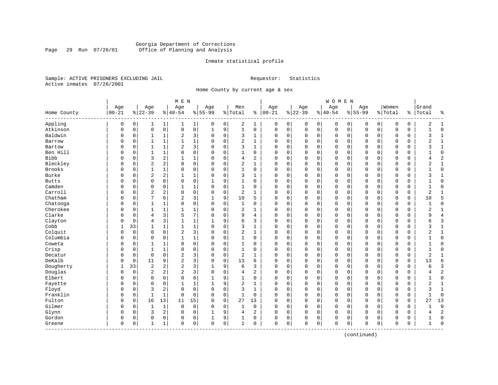#### Georgia Department of Corrections Page 29 Run 07/26/01 Office of Planning and Analysis

#### Inmate statistical profile

Sample: ACTIVE PRISONERS EXCLUDING JAIL **Requestor:** Statistics Active inmates 07/26/2001

Home County by current age & sex

| Age<br>Women<br>Age<br>Age<br>Age<br>Men<br>Age<br>Age<br>Age<br>Grand<br>Age<br>$00 - 21$<br>$ 22-39$<br>$8 22-39$<br>$ 40-54$<br>$8155 - 99$<br>$ 00-21$<br>$8 40-54$<br>$8155 - 99$<br>% Total<br>% Total<br>ి<br>Total<br>Home County<br><u> န</u><br>နွ<br>Appling<br>2<br>$\mathbf 0$<br>0<br>0<br>1<br>0<br>0<br>1<br>0<br>0<br>0<br>0<br>$\overline{0}$<br>0<br>0<br>0<br>0<br>2<br>1<br>1<br>1<br>1<br>Atkinson<br>$\mathsf 0$<br>$\mathsf{O}\xspace$<br>9<br>$\mathbf 1$<br>$\mathsf 0$<br>$\mathbf 0$<br>$\mathbf 0$<br>$\mathbf 0$<br>$\mathbf 0$<br>$\mathsf 0$<br>$\mathsf 0$<br>$\mathbf{1}$<br>$\mathbf 0$<br>$\mathbf 0$<br>0<br>$\mathsf 0$<br>$\mathsf 0$<br>$\mathbf 0$<br>0<br>0<br>0<br>$\mathbf{1}$<br>Baldwin<br>2<br>3<br>$\mathbf 0$<br>3<br>$\mathbf 0$<br>$\Omega$<br>$\mathbf 0$<br>0<br>0<br>0<br>0<br>$\mathbf 0$<br>$\mathbf 0$<br>0<br>$\mathbf 0$<br>0<br>3<br>1<br>$\Omega$<br>1<br>1<br>1<br>$\mathbf 1$<br>$\overline{a}$<br>$\mathbf 0$<br>$\mathbf{1}$<br>$\mathbf 0$<br>$\Omega$<br>$\mathbf 0$<br>$\mathbf 0$<br>$\mathbf 0$<br>$\Omega$<br>$\Omega$<br>$\mathbf 0$<br>2<br>$\mathbf{1}$<br>Barrow<br>$\Omega$<br>$\mathbf 0$<br>$\Omega$<br>1<br>$\Omega$<br>$\Omega$<br>$\overline{2}$<br>3<br>$\Omega$<br>3<br>$\mathbf{1}$<br>$\Omega$<br>$\Omega$<br>$\mathbf{0}$<br>$\mathbf 0$<br>$\mathbf 1$<br>Bartow<br>$\Omega$<br>1<br>$\Omega$<br>$\Omega$<br>$\Omega$<br>0<br>$\mathbf 0$<br>$\Omega$<br>$\Omega$<br>ζ<br>O<br>Ben Hill<br>$\mathbf 0$<br>$\mathbf 0$<br>$\mathbf 0$<br>$\mathbf 0$<br>$\mathbf 0$<br>$\mathbf{0}$<br>$\mathbf 0$<br>1<br>$\Omega$<br>1<br>0<br>$\mathbf 0$<br>0<br>0<br>0<br>$\mathbf 0$<br>$\mathbf 0$<br>$\Omega$<br>0<br>0<br>1<br>$\mathsf 0$<br>$\overline{c}$<br>$\overline{2}$<br>Bibb<br>3<br>2<br>4<br>$\mathbf 0$<br>$\mathbf 0$<br>0<br>$\mathbf 0$<br>$\mathbf 0$<br>$\mathbf 0$<br>$\mathbf 0$<br>$\mathbf 0$<br>$\mathbf{1}$<br>1<br>0<br>0<br>0<br>0<br>$\Omega$<br>4<br>$\overline{2}$<br>Bleckley<br>2<br>$\mathbf 0$<br>2<br>$\mathbf{1}$<br>$\mathbf 0$<br>$\mathbf{1}$<br>$\mathbf 0$<br>$\Omega$<br>$\mathbf 0$<br>$\mathbf 0$<br>$\mathbf 0$<br>$\mathbf 0$<br>$\mathbf 0$<br>$\Omega$<br>$\mathbf 0$<br>$\mathbf 0$<br>$\Omega$<br>0<br>$\overline{2}$<br>$\Omega$<br>$\Omega$<br>Brooks<br>$\mathbf 0$<br>1<br>$\Omega$<br>0<br>$\mathbf 0$<br>$\mathbf{1}$<br>$\Omega$<br>$\Omega$<br>$\Omega$<br>$\mathbf 0$<br>$\mathbf 0$<br>$\mathbf 0$<br>$\mathbf 0$<br>$\mathbf 0$<br>$\Omega$<br>$\mathbf 0$<br>$\Omega$<br>$\mathbf 0$<br>$\mathbf{1}$<br>$\Omega$<br>0<br>Burke<br>$\overline{c}$<br>$\sqrt{2}$<br>$\mathbf 0$<br>3<br>0<br>$\mathbf 0$<br>$\mathbf 0$<br>0<br>1<br>1<br>$\Omega$<br>0<br>0<br>0<br>0<br>0<br>0<br>3<br>1<br>0<br>$\Omega$<br>$\Omega$<br>$\Omega$<br>$\mathbf 0$<br>9<br>$\mathbf 0$<br>$\mathbf 0$<br>$\mathsf 0$<br>$\mathbf 0$<br>$\mathbf 0$<br>$\mathbf 0$<br><b>Butts</b><br>$\Omega$<br>$\Omega$<br>1<br>0<br>0<br>0<br>0<br>$\Omega$<br>0<br>0<br>Camden<br>$\mathbf 0$<br>$\mathbf 0$<br>$\mathbf 0$<br>$\mathbf 0$<br>$\mathbf 0$<br>0<br>1<br>0<br>1<br>0<br>$\mathbf 0$<br>0<br>0<br>0<br>$\mathbf 0$<br>$\mathbf 0$<br>0<br>0<br>$\Omega$<br>-1<br>1<br>0<br>Carroll<br>$\sqrt{2}$<br>2<br>$\mathbf 0$<br>$\mathbf 0$<br>2<br>$\mathbf 0$<br>$\mathbf 0$<br>$\overline{2}$<br>$\mathbf 0$<br>0<br>1<br>0<br>0<br>0<br>0<br>0<br>0<br>0<br>0<br>1<br>$\Omega$<br>0<br>Chatham<br>7<br>$\overline{2}$<br>9<br>5<br>6<br>3<br>10<br>5<br>$\mathbf 0$<br>$\Omega$<br>$\mathbf 0$<br>$\mathbf 0$<br>$\Omega$<br>$\mathbf 0$<br>$\mathbf{0}$<br>$\mathbf 0$<br>$\mathbf 0$<br>10<br>$\mathbf 0$<br>0<br>0<br>Chatooga<br>$\mathbf 0$<br>$\mathbf 0$<br>$\mathbf 0$<br>$\mathbf 0$<br>$\mathbf 0$<br>$\mathbf 0$<br>$\mathbf 0$<br>$\mathbf{0}$<br>$\mathbf 0$<br>$\mathbf{0}$<br>$\Omega$<br>$\mathbf 0$<br>1<br>$\Omega$<br>1<br>$\Omega$<br>0<br>0<br>0<br>0<br>1<br>-1<br>Cherokee<br>1<br>0<br>2<br>0<br>0<br>0<br>0<br>0<br>0<br>0<br>0<br>0<br>2<br>1<br>0<br>0<br>$\Omega$<br>0<br>1<br>Clarke<br>3<br>5<br>7<br>$\overline{4}$<br>$\Omega$<br>$\overline{4}$<br>0<br>9<br>$\mathbf 0$<br>0<br>0<br>0<br>0<br>$\mathbf 0$<br>$\mathbf 0$<br>0<br>$\mathbf 0$<br>0<br>q<br>$\Omega$<br>$\Omega$<br>4<br>Clayton<br>9<br>6<br>3<br>$\Omega$<br>$\overline{4}$<br>3<br>$\mathbf{1}$<br>$\mathbf 1$<br>3<br>$\mathbf 0$<br>$\Omega$<br>$\mathbf 0$<br>$\mathbf 0$<br>$\mathbf 0$<br>$\mathbf 0$<br>$\Omega$<br>$\mathbf 0$<br>$\Omega$<br>0<br>6<br>0<br>Cobb<br>$\mathbf 0$<br>$\mathbf 0$<br>$1\,$<br>33<br>1<br>3<br>$\mathbf{1}$<br>$\Omega$<br>$\mathbf 0$<br>$\mathbf 0$<br>$\mathbf 0$<br>$\Omega$<br>$\mathbf 0$<br>$\mathbf{1}$<br>0<br>0<br>0<br>3<br>1<br>$\Omega$<br>$\overline{\mathbf{c}}$<br>3<br>Colquit<br>$\mathbf 0$<br>$\Omega$<br>$\mathbf 0$<br>$\mathbf 0$<br>2<br>$\mathbf{1}$<br>$\Omega$<br>$\mathbf 0$<br>$\mathbf 0$<br>$\mathbf 0$<br>$\mathbf 0$<br>$\mathbf 0$<br>$\mathbf 0$<br>2<br>$\mathbf 1$<br>$\Omega$<br>$\Omega$<br>0<br>$\Omega$<br>0<br>Columbia<br>$\mathbf 0$<br>$\mathbf 1$<br>$\mathbf 0$<br>0<br>$\mathbf 0$<br>$\mathbf{0}$<br>0<br>0<br>$\mathbf{1}$<br>$\Omega$<br>1<br>0<br>$\mathbf 0$<br>0<br>0<br>0<br>0<br>$\mathbf 0$<br>0<br>0<br>0<br>Coweta<br>0<br>0<br>0<br>$\mathbf 0$<br>$\Omega$<br>0<br>0<br>0<br>$\mathbf 0$<br>$\mathbf 0$<br>$\Omega$<br>$\mathbf 0$<br>$\Omega$<br>$\Omega$<br>$\mathbf 0$<br>$\Omega$<br>1<br>$\Omega$<br>0<br>Crisp<br>$\Omega$<br>0<br>$\mathbf 0$<br>$\mathbf{1}$<br>$\mathbf 0$<br>$\mathbf 0$<br>$\mathbf 0$<br>$\mathsf 0$<br>$\mathbf 0$<br>$\mathbf{0}$<br>$\mathbf 0$<br>0<br>$\Omega$<br>$\mathbf 0$<br>1<br>$\mathbf{1}$<br>$\Omega$<br>$\Omega$<br>$\Omega$<br>$\Omega$<br>0<br>$\overline{c}$<br>3<br>$\overline{c}$<br>Decatur<br>$\mathbf 0$<br>$\Omega$<br>$\mathbf 0$<br>$\mathbf 0$<br>$\mathbf 0$<br>$\mathbf 0$<br>$\mathbf 0$<br>$\mathbf 0$<br>$\mathbf{0}$<br>$\mathbf 0$<br>$\mathbf 0$<br>$\overline{c}$<br>$\mathbf 0$<br>$\Omega$<br>$\mathbf{1}$<br>$\Omega$<br>$\Omega$<br>$\mathbf{1}$<br>0<br>DeKalb<br>$\overline{2}$<br>3<br>$\mathbf 0$<br>6<br>9<br>13<br>6<br>0<br>$\mathbf 0$<br>$\mathbf 0$<br>11<br>$\Omega$<br>0<br>0<br>0<br>0<br>0<br>0<br>0<br>0<br>13<br>0<br>Dougherty<br>3<br>33<br>$\overline{2}$<br>2<br>$\overline{a}$<br>3<br>9<br>6<br>3<br>0<br>$\mathbf 0$<br>$\mathbf 0$<br>0<br>0<br>0<br>0<br>0<br>0<br>0<br>6<br>1<br>Douglas<br>$\overline{2}$<br>$\mathbf 0$<br>$\overline{2}$<br>2<br>$\overline{a}$<br>3<br>$\mathbf 0$<br>$\overline{a}$<br>$\mathbf 0$<br>$\Omega$<br>$\Omega$<br>$\mathbf 0$<br>0<br>0<br>0<br>0<br>$\mathbf 0$<br>$\mathbf 0$<br>0<br>0<br>4<br>4<br>Elbert<br>$\mathbf 0$<br>$\Omega$<br>0<br>9<br>$\Omega$<br>$\mathbf 0$<br>$\mathbf 0$<br>$\Omega$<br>$\mathbf{0}$<br>$\mathbf 0$<br>$\Omega$<br>$\mathbf{1}$<br>0<br>0<br>0<br>0<br>$\mathbf 0$<br>0<br>0<br>0<br>Fayette<br>$\Omega$<br>9<br>$\overline{2}$<br>$\mathbf 0$<br>$\mathbf{0}$<br>$\mathbf 0$<br>$\overline{2}$<br>$\mathbf{1}$<br>$\mathbf 0$<br>$\Omega$<br>$\mathbf{1}$<br>1<br>$\mathbf{1}$<br>$\mathbf 0$<br>0<br>0<br>0<br>0<br>0<br>0<br>0<br>Floyd<br>3<br>2<br>$\mathbf 0$<br>$\mathbf 0$<br>$\mathbf 0$<br>3<br>$\mathbf 0$<br>$\mathbf 0$<br>$\mathbf{0}$<br>$\mathbf 0$<br>$\mathbf 0$<br>$\Omega$<br>1<br>$\mathbf 0$<br>$\Omega$<br>0<br>$\mathbf 0$<br>$\Omega$<br>0<br>3<br>1<br>0<br>Franklin<br>$\mathbf 0$<br>$\mathbf 0$<br>0<br>1<br>1<br>0<br>0<br>1<br>0<br>$\mathbf 0$<br>0<br>0<br>0<br>$\mathbf 0$<br>$\mathbf 0$<br>0<br>$\mathbf 0$<br>0<br>$\Omega$<br>0<br>$\Omega$<br>Fulton<br>13<br>$\mathbf 0$<br>$\mathbf 0$<br>13<br>$\mathbf 0$<br>16<br>11<br>15<br>27<br>13<br>$\mathbf 0$<br>$\mathbf 0$<br>$\mathbf 0$<br>$\mathbf 0$<br>$\mathbf 0$<br>$\mathbf 0$<br>$\mathbf{0}$<br>$\mathbf 0$<br>0<br>27<br>$\Omega$<br>$\Omega$<br>Gilmer<br>$\mathbf{1}$<br>$\mathbf 0$<br>$\mathbf{1}$<br>0<br>$\mathbf 0$<br>$\mathbf 1$<br>$\mathbf 0$<br>$\mathbf 0$<br>$\mathbf 0$<br>$\mathbf 0$<br>$\mathbf{0}$<br>$\mathbf 0$<br>$\mathbf 0$<br>0<br>0<br>$\Omega$<br>0<br>0<br>0<br>0<br>0<br>$\overline{2}$<br>Glynn<br>3<br>2<br>9<br>2<br>0<br>0<br>0<br>0<br>0<br>$\mathbf 0$<br>0<br>0<br>0<br>0<br>0<br>0<br>0<br>0<br>4<br>4<br>Gordon<br>9<br>$\mathbf 0$<br>0<br>0<br>0<br>0<br>0<br>0<br>0<br>0<br>0<br>0<br>0<br>0<br>0<br>0<br>0<br>0<br>0<br>1<br>$\mathbf 0$<br>$\mathbf 0$<br>0<br>$\mathbf 0$<br>0<br>0<br>$\Omega$<br>1<br>0<br>0<br>$\Omega$<br>$\mathbf 0$<br>$\mathbf 0$<br>0<br>$\mathbf 0$<br>0<br>$\Omega$<br>Greene<br>0<br>1<br>1<br>0<br>1<br>---------- |  |  | M E N |  |  |  |  | WOMEN |  |  |  |  |
|--------------------------------------------------------------------------------------------------------------------------------------------------------------------------------------------------------------------------------------------------------------------------------------------------------------------------------------------------------------------------------------------------------------------------------------------------------------------------------------------------------------------------------------------------------------------------------------------------------------------------------------------------------------------------------------------------------------------------------------------------------------------------------------------------------------------------------------------------------------------------------------------------------------------------------------------------------------------------------------------------------------------------------------------------------------------------------------------------------------------------------------------------------------------------------------------------------------------------------------------------------------------------------------------------------------------------------------------------------------------------------------------------------------------------------------------------------------------------------------------------------------------------------------------------------------------------------------------------------------------------------------------------------------------------------------------------------------------------------------------------------------------------------------------------------------------------------------------------------------------------------------------------------------------------------------------------------------------------------------------------------------------------------------------------------------------------------------------------------------------------------------------------------------------------------------------------------------------------------------------------------------------------------------------------------------------------------------------------------------------------------------------------------------------------------------------------------------------------------------------------------------------------------------------------------------------------------------------------------------------------------------------------------------------------------------------------------------------------------------------------------------------------------------------------------------------------------------------------------------------------------------------------------------------------------------------------------------------------------------------------------------------------------------------------------------------------------------------------------------------------------------------------------------------------------------------------------------------------------------------------------------------------------------------------------------------------------------------------------------------------------------------------------------------------------------------------------------------------------------------------------------------------------------------------------------------------------------------------------------------------------------------------------------------------------------------------------------------------------------------------------------------------------------------------------------------------------------------------------------------------------------------------------------------------------------------------------------------------------------------------------------------------------------------------------------------------------------------------------------------------------------------------------------------------------------------------------------------------------------------------------------------------------------------------------------------------------------------------------------------------------------------------------------------------------------------------------------------------------------------------------------------------------------------------------------------------------------------------------------------------------------------------------------------------------------------------------------------------------------------------------------------------------------------------------------------------------------------------------------------------------------------------------------------------------------------------------------------------------------------------------------------------------------------------------------------------------------------------------------------------------------------------------------------------------------------------------------------------------------------------------------------------------------------------------------------------------------------------------------------------------------------------------------------------------------------------------------------------------------------------------------------------------------------------------------------------------------------------------------------------------------------------------------------------------------------------------------------------------------------------------------------------------------------------------------------------------------------------------------------------------------------------------------------------------------------------------------------------------------------------------------------------------------------------------------------------------------------------------------------------------------------------------------------------------------------------------------------------------------------------------------------------------------------------------------------------------------------------------------------------------------------------------------------------------------------------------------------------------------------------------------------------------------------------------------------------------------------------------------------------------------------------------------------------------------------------------------------------------------------------------------------------------------------------------------------------------------------------------------------------------------------------------------------------------------------------------------------------------------------------------------------------------------------------------------------------------------------------------------------------------------------------------------------------------------------------------------------------------------------------------------------------------------------------------------------------------------------------------------------------------------------------------------------------------------------------------------------------------------------------------------------------------------------------------------------------------------------------------------------------------------------------------------------------------------------------------------------------------------------------------------------------------------------------------------------------------------------------------------------------------------------------------------------------------------------------------------------------------------------------------------------------------------------------------------------------------------------------------------------------------------------------------------------------------------------------------------------------------------------------------------------------------------------------------------------------------------------------------------------------------------------------------------------------------------------------------------------------------------------------------------------------------------------------------------------------------------------|--|--|-------|--|--|--|--|-------|--|--|--|--|
|                                                                                                                                                                                                                                                                                                                                                                                                                                                                                                                                                                                                                                                                                                                                                                                                                                                                                                                                                                                                                                                                                                                                                                                                                                                                                                                                                                                                                                                                                                                                                                                                                                                                                                                                                                                                                                                                                                                                                                                                                                                                                                                                                                                                                                                                                                                                                                                                                                                                                                                                                                                                                                                                                                                                                                                                                                                                                                                                                                                                                                                                                                                                                                                                                                                                                                                                                                                                                                                                                                                                                                                                                                                                                                                                                                                                                                                                                                                                                                                                                                                                                                                                                                                                                                                                                                                                                                                                                                                                                                                                                                                                                                                                                                                                                                                                                                                                                                                                                                                                                                                                                                                                                                                                                                                                                                                                                                                                                                                                                                                                                                                                                                                                                                                                                                                                                                                                                                                                                                                                                                                                                                                                                                                                                                                                                                                                                                                                                                                                                                                                                                                                                                                                                                                                                                                                                                                                                                                                                                                                                                                                                                                                                                                                                                                                                                                                                                                                                                                                                                                                                                                                                                                                                                                                                                                                                                                                                                                                                                                                                                                                                                                                                                                                                                                                                                                                                                                                                                                                                                                                                                                            |  |  |       |  |  |  |  |       |  |  |  |  |
|                                                                                                                                                                                                                                                                                                                                                                                                                                                                                                                                                                                                                                                                                                                                                                                                                                                                                                                                                                                                                                                                                                                                                                                                                                                                                                                                                                                                                                                                                                                                                                                                                                                                                                                                                                                                                                                                                                                                                                                                                                                                                                                                                                                                                                                                                                                                                                                                                                                                                                                                                                                                                                                                                                                                                                                                                                                                                                                                                                                                                                                                                                                                                                                                                                                                                                                                                                                                                                                                                                                                                                                                                                                                                                                                                                                                                                                                                                                                                                                                                                                                                                                                                                                                                                                                                                                                                                                                                                                                                                                                                                                                                                                                                                                                                                                                                                                                                                                                                                                                                                                                                                                                                                                                                                                                                                                                                                                                                                                                                                                                                                                                                                                                                                                                                                                                                                                                                                                                                                                                                                                                                                                                                                                                                                                                                                                                                                                                                                                                                                                                                                                                                                                                                                                                                                                                                                                                                                                                                                                                                                                                                                                                                                                                                                                                                                                                                                                                                                                                                                                                                                                                                                                                                                                                                                                                                                                                                                                                                                                                                                                                                                                                                                                                                                                                                                                                                                                                                                                                                                                                                                                            |  |  |       |  |  |  |  |       |  |  |  |  |
|                                                                                                                                                                                                                                                                                                                                                                                                                                                                                                                                                                                                                                                                                                                                                                                                                                                                                                                                                                                                                                                                                                                                                                                                                                                                                                                                                                                                                                                                                                                                                                                                                                                                                                                                                                                                                                                                                                                                                                                                                                                                                                                                                                                                                                                                                                                                                                                                                                                                                                                                                                                                                                                                                                                                                                                                                                                                                                                                                                                                                                                                                                                                                                                                                                                                                                                                                                                                                                                                                                                                                                                                                                                                                                                                                                                                                                                                                                                                                                                                                                                                                                                                                                                                                                                                                                                                                                                                                                                                                                                                                                                                                                                                                                                                                                                                                                                                                                                                                                                                                                                                                                                                                                                                                                                                                                                                                                                                                                                                                                                                                                                                                                                                                                                                                                                                                                                                                                                                                                                                                                                                                                                                                                                                                                                                                                                                                                                                                                                                                                                                                                                                                                                                                                                                                                                                                                                                                                                                                                                                                                                                                                                                                                                                                                                                                                                                                                                                                                                                                                                                                                                                                                                                                                                                                                                                                                                                                                                                                                                                                                                                                                                                                                                                                                                                                                                                                                                                                                                                                                                                                                                            |  |  |       |  |  |  |  |       |  |  |  |  |
|                                                                                                                                                                                                                                                                                                                                                                                                                                                                                                                                                                                                                                                                                                                                                                                                                                                                                                                                                                                                                                                                                                                                                                                                                                                                                                                                                                                                                                                                                                                                                                                                                                                                                                                                                                                                                                                                                                                                                                                                                                                                                                                                                                                                                                                                                                                                                                                                                                                                                                                                                                                                                                                                                                                                                                                                                                                                                                                                                                                                                                                                                                                                                                                                                                                                                                                                                                                                                                                                                                                                                                                                                                                                                                                                                                                                                                                                                                                                                                                                                                                                                                                                                                                                                                                                                                                                                                                                                                                                                                                                                                                                                                                                                                                                                                                                                                                                                                                                                                                                                                                                                                                                                                                                                                                                                                                                                                                                                                                                                                                                                                                                                                                                                                                                                                                                                                                                                                                                                                                                                                                                                                                                                                                                                                                                                                                                                                                                                                                                                                                                                                                                                                                                                                                                                                                                                                                                                                                                                                                                                                                                                                                                                                                                                                                                                                                                                                                                                                                                                                                                                                                                                                                                                                                                                                                                                                                                                                                                                                                                                                                                                                                                                                                                                                                                                                                                                                                                                                                                                                                                                                                            |  |  |       |  |  |  |  |       |  |  |  |  |
|                                                                                                                                                                                                                                                                                                                                                                                                                                                                                                                                                                                                                                                                                                                                                                                                                                                                                                                                                                                                                                                                                                                                                                                                                                                                                                                                                                                                                                                                                                                                                                                                                                                                                                                                                                                                                                                                                                                                                                                                                                                                                                                                                                                                                                                                                                                                                                                                                                                                                                                                                                                                                                                                                                                                                                                                                                                                                                                                                                                                                                                                                                                                                                                                                                                                                                                                                                                                                                                                                                                                                                                                                                                                                                                                                                                                                                                                                                                                                                                                                                                                                                                                                                                                                                                                                                                                                                                                                                                                                                                                                                                                                                                                                                                                                                                                                                                                                                                                                                                                                                                                                                                                                                                                                                                                                                                                                                                                                                                                                                                                                                                                                                                                                                                                                                                                                                                                                                                                                                                                                                                                                                                                                                                                                                                                                                                                                                                                                                                                                                                                                                                                                                                                                                                                                                                                                                                                                                                                                                                                                                                                                                                                                                                                                                                                                                                                                                                                                                                                                                                                                                                                                                                                                                                                                                                                                                                                                                                                                                                                                                                                                                                                                                                                                                                                                                                                                                                                                                                                                                                                                                                            |  |  |       |  |  |  |  |       |  |  |  |  |
|                                                                                                                                                                                                                                                                                                                                                                                                                                                                                                                                                                                                                                                                                                                                                                                                                                                                                                                                                                                                                                                                                                                                                                                                                                                                                                                                                                                                                                                                                                                                                                                                                                                                                                                                                                                                                                                                                                                                                                                                                                                                                                                                                                                                                                                                                                                                                                                                                                                                                                                                                                                                                                                                                                                                                                                                                                                                                                                                                                                                                                                                                                                                                                                                                                                                                                                                                                                                                                                                                                                                                                                                                                                                                                                                                                                                                                                                                                                                                                                                                                                                                                                                                                                                                                                                                                                                                                                                                                                                                                                                                                                                                                                                                                                                                                                                                                                                                                                                                                                                                                                                                                                                                                                                                                                                                                                                                                                                                                                                                                                                                                                                                                                                                                                                                                                                                                                                                                                                                                                                                                                                                                                                                                                                                                                                                                                                                                                                                                                                                                                                                                                                                                                                                                                                                                                                                                                                                                                                                                                                                                                                                                                                                                                                                                                                                                                                                                                                                                                                                                                                                                                                                                                                                                                                                                                                                                                                                                                                                                                                                                                                                                                                                                                                                                                                                                                                                                                                                                                                                                                                                                                            |  |  |       |  |  |  |  |       |  |  |  |  |
|                                                                                                                                                                                                                                                                                                                                                                                                                                                                                                                                                                                                                                                                                                                                                                                                                                                                                                                                                                                                                                                                                                                                                                                                                                                                                                                                                                                                                                                                                                                                                                                                                                                                                                                                                                                                                                                                                                                                                                                                                                                                                                                                                                                                                                                                                                                                                                                                                                                                                                                                                                                                                                                                                                                                                                                                                                                                                                                                                                                                                                                                                                                                                                                                                                                                                                                                                                                                                                                                                                                                                                                                                                                                                                                                                                                                                                                                                                                                                                                                                                                                                                                                                                                                                                                                                                                                                                                                                                                                                                                                                                                                                                                                                                                                                                                                                                                                                                                                                                                                                                                                                                                                                                                                                                                                                                                                                                                                                                                                                                                                                                                                                                                                                                                                                                                                                                                                                                                                                                                                                                                                                                                                                                                                                                                                                                                                                                                                                                                                                                                                                                                                                                                                                                                                                                                                                                                                                                                                                                                                                                                                                                                                                                                                                                                                                                                                                                                                                                                                                                                                                                                                                                                                                                                                                                                                                                                                                                                                                                                                                                                                                                                                                                                                                                                                                                                                                                                                                                                                                                                                                                                            |  |  |       |  |  |  |  |       |  |  |  |  |
|                                                                                                                                                                                                                                                                                                                                                                                                                                                                                                                                                                                                                                                                                                                                                                                                                                                                                                                                                                                                                                                                                                                                                                                                                                                                                                                                                                                                                                                                                                                                                                                                                                                                                                                                                                                                                                                                                                                                                                                                                                                                                                                                                                                                                                                                                                                                                                                                                                                                                                                                                                                                                                                                                                                                                                                                                                                                                                                                                                                                                                                                                                                                                                                                                                                                                                                                                                                                                                                                                                                                                                                                                                                                                                                                                                                                                                                                                                                                                                                                                                                                                                                                                                                                                                                                                                                                                                                                                                                                                                                                                                                                                                                                                                                                                                                                                                                                                                                                                                                                                                                                                                                                                                                                                                                                                                                                                                                                                                                                                                                                                                                                                                                                                                                                                                                                                                                                                                                                                                                                                                                                                                                                                                                                                                                                                                                                                                                                                                                                                                                                                                                                                                                                                                                                                                                                                                                                                                                                                                                                                                                                                                                                                                                                                                                                                                                                                                                                                                                                                                                                                                                                                                                                                                                                                                                                                                                                                                                                                                                                                                                                                                                                                                                                                                                                                                                                                                                                                                                                                                                                                                                            |  |  |       |  |  |  |  |       |  |  |  |  |
|                                                                                                                                                                                                                                                                                                                                                                                                                                                                                                                                                                                                                                                                                                                                                                                                                                                                                                                                                                                                                                                                                                                                                                                                                                                                                                                                                                                                                                                                                                                                                                                                                                                                                                                                                                                                                                                                                                                                                                                                                                                                                                                                                                                                                                                                                                                                                                                                                                                                                                                                                                                                                                                                                                                                                                                                                                                                                                                                                                                                                                                                                                                                                                                                                                                                                                                                                                                                                                                                                                                                                                                                                                                                                                                                                                                                                                                                                                                                                                                                                                                                                                                                                                                                                                                                                                                                                                                                                                                                                                                                                                                                                                                                                                                                                                                                                                                                                                                                                                                                                                                                                                                                                                                                                                                                                                                                                                                                                                                                                                                                                                                                                                                                                                                                                                                                                                                                                                                                                                                                                                                                                                                                                                                                                                                                                                                                                                                                                                                                                                                                                                                                                                                                                                                                                                                                                                                                                                                                                                                                                                                                                                                                                                                                                                                                                                                                                                                                                                                                                                                                                                                                                                                                                                                                                                                                                                                                                                                                                                                                                                                                                                                                                                                                                                                                                                                                                                                                                                                                                                                                                                                            |  |  |       |  |  |  |  |       |  |  |  |  |
|                                                                                                                                                                                                                                                                                                                                                                                                                                                                                                                                                                                                                                                                                                                                                                                                                                                                                                                                                                                                                                                                                                                                                                                                                                                                                                                                                                                                                                                                                                                                                                                                                                                                                                                                                                                                                                                                                                                                                                                                                                                                                                                                                                                                                                                                                                                                                                                                                                                                                                                                                                                                                                                                                                                                                                                                                                                                                                                                                                                                                                                                                                                                                                                                                                                                                                                                                                                                                                                                                                                                                                                                                                                                                                                                                                                                                                                                                                                                                                                                                                                                                                                                                                                                                                                                                                                                                                                                                                                                                                                                                                                                                                                                                                                                                                                                                                                                                                                                                                                                                                                                                                                                                                                                                                                                                                                                                                                                                                                                                                                                                                                                                                                                                                                                                                                                                                                                                                                                                                                                                                                                                                                                                                                                                                                                                                                                                                                                                                                                                                                                                                                                                                                                                                                                                                                                                                                                                                                                                                                                                                                                                                                                                                                                                                                                                                                                                                                                                                                                                                                                                                                                                                                                                                                                                                                                                                                                                                                                                                                                                                                                                                                                                                                                                                                                                                                                                                                                                                                                                                                                                                                            |  |  |       |  |  |  |  |       |  |  |  |  |
|                                                                                                                                                                                                                                                                                                                                                                                                                                                                                                                                                                                                                                                                                                                                                                                                                                                                                                                                                                                                                                                                                                                                                                                                                                                                                                                                                                                                                                                                                                                                                                                                                                                                                                                                                                                                                                                                                                                                                                                                                                                                                                                                                                                                                                                                                                                                                                                                                                                                                                                                                                                                                                                                                                                                                                                                                                                                                                                                                                                                                                                                                                                                                                                                                                                                                                                                                                                                                                                                                                                                                                                                                                                                                                                                                                                                                                                                                                                                                                                                                                                                                                                                                                                                                                                                                                                                                                                                                                                                                                                                                                                                                                                                                                                                                                                                                                                                                                                                                                                                                                                                                                                                                                                                                                                                                                                                                                                                                                                                                                                                                                                                                                                                                                                                                                                                                                                                                                                                                                                                                                                                                                                                                                                                                                                                                                                                                                                                                                                                                                                                                                                                                                                                                                                                                                                                                                                                                                                                                                                                                                                                                                                                                                                                                                                                                                                                                                                                                                                                                                                                                                                                                                                                                                                                                                                                                                                                                                                                                                                                                                                                                                                                                                                                                                                                                                                                                                                                                                                                                                                                                                                            |  |  |       |  |  |  |  |       |  |  |  |  |
|                                                                                                                                                                                                                                                                                                                                                                                                                                                                                                                                                                                                                                                                                                                                                                                                                                                                                                                                                                                                                                                                                                                                                                                                                                                                                                                                                                                                                                                                                                                                                                                                                                                                                                                                                                                                                                                                                                                                                                                                                                                                                                                                                                                                                                                                                                                                                                                                                                                                                                                                                                                                                                                                                                                                                                                                                                                                                                                                                                                                                                                                                                                                                                                                                                                                                                                                                                                                                                                                                                                                                                                                                                                                                                                                                                                                                                                                                                                                                                                                                                                                                                                                                                                                                                                                                                                                                                                                                                                                                                                                                                                                                                                                                                                                                                                                                                                                                                                                                                                                                                                                                                                                                                                                                                                                                                                                                                                                                                                                                                                                                                                                                                                                                                                                                                                                                                                                                                                                                                                                                                                                                                                                                                                                                                                                                                                                                                                                                                                                                                                                                                                                                                                                                                                                                                                                                                                                                                                                                                                                                                                                                                                                                                                                                                                                                                                                                                                                                                                                                                                                                                                                                                                                                                                                                                                                                                                                                                                                                                                                                                                                                                                                                                                                                                                                                                                                                                                                                                                                                                                                                                                            |  |  |       |  |  |  |  |       |  |  |  |  |
|                                                                                                                                                                                                                                                                                                                                                                                                                                                                                                                                                                                                                                                                                                                                                                                                                                                                                                                                                                                                                                                                                                                                                                                                                                                                                                                                                                                                                                                                                                                                                                                                                                                                                                                                                                                                                                                                                                                                                                                                                                                                                                                                                                                                                                                                                                                                                                                                                                                                                                                                                                                                                                                                                                                                                                                                                                                                                                                                                                                                                                                                                                                                                                                                                                                                                                                                                                                                                                                                                                                                                                                                                                                                                                                                                                                                                                                                                                                                                                                                                                                                                                                                                                                                                                                                                                                                                                                                                                                                                                                                                                                                                                                                                                                                                                                                                                                                                                                                                                                                                                                                                                                                                                                                                                                                                                                                                                                                                                                                                                                                                                                                                                                                                                                                                                                                                                                                                                                                                                                                                                                                                                                                                                                                                                                                                                                                                                                                                                                                                                                                                                                                                                                                                                                                                                                                                                                                                                                                                                                                                                                                                                                                                                                                                                                                                                                                                                                                                                                                                                                                                                                                                                                                                                                                                                                                                                                                                                                                                                                                                                                                                                                                                                                                                                                                                                                                                                                                                                                                                                                                                                                            |  |  |       |  |  |  |  |       |  |  |  |  |
|                                                                                                                                                                                                                                                                                                                                                                                                                                                                                                                                                                                                                                                                                                                                                                                                                                                                                                                                                                                                                                                                                                                                                                                                                                                                                                                                                                                                                                                                                                                                                                                                                                                                                                                                                                                                                                                                                                                                                                                                                                                                                                                                                                                                                                                                                                                                                                                                                                                                                                                                                                                                                                                                                                                                                                                                                                                                                                                                                                                                                                                                                                                                                                                                                                                                                                                                                                                                                                                                                                                                                                                                                                                                                                                                                                                                                                                                                                                                                                                                                                                                                                                                                                                                                                                                                                                                                                                                                                                                                                                                                                                                                                                                                                                                                                                                                                                                                                                                                                                                                                                                                                                                                                                                                                                                                                                                                                                                                                                                                                                                                                                                                                                                                                                                                                                                                                                                                                                                                                                                                                                                                                                                                                                                                                                                                                                                                                                                                                                                                                                                                                                                                                                                                                                                                                                                                                                                                                                                                                                                                                                                                                                                                                                                                                                                                                                                                                                                                                                                                                                                                                                                                                                                                                                                                                                                                                                                                                                                                                                                                                                                                                                                                                                                                                                                                                                                                                                                                                                                                                                                                                                            |  |  |       |  |  |  |  |       |  |  |  |  |
|                                                                                                                                                                                                                                                                                                                                                                                                                                                                                                                                                                                                                                                                                                                                                                                                                                                                                                                                                                                                                                                                                                                                                                                                                                                                                                                                                                                                                                                                                                                                                                                                                                                                                                                                                                                                                                                                                                                                                                                                                                                                                                                                                                                                                                                                                                                                                                                                                                                                                                                                                                                                                                                                                                                                                                                                                                                                                                                                                                                                                                                                                                                                                                                                                                                                                                                                                                                                                                                                                                                                                                                                                                                                                                                                                                                                                                                                                                                                                                                                                                                                                                                                                                                                                                                                                                                                                                                                                                                                                                                                                                                                                                                                                                                                                                                                                                                                                                                                                                                                                                                                                                                                                                                                                                                                                                                                                                                                                                                                                                                                                                                                                                                                                                                                                                                                                                                                                                                                                                                                                                                                                                                                                                                                                                                                                                                                                                                                                                                                                                                                                                                                                                                                                                                                                                                                                                                                                                                                                                                                                                                                                                                                                                                                                                                                                                                                                                                                                                                                                                                                                                                                                                                                                                                                                                                                                                                                                                                                                                                                                                                                                                                                                                                                                                                                                                                                                                                                                                                                                                                                                                                            |  |  |       |  |  |  |  |       |  |  |  |  |
|                                                                                                                                                                                                                                                                                                                                                                                                                                                                                                                                                                                                                                                                                                                                                                                                                                                                                                                                                                                                                                                                                                                                                                                                                                                                                                                                                                                                                                                                                                                                                                                                                                                                                                                                                                                                                                                                                                                                                                                                                                                                                                                                                                                                                                                                                                                                                                                                                                                                                                                                                                                                                                                                                                                                                                                                                                                                                                                                                                                                                                                                                                                                                                                                                                                                                                                                                                                                                                                                                                                                                                                                                                                                                                                                                                                                                                                                                                                                                                                                                                                                                                                                                                                                                                                                                                                                                                                                                                                                                                                                                                                                                                                                                                                                                                                                                                                                                                                                                                                                                                                                                                                                                                                                                                                                                                                                                                                                                                                                                                                                                                                                                                                                                                                                                                                                                                                                                                                                                                                                                                                                                                                                                                                                                                                                                                                                                                                                                                                                                                                                                                                                                                                                                                                                                                                                                                                                                                                                                                                                                                                                                                                                                                                                                                                                                                                                                                                                                                                                                                                                                                                                                                                                                                                                                                                                                                                                                                                                                                                                                                                                                                                                                                                                                                                                                                                                                                                                                                                                                                                                                                                            |  |  |       |  |  |  |  |       |  |  |  |  |
|                                                                                                                                                                                                                                                                                                                                                                                                                                                                                                                                                                                                                                                                                                                                                                                                                                                                                                                                                                                                                                                                                                                                                                                                                                                                                                                                                                                                                                                                                                                                                                                                                                                                                                                                                                                                                                                                                                                                                                                                                                                                                                                                                                                                                                                                                                                                                                                                                                                                                                                                                                                                                                                                                                                                                                                                                                                                                                                                                                                                                                                                                                                                                                                                                                                                                                                                                                                                                                                                                                                                                                                                                                                                                                                                                                                                                                                                                                                                                                                                                                                                                                                                                                                                                                                                                                                                                                                                                                                                                                                                                                                                                                                                                                                                                                                                                                                                                                                                                                                                                                                                                                                                                                                                                                                                                                                                                                                                                                                                                                                                                                                                                                                                                                                                                                                                                                                                                                                                                                                                                                                                                                                                                                                                                                                                                                                                                                                                                                                                                                                                                                                                                                                                                                                                                                                                                                                                                                                                                                                                                                                                                                                                                                                                                                                                                                                                                                                                                                                                                                                                                                                                                                                                                                                                                                                                                                                                                                                                                                                                                                                                                                                                                                                                                                                                                                                                                                                                                                                                                                                                                                                            |  |  |       |  |  |  |  |       |  |  |  |  |
|                                                                                                                                                                                                                                                                                                                                                                                                                                                                                                                                                                                                                                                                                                                                                                                                                                                                                                                                                                                                                                                                                                                                                                                                                                                                                                                                                                                                                                                                                                                                                                                                                                                                                                                                                                                                                                                                                                                                                                                                                                                                                                                                                                                                                                                                                                                                                                                                                                                                                                                                                                                                                                                                                                                                                                                                                                                                                                                                                                                                                                                                                                                                                                                                                                                                                                                                                                                                                                                                                                                                                                                                                                                                                                                                                                                                                                                                                                                                                                                                                                                                                                                                                                                                                                                                                                                                                                                                                                                                                                                                                                                                                                                                                                                                                                                                                                                                                                                                                                                                                                                                                                                                                                                                                                                                                                                                                                                                                                                                                                                                                                                                                                                                                                                                                                                                                                                                                                                                                                                                                                                                                                                                                                                                                                                                                                                                                                                                                                                                                                                                                                                                                                                                                                                                                                                                                                                                                                                                                                                                                                                                                                                                                                                                                                                                                                                                                                                                                                                                                                                                                                                                                                                                                                                                                                                                                                                                                                                                                                                                                                                                                                                                                                                                                                                                                                                                                                                                                                                                                                                                                                                            |  |  |       |  |  |  |  |       |  |  |  |  |
|                                                                                                                                                                                                                                                                                                                                                                                                                                                                                                                                                                                                                                                                                                                                                                                                                                                                                                                                                                                                                                                                                                                                                                                                                                                                                                                                                                                                                                                                                                                                                                                                                                                                                                                                                                                                                                                                                                                                                                                                                                                                                                                                                                                                                                                                                                                                                                                                                                                                                                                                                                                                                                                                                                                                                                                                                                                                                                                                                                                                                                                                                                                                                                                                                                                                                                                                                                                                                                                                                                                                                                                                                                                                                                                                                                                                                                                                                                                                                                                                                                                                                                                                                                                                                                                                                                                                                                                                                                                                                                                                                                                                                                                                                                                                                                                                                                                                                                                                                                                                                                                                                                                                                                                                                                                                                                                                                                                                                                                                                                                                                                                                                                                                                                                                                                                                                                                                                                                                                                                                                                                                                                                                                                                                                                                                                                                                                                                                                                                                                                                                                                                                                                                                                                                                                                                                                                                                                                                                                                                                                                                                                                                                                                                                                                                                                                                                                                                                                                                                                                                                                                                                                                                                                                                                                                                                                                                                                                                                                                                                                                                                                                                                                                                                                                                                                                                                                                                                                                                                                                                                                                                            |  |  |       |  |  |  |  |       |  |  |  |  |
|                                                                                                                                                                                                                                                                                                                                                                                                                                                                                                                                                                                                                                                                                                                                                                                                                                                                                                                                                                                                                                                                                                                                                                                                                                                                                                                                                                                                                                                                                                                                                                                                                                                                                                                                                                                                                                                                                                                                                                                                                                                                                                                                                                                                                                                                                                                                                                                                                                                                                                                                                                                                                                                                                                                                                                                                                                                                                                                                                                                                                                                                                                                                                                                                                                                                                                                                                                                                                                                                                                                                                                                                                                                                                                                                                                                                                                                                                                                                                                                                                                                                                                                                                                                                                                                                                                                                                                                                                                                                                                                                                                                                                                                                                                                                                                                                                                                                                                                                                                                                                                                                                                                                                                                                                                                                                                                                                                                                                                                                                                                                                                                                                                                                                                                                                                                                                                                                                                                                                                                                                                                                                                                                                                                                                                                                                                                                                                                                                                                                                                                                                                                                                                                                                                                                                                                                                                                                                                                                                                                                                                                                                                                                                                                                                                                                                                                                                                                                                                                                                                                                                                                                                                                                                                                                                                                                                                                                                                                                                                                                                                                                                                                                                                                                                                                                                                                                                                                                                                                                                                                                                                                            |  |  |       |  |  |  |  |       |  |  |  |  |
|                                                                                                                                                                                                                                                                                                                                                                                                                                                                                                                                                                                                                                                                                                                                                                                                                                                                                                                                                                                                                                                                                                                                                                                                                                                                                                                                                                                                                                                                                                                                                                                                                                                                                                                                                                                                                                                                                                                                                                                                                                                                                                                                                                                                                                                                                                                                                                                                                                                                                                                                                                                                                                                                                                                                                                                                                                                                                                                                                                                                                                                                                                                                                                                                                                                                                                                                                                                                                                                                                                                                                                                                                                                                                                                                                                                                                                                                                                                                                                                                                                                                                                                                                                                                                                                                                                                                                                                                                                                                                                                                                                                                                                                                                                                                                                                                                                                                                                                                                                                                                                                                                                                                                                                                                                                                                                                                                                                                                                                                                                                                                                                                                                                                                                                                                                                                                                                                                                                                                                                                                                                                                                                                                                                                                                                                                                                                                                                                                                                                                                                                                                                                                                                                                                                                                                                                                                                                                                                                                                                                                                                                                                                                                                                                                                                                                                                                                                                                                                                                                                                                                                                                                                                                                                                                                                                                                                                                                                                                                                                                                                                                                                                                                                                                                                                                                                                                                                                                                                                                                                                                                                                            |  |  |       |  |  |  |  |       |  |  |  |  |
|                                                                                                                                                                                                                                                                                                                                                                                                                                                                                                                                                                                                                                                                                                                                                                                                                                                                                                                                                                                                                                                                                                                                                                                                                                                                                                                                                                                                                                                                                                                                                                                                                                                                                                                                                                                                                                                                                                                                                                                                                                                                                                                                                                                                                                                                                                                                                                                                                                                                                                                                                                                                                                                                                                                                                                                                                                                                                                                                                                                                                                                                                                                                                                                                                                                                                                                                                                                                                                                                                                                                                                                                                                                                                                                                                                                                                                                                                                                                                                                                                                                                                                                                                                                                                                                                                                                                                                                                                                                                                                                                                                                                                                                                                                                                                                                                                                                                                                                                                                                                                                                                                                                                                                                                                                                                                                                                                                                                                                                                                                                                                                                                                                                                                                                                                                                                                                                                                                                                                                                                                                                                                                                                                                                                                                                                                                                                                                                                                                                                                                                                                                                                                                                                                                                                                                                                                                                                                                                                                                                                                                                                                                                                                                                                                                                                                                                                                                                                                                                                                                                                                                                                                                                                                                                                                                                                                                                                                                                                                                                                                                                                                                                                                                                                                                                                                                                                                                                                                                                                                                                                                                                            |  |  |       |  |  |  |  |       |  |  |  |  |
|                                                                                                                                                                                                                                                                                                                                                                                                                                                                                                                                                                                                                                                                                                                                                                                                                                                                                                                                                                                                                                                                                                                                                                                                                                                                                                                                                                                                                                                                                                                                                                                                                                                                                                                                                                                                                                                                                                                                                                                                                                                                                                                                                                                                                                                                                                                                                                                                                                                                                                                                                                                                                                                                                                                                                                                                                                                                                                                                                                                                                                                                                                                                                                                                                                                                                                                                                                                                                                                                                                                                                                                                                                                                                                                                                                                                                                                                                                                                                                                                                                                                                                                                                                                                                                                                                                                                                                                                                                                                                                                                                                                                                                                                                                                                                                                                                                                                                                                                                                                                                                                                                                                                                                                                                                                                                                                                                                                                                                                                                                                                                                                                                                                                                                                                                                                                                                                                                                                                                                                                                                                                                                                                                                                                                                                                                                                                                                                                                                                                                                                                                                                                                                                                                                                                                                                                                                                                                                                                                                                                                                                                                                                                                                                                                                                                                                                                                                                                                                                                                                                                                                                                                                                                                                                                                                                                                                                                                                                                                                                                                                                                                                                                                                                                                                                                                                                                                                                                                                                                                                                                                                                            |  |  |       |  |  |  |  |       |  |  |  |  |
|                                                                                                                                                                                                                                                                                                                                                                                                                                                                                                                                                                                                                                                                                                                                                                                                                                                                                                                                                                                                                                                                                                                                                                                                                                                                                                                                                                                                                                                                                                                                                                                                                                                                                                                                                                                                                                                                                                                                                                                                                                                                                                                                                                                                                                                                                                                                                                                                                                                                                                                                                                                                                                                                                                                                                                                                                                                                                                                                                                                                                                                                                                                                                                                                                                                                                                                                                                                                                                                                                                                                                                                                                                                                                                                                                                                                                                                                                                                                                                                                                                                                                                                                                                                                                                                                                                                                                                                                                                                                                                                                                                                                                                                                                                                                                                                                                                                                                                                                                                                                                                                                                                                                                                                                                                                                                                                                                                                                                                                                                                                                                                                                                                                                                                                                                                                                                                                                                                                                                                                                                                                                                                                                                                                                                                                                                                                                                                                                                                                                                                                                                                                                                                                                                                                                                                                                                                                                                                                                                                                                                                                                                                                                                                                                                                                                                                                                                                                                                                                                                                                                                                                                                                                                                                                                                                                                                                                                                                                                                                                                                                                                                                                                                                                                                                                                                                                                                                                                                                                                                                                                                                                            |  |  |       |  |  |  |  |       |  |  |  |  |
|                                                                                                                                                                                                                                                                                                                                                                                                                                                                                                                                                                                                                                                                                                                                                                                                                                                                                                                                                                                                                                                                                                                                                                                                                                                                                                                                                                                                                                                                                                                                                                                                                                                                                                                                                                                                                                                                                                                                                                                                                                                                                                                                                                                                                                                                                                                                                                                                                                                                                                                                                                                                                                                                                                                                                                                                                                                                                                                                                                                                                                                                                                                                                                                                                                                                                                                                                                                                                                                                                                                                                                                                                                                                                                                                                                                                                                                                                                                                                                                                                                                                                                                                                                                                                                                                                                                                                                                                                                                                                                                                                                                                                                                                                                                                                                                                                                                                                                                                                                                                                                                                                                                                                                                                                                                                                                                                                                                                                                                                                                                                                                                                                                                                                                                                                                                                                                                                                                                                                                                                                                                                                                                                                                                                                                                                                                                                                                                                                                                                                                                                                                                                                                                                                                                                                                                                                                                                                                                                                                                                                                                                                                                                                                                                                                                                                                                                                                                                                                                                                                                                                                                                                                                                                                                                                                                                                                                                                                                                                                                                                                                                                                                                                                                                                                                                                                                                                                                                                                                                                                                                                                                            |  |  |       |  |  |  |  |       |  |  |  |  |
|                                                                                                                                                                                                                                                                                                                                                                                                                                                                                                                                                                                                                                                                                                                                                                                                                                                                                                                                                                                                                                                                                                                                                                                                                                                                                                                                                                                                                                                                                                                                                                                                                                                                                                                                                                                                                                                                                                                                                                                                                                                                                                                                                                                                                                                                                                                                                                                                                                                                                                                                                                                                                                                                                                                                                                                                                                                                                                                                                                                                                                                                                                                                                                                                                                                                                                                                                                                                                                                                                                                                                                                                                                                                                                                                                                                                                                                                                                                                                                                                                                                                                                                                                                                                                                                                                                                                                                                                                                                                                                                                                                                                                                                                                                                                                                                                                                                                                                                                                                                                                                                                                                                                                                                                                                                                                                                                                                                                                                                                                                                                                                                                                                                                                                                                                                                                                                                                                                                                                                                                                                                                                                                                                                                                                                                                                                                                                                                                                                                                                                                                                                                                                                                                                                                                                                                                                                                                                                                                                                                                                                                                                                                                                                                                                                                                                                                                                                                                                                                                                                                                                                                                                                                                                                                                                                                                                                                                                                                                                                                                                                                                                                                                                                                                                                                                                                                                                                                                                                                                                                                                                                                            |  |  |       |  |  |  |  |       |  |  |  |  |
|                                                                                                                                                                                                                                                                                                                                                                                                                                                                                                                                                                                                                                                                                                                                                                                                                                                                                                                                                                                                                                                                                                                                                                                                                                                                                                                                                                                                                                                                                                                                                                                                                                                                                                                                                                                                                                                                                                                                                                                                                                                                                                                                                                                                                                                                                                                                                                                                                                                                                                                                                                                                                                                                                                                                                                                                                                                                                                                                                                                                                                                                                                                                                                                                                                                                                                                                                                                                                                                                                                                                                                                                                                                                                                                                                                                                                                                                                                                                                                                                                                                                                                                                                                                                                                                                                                                                                                                                                                                                                                                                                                                                                                                                                                                                                                                                                                                                                                                                                                                                                                                                                                                                                                                                                                                                                                                                                                                                                                                                                                                                                                                                                                                                                                                                                                                                                                                                                                                                                                                                                                                                                                                                                                                                                                                                                                                                                                                                                                                                                                                                                                                                                                                                                                                                                                                                                                                                                                                                                                                                                                                                                                                                                                                                                                                                                                                                                                                                                                                                                                                                                                                                                                                                                                                                                                                                                                                                                                                                                                                                                                                                                                                                                                                                                                                                                                                                                                                                                                                                                                                                                                                            |  |  |       |  |  |  |  |       |  |  |  |  |
|                                                                                                                                                                                                                                                                                                                                                                                                                                                                                                                                                                                                                                                                                                                                                                                                                                                                                                                                                                                                                                                                                                                                                                                                                                                                                                                                                                                                                                                                                                                                                                                                                                                                                                                                                                                                                                                                                                                                                                                                                                                                                                                                                                                                                                                                                                                                                                                                                                                                                                                                                                                                                                                                                                                                                                                                                                                                                                                                                                                                                                                                                                                                                                                                                                                                                                                                                                                                                                                                                                                                                                                                                                                                                                                                                                                                                                                                                                                                                                                                                                                                                                                                                                                                                                                                                                                                                                                                                                                                                                                                                                                                                                                                                                                                                                                                                                                                                                                                                                                                                                                                                                                                                                                                                                                                                                                                                                                                                                                                                                                                                                                                                                                                                                                                                                                                                                                                                                                                                                                                                                                                                                                                                                                                                                                                                                                                                                                                                                                                                                                                                                                                                                                                                                                                                                                                                                                                                                                                                                                                                                                                                                                                                                                                                                                                                                                                                                                                                                                                                                                                                                                                                                                                                                                                                                                                                                                                                                                                                                                                                                                                                                                                                                                                                                                                                                                                                                                                                                                                                                                                                                                            |  |  |       |  |  |  |  |       |  |  |  |  |
|                                                                                                                                                                                                                                                                                                                                                                                                                                                                                                                                                                                                                                                                                                                                                                                                                                                                                                                                                                                                                                                                                                                                                                                                                                                                                                                                                                                                                                                                                                                                                                                                                                                                                                                                                                                                                                                                                                                                                                                                                                                                                                                                                                                                                                                                                                                                                                                                                                                                                                                                                                                                                                                                                                                                                                                                                                                                                                                                                                                                                                                                                                                                                                                                                                                                                                                                                                                                                                                                                                                                                                                                                                                                                                                                                                                                                                                                                                                                                                                                                                                                                                                                                                                                                                                                                                                                                                                                                                                                                                                                                                                                                                                                                                                                                                                                                                                                                                                                                                                                                                                                                                                                                                                                                                                                                                                                                                                                                                                                                                                                                                                                                                                                                                                                                                                                                                                                                                                                                                                                                                                                                                                                                                                                                                                                                                                                                                                                                                                                                                                                                                                                                                                                                                                                                                                                                                                                                                                                                                                                                                                                                                                                                                                                                                                                                                                                                                                                                                                                                                                                                                                                                                                                                                                                                                                                                                                                                                                                                                                                                                                                                                                                                                                                                                                                                                                                                                                                                                                                                                                                                                                            |  |  |       |  |  |  |  |       |  |  |  |  |
|                                                                                                                                                                                                                                                                                                                                                                                                                                                                                                                                                                                                                                                                                                                                                                                                                                                                                                                                                                                                                                                                                                                                                                                                                                                                                                                                                                                                                                                                                                                                                                                                                                                                                                                                                                                                                                                                                                                                                                                                                                                                                                                                                                                                                                                                                                                                                                                                                                                                                                                                                                                                                                                                                                                                                                                                                                                                                                                                                                                                                                                                                                                                                                                                                                                                                                                                                                                                                                                                                                                                                                                                                                                                                                                                                                                                                                                                                                                                                                                                                                                                                                                                                                                                                                                                                                                                                                                                                                                                                                                                                                                                                                                                                                                                                                                                                                                                                                                                                                                                                                                                                                                                                                                                                                                                                                                                                                                                                                                                                                                                                                                                                                                                                                                                                                                                                                                                                                                                                                                                                                                                                                                                                                                                                                                                                                                                                                                                                                                                                                                                                                                                                                                                                                                                                                                                                                                                                                                                                                                                                                                                                                                                                                                                                                                                                                                                                                                                                                                                                                                                                                                                                                                                                                                                                                                                                                                                                                                                                                                                                                                                                                                                                                                                                                                                                                                                                                                                                                                                                                                                                                                            |  |  |       |  |  |  |  |       |  |  |  |  |
|                                                                                                                                                                                                                                                                                                                                                                                                                                                                                                                                                                                                                                                                                                                                                                                                                                                                                                                                                                                                                                                                                                                                                                                                                                                                                                                                                                                                                                                                                                                                                                                                                                                                                                                                                                                                                                                                                                                                                                                                                                                                                                                                                                                                                                                                                                                                                                                                                                                                                                                                                                                                                                                                                                                                                                                                                                                                                                                                                                                                                                                                                                                                                                                                                                                                                                                                                                                                                                                                                                                                                                                                                                                                                                                                                                                                                                                                                                                                                                                                                                                                                                                                                                                                                                                                                                                                                                                                                                                                                                                                                                                                                                                                                                                                                                                                                                                                                                                                                                                                                                                                                                                                                                                                                                                                                                                                                                                                                                                                                                                                                                                                                                                                                                                                                                                                                                                                                                                                                                                                                                                                                                                                                                                                                                                                                                                                                                                                                                                                                                                                                                                                                                                                                                                                                                                                                                                                                                                                                                                                                                                                                                                                                                                                                                                                                                                                                                                                                                                                                                                                                                                                                                                                                                                                                                                                                                                                                                                                                                                                                                                                                                                                                                                                                                                                                                                                                                                                                                                                                                                                                                                            |  |  |       |  |  |  |  |       |  |  |  |  |
|                                                                                                                                                                                                                                                                                                                                                                                                                                                                                                                                                                                                                                                                                                                                                                                                                                                                                                                                                                                                                                                                                                                                                                                                                                                                                                                                                                                                                                                                                                                                                                                                                                                                                                                                                                                                                                                                                                                                                                                                                                                                                                                                                                                                                                                                                                                                                                                                                                                                                                                                                                                                                                                                                                                                                                                                                                                                                                                                                                                                                                                                                                                                                                                                                                                                                                                                                                                                                                                                                                                                                                                                                                                                                                                                                                                                                                                                                                                                                                                                                                                                                                                                                                                                                                                                                                                                                                                                                                                                                                                                                                                                                                                                                                                                                                                                                                                                                                                                                                                                                                                                                                                                                                                                                                                                                                                                                                                                                                                                                                                                                                                                                                                                                                                                                                                                                                                                                                                                                                                                                                                                                                                                                                                                                                                                                                                                                                                                                                                                                                                                                                                                                                                                                                                                                                                                                                                                                                                                                                                                                                                                                                                                                                                                                                                                                                                                                                                                                                                                                                                                                                                                                                                                                                                                                                                                                                                                                                                                                                                                                                                                                                                                                                                                                                                                                                                                                                                                                                                                                                                                                                                            |  |  |       |  |  |  |  |       |  |  |  |  |
|                                                                                                                                                                                                                                                                                                                                                                                                                                                                                                                                                                                                                                                                                                                                                                                                                                                                                                                                                                                                                                                                                                                                                                                                                                                                                                                                                                                                                                                                                                                                                                                                                                                                                                                                                                                                                                                                                                                                                                                                                                                                                                                                                                                                                                                                                                                                                                                                                                                                                                                                                                                                                                                                                                                                                                                                                                                                                                                                                                                                                                                                                                                                                                                                                                                                                                                                                                                                                                                                                                                                                                                                                                                                                                                                                                                                                                                                                                                                                                                                                                                                                                                                                                                                                                                                                                                                                                                                                                                                                                                                                                                                                                                                                                                                                                                                                                                                                                                                                                                                                                                                                                                                                                                                                                                                                                                                                                                                                                                                                                                                                                                                                                                                                                                                                                                                                                                                                                                                                                                                                                                                                                                                                                                                                                                                                                                                                                                                                                                                                                                                                                                                                                                                                                                                                                                                                                                                                                                                                                                                                                                                                                                                                                                                                                                                                                                                                                                                                                                                                                                                                                                                                                                                                                                                                                                                                                                                                                                                                                                                                                                                                                                                                                                                                                                                                                                                                                                                                                                                                                                                                                                            |  |  |       |  |  |  |  |       |  |  |  |  |
|                                                                                                                                                                                                                                                                                                                                                                                                                                                                                                                                                                                                                                                                                                                                                                                                                                                                                                                                                                                                                                                                                                                                                                                                                                                                                                                                                                                                                                                                                                                                                                                                                                                                                                                                                                                                                                                                                                                                                                                                                                                                                                                                                                                                                                                                                                                                                                                                                                                                                                                                                                                                                                                                                                                                                                                                                                                                                                                                                                                                                                                                                                                                                                                                                                                                                                                                                                                                                                                                                                                                                                                                                                                                                                                                                                                                                                                                                                                                                                                                                                                                                                                                                                                                                                                                                                                                                                                                                                                                                                                                                                                                                                                                                                                                                                                                                                                                                                                                                                                                                                                                                                                                                                                                                                                                                                                                                                                                                                                                                                                                                                                                                                                                                                                                                                                                                                                                                                                                                                                                                                                                                                                                                                                                                                                                                                                                                                                                                                                                                                                                                                                                                                                                                                                                                                                                                                                                                                                                                                                                                                                                                                                                                                                                                                                                                                                                                                                                                                                                                                                                                                                                                                                                                                                                                                                                                                                                                                                                                                                                                                                                                                                                                                                                                                                                                                                                                                                                                                                                                                                                                                                            |  |  |       |  |  |  |  |       |  |  |  |  |
|                                                                                                                                                                                                                                                                                                                                                                                                                                                                                                                                                                                                                                                                                                                                                                                                                                                                                                                                                                                                                                                                                                                                                                                                                                                                                                                                                                                                                                                                                                                                                                                                                                                                                                                                                                                                                                                                                                                                                                                                                                                                                                                                                                                                                                                                                                                                                                                                                                                                                                                                                                                                                                                                                                                                                                                                                                                                                                                                                                                                                                                                                                                                                                                                                                                                                                                                                                                                                                                                                                                                                                                                                                                                                                                                                                                                                                                                                                                                                                                                                                                                                                                                                                                                                                                                                                                                                                                                                                                                                                                                                                                                                                                                                                                                                                                                                                                                                                                                                                                                                                                                                                                                                                                                                                                                                                                                                                                                                                                                                                                                                                                                                                                                                                                                                                                                                                                                                                                                                                                                                                                                                                                                                                                                                                                                                                                                                                                                                                                                                                                                                                                                                                                                                                                                                                                                                                                                                                                                                                                                                                                                                                                                                                                                                                                                                                                                                                                                                                                                                                                                                                                                                                                                                                                                                                                                                                                                                                                                                                                                                                                                                                                                                                                                                                                                                                                                                                                                                                                                                                                                                                                            |  |  |       |  |  |  |  |       |  |  |  |  |
|                                                                                                                                                                                                                                                                                                                                                                                                                                                                                                                                                                                                                                                                                                                                                                                                                                                                                                                                                                                                                                                                                                                                                                                                                                                                                                                                                                                                                                                                                                                                                                                                                                                                                                                                                                                                                                                                                                                                                                                                                                                                                                                                                                                                                                                                                                                                                                                                                                                                                                                                                                                                                                                                                                                                                                                                                                                                                                                                                                                                                                                                                                                                                                                                                                                                                                                                                                                                                                                                                                                                                                                                                                                                                                                                                                                                                                                                                                                                                                                                                                                                                                                                                                                                                                                                                                                                                                                                                                                                                                                                                                                                                                                                                                                                                                                                                                                                                                                                                                                                                                                                                                                                                                                                                                                                                                                                                                                                                                                                                                                                                                                                                                                                                                                                                                                                                                                                                                                                                                                                                                                                                                                                                                                                                                                                                                                                                                                                                                                                                                                                                                                                                                                                                                                                                                                                                                                                                                                                                                                                                                                                                                                                                                                                                                                                                                                                                                                                                                                                                                                                                                                                                                                                                                                                                                                                                                                                                                                                                                                                                                                                                                                                                                                                                                                                                                                                                                                                                                                                                                                                                                                            |  |  |       |  |  |  |  |       |  |  |  |  |
|                                                                                                                                                                                                                                                                                                                                                                                                                                                                                                                                                                                                                                                                                                                                                                                                                                                                                                                                                                                                                                                                                                                                                                                                                                                                                                                                                                                                                                                                                                                                                                                                                                                                                                                                                                                                                                                                                                                                                                                                                                                                                                                                                                                                                                                                                                                                                                                                                                                                                                                                                                                                                                                                                                                                                                                                                                                                                                                                                                                                                                                                                                                                                                                                                                                                                                                                                                                                                                                                                                                                                                                                                                                                                                                                                                                                                                                                                                                                                                                                                                                                                                                                                                                                                                                                                                                                                                                                                                                                                                                                                                                                                                                                                                                                                                                                                                                                                                                                                                                                                                                                                                                                                                                                                                                                                                                                                                                                                                                                                                                                                                                                                                                                                                                                                                                                                                                                                                                                                                                                                                                                                                                                                                                                                                                                                                                                                                                                                                                                                                                                                                                                                                                                                                                                                                                                                                                                                                                                                                                                                                                                                                                                                                                                                                                                                                                                                                                                                                                                                                                                                                                                                                                                                                                                                                                                                                                                                                                                                                                                                                                                                                                                                                                                                                                                                                                                                                                                                                                                                                                                                                                            |  |  |       |  |  |  |  |       |  |  |  |  |
|                                                                                                                                                                                                                                                                                                                                                                                                                                                                                                                                                                                                                                                                                                                                                                                                                                                                                                                                                                                                                                                                                                                                                                                                                                                                                                                                                                                                                                                                                                                                                                                                                                                                                                                                                                                                                                                                                                                                                                                                                                                                                                                                                                                                                                                                                                                                                                                                                                                                                                                                                                                                                                                                                                                                                                                                                                                                                                                                                                                                                                                                                                                                                                                                                                                                                                                                                                                                                                                                                                                                                                                                                                                                                                                                                                                                                                                                                                                                                                                                                                                                                                                                                                                                                                                                                                                                                                                                                                                                                                                                                                                                                                                                                                                                                                                                                                                                                                                                                                                                                                                                                                                                                                                                                                                                                                                                                                                                                                                                                                                                                                                                                                                                                                                                                                                                                                                                                                                                                                                                                                                                                                                                                                                                                                                                                                                                                                                                                                                                                                                                                                                                                                                                                                                                                                                                                                                                                                                                                                                                                                                                                                                                                                                                                                                                                                                                                                                                                                                                                                                                                                                                                                                                                                                                                                                                                                                                                                                                                                                                                                                                                                                                                                                                                                                                                                                                                                                                                                                                                                                                                                                            |  |  |       |  |  |  |  |       |  |  |  |  |

(continued)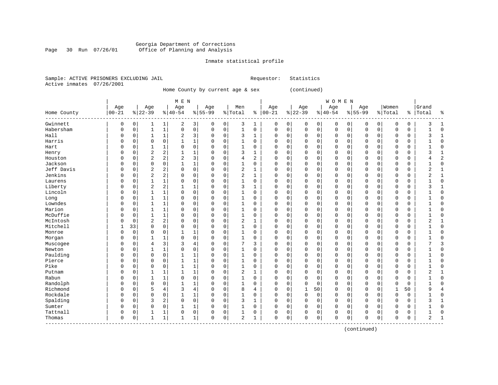#### Georgia Department of Corrections Page 30 Run 07/26/01 Office of Planning and Analysis

#### Inmate statistical profile

|  | Sample: ACTIVE PRISONERS EXCLUDING JAIL | Requestor: Statistics |  |
|--|-----------------------------------------|-----------------------|--|
|  | Active inmates 07/26/2001               |                       |  |

Home County by current age & sex (continued)

| M E N | W O M E N | Age | Age | Age | Age | Men | Age | Age | Age | Age |Women |Grand Home County |00-21 %|22-39 %|40-54 %|55-99 %|Total % |00-21 %|22-39 %|40-54 %|55-99 %|Total % |Total % ------------------------------------------------------------------------------------------------------------------------------------Gwinnett | 0 0| 1 1| 2 3| 0 0| 3 1 | 0 0| 0 0| 0 0| 0 0| 0 0 | 3 1 Habersham | 0 0| 1 1| 0 0| 0 0| 1 0 | 0 0| 0 0| 0 0| 0 0| 0 0 | 1 0 Hall | 0 0| 1 1| 2 3| 0 0| 3 1 | 0 0| 0 0| 0 0| 0 0| 0 0 | 3 1 Harris | 0 0| 0 0| 1 1| 0 0| 1 0 | 0 0| 0 0| 0 0| 0 0| 0 0 | 1 0 Hart | 0 0| 1 1| 0 0| 0 0| 1 0 | 0 0| 0 0| 0 0| 0 0| 0 0 | 1 0 Henry | 0 0| 2 2| 1 1| 0 0| 3 1 | 0 0| 0 0| 0 0| 0 0| 0 0 | 3 1 Houston | 0 0| 2 2| 2 3| 0 0| 4 2 | 0 0| 0 0| 0 0| 0 0| 0 0 | 4 2 Jackson | 0 0| 0 0| 1 1| 0 0| 1 0 | 0 0| 0 0| 0 0| 0 0| 0 0 | 1 0 Jeff Davis | 0 0| 2 2| 0 0| 0 0| 2 1 | 0 0| 0 0| 0 0| 0 0| 0 0 | 2 1 Jenkins | 0 0| 2 2| 0 0| 0 0| 2 1 | 0 0| 0 0| 0 0| 0 0| 0 0 | 2 1 Laurens | 0 0| 1 1| 0 0| 0 0| 1 0 | 0 0| 0 0| 0 0| 0 0| 0 0 | 1 0 Liberty | 0 0| 2 2| 1 1| 0 0| 3 1 | 0 0| 0 0| 0 0| 0 0| 0 0 | 3 1 Lincoln | 0 0| 1 1| 0 0| 0 0| 1 0 | 0 0| 0 0| 0 0| 0 0| 0 0 | 1 0 Long | 0 0| 1 1| 0 0| 0 0| 1 0 | 0 0| 0 0| 0 0| 0 0| 0 0 | 1 0 Lowndes | 0 0| 1 1| 0 0| 0 0| 1 0 | 0 0| 0 0| 0 0| 0 0| 0 0 | 1 0 Marion | 0 0| 1 1| 0 0| 0 0| 1 0 | 0 0| 0 0| 0 0| 0 0| 0 0 | 1 0 McDuffie | 0 0| 1 1| 0 0| 0 0| 1 0 | 0 0| 0 0| 0 0| 0 0| 0 0 | 1 0 McIntosh | 0 0| 2 2| 0 0| 0 0| 2 1 | 0 0| 0 0| 0 0| 0 0| 0 0 | 2 1 Mitchell | 1 33| 0 0| 0 0| 0 0| 1 0 | 0 0| 0 0| 0 0| 0 0| 0 0 | 1 0 Monroe | 0 0| 0 0| 1 1| 0 0| 1 0 | 0 0| 0 0| 0 0| 0 0| 0 0 | 1 0 Morgan | 0 0| 1 1| 0 0| 0 0| 1 0 | 0 0| 0 0| 0 0| 0 0| 0 0 | 1 0 Muscogee | 0 0| 4 3| 3 4| 0 0| 7 3 | 0 0| 0 0| 0 0| 0 0| 0 0 | 7 3 Newton | 0 0| 1 1| 0 0| 0 0| 1 0 | 0 0| 0 0| 0 0| 0 0| 0 0 | 1 0 Paulding | 0 0| 0 0| 1 1| 0 0| 1 0 | 0 0| 0 0| 0 0| 0 0| 0 0 | 1 0 Pierce | 0 0| 0 0| 1 1| 0 0| 1 0 | 0 0| 0 0| 0 0| 0 0| 0 0 | 1 0 Pike | 0 0| 0 0| 1 1| 0 0| 1 0 | 0 0| 0 0| 0 0| 0 0| 0 0 | 1 0 Putnam | 0 0| 1 1| 1 1| 0 0| 2 1 | 0 0| 0 0| 0 0| 0 0| 0 0 | 2 1 Rabun | 0 0| 1 1| 0 0| 0 0| 1 0 | 0 0| 0 0| 0 0| 0 0| 0 0 | 1 0 Randolph | 0 0| 0 0| 1 1| 0 0| 1 0 | 0 0| 0 0| 0 0| 0 0| 0 0 | 1 0 Richmond | 0 0| 5 4| 3 4| 0 0| 8 4 | 0 0| 1 50| 0 0| 0 0| 1 50 | 9 4 Rockdale | 0 0| 0 0| 1 1| 0 0| 1 0 | 0 0| 0 0| 0 0| 0 0| 0 0 | 1 0 Spalding | 0 0| 3 2| 0 0| 0 0| 3 1 | 0 0| 0 0| 0 0| 0 0| 0 0 | 3 1 Sumter | 0 0| 0 0| 1 1| 0 0| 1 0 | 0 0| 0 0| 0 0| 0 0| 0 0 | 1 0 Tattnall | 0 0| 1 1| 0 0| 0 0| 1 0 | 0 0| 0 0| 0 0| 0 0| 0 0 | 1 0 Thomas | 0 0| 1 1| 1 1| 0 0| 2 1 | 0 0| 0 0| 0 0| 0 0| 0 0 | 2 1 ------------------------------------------------------------------------------------------------------------------------------------

(continued)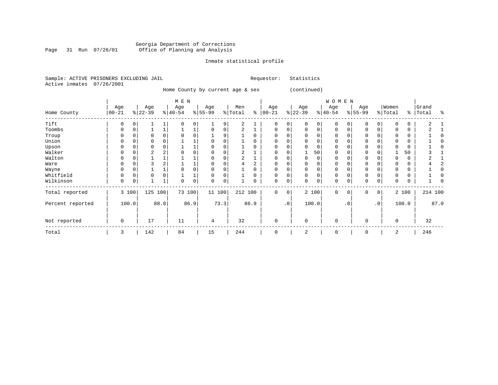#### Georgia Department of Corrections Page 31 Run 07/26/01 Office of Planning and Analysis

## Inmate statistical profile

|                           |  | Sample: ACTIVE PRISONERS EXCLUDING JAIL |  | Requestor: Statistics |  |
|---------------------------|--|-----------------------------------------|--|-----------------------|--|
| Active inmates 07/26/2001 |  |                                         |  |                       |  |

Home County by current age & sex (continued)

|                  |                  |       |                  |      | M E N            |      |                  |      |                |      |                   |           |                 |       | WOMEN           |           |                  |           |                  |       |                |         |
|------------------|------------------|-------|------------------|------|------------------|------|------------------|------|----------------|------|-------------------|-----------|-----------------|-------|-----------------|-----------|------------------|-----------|------------------|-------|----------------|---------|
| Home County      | Age<br>$00 - 21$ |       | Age<br>$ 22-39 $ |      | Age<br>$ 40-54 $ |      | Age<br>$8 55-99$ |      | Men<br>% Total | နွ   | Age<br>$ 00 - 21$ |           | Age<br>$ 22-39$ |       | Age<br>$ 40-54$ |           | Age<br>$8 55-99$ |           | Women<br>% Total | ⊱     | Grand<br>Total | ႜ       |
| Tift             | U                |       |                  |      |                  | 0    |                  | 9    | 2              |      | 0                 | 0         |                 |       |                 |           | U                |           |                  | 0     | $\mathfrak{D}$ |         |
| Toombs           | U                |       |                  |      |                  |      |                  |      |                |      | $\Omega$          | 0         |                 |       | O               |           | $\Omega$         |           |                  | 0     |                |         |
| Troup            | O                |       |                  |      |                  |      |                  | 9    |                |      | $\Omega$          |           |                 |       |                 |           | O                |           |                  | 0     |                |         |
| Union            | 0                |       | 0                |      |                  |      |                  |      |                |      | $\Omega$          |           |                 |       |                 |           | 0                |           |                  | 0     |                |         |
| Upson            |                  |       | O                |      |                  |      |                  |      |                |      | $\Omega$          |           |                 |       |                 |           | $\Omega$         |           |                  | 0     |                |         |
| Walker           | 0                | 0     | 2                |      |                  |      |                  |      | 2              |      | $\Omega$          | U         |                 | 50    | 0               |           | $\Omega$         |           |                  | 50    |                |         |
| Walton           |                  |       |                  |      |                  |      |                  |      | 2              |      | O                 | U         |                 |       |                 |           | $\Omega$         |           | O                | 0     |                |         |
| Ware             | O                |       |                  |      |                  |      |                  |      | 4              |      | $\Omega$          | U         |                 |       |                 |           |                  |           |                  | 0     |                |         |
| Wayne            | O                |       |                  |      |                  |      |                  |      |                |      | <sup>0</sup>      |           |                 |       |                 |           | $\Omega$         |           |                  | 0     |                |         |
| Whitfield        | U                | 0     | $\Omega$         |      |                  |      |                  |      |                | O    | $\Omega$          | 0         |                 |       | 0               |           | $\Omega$         |           |                  | 0     |                |         |
| Wilkinson        | 0                | 0     |                  |      |                  | 0    | $\Omega$         | 0    |                | 0    | 0                 | 0         | $\Omega$        | 0     | 0               |           | 0                | 0         | 0                | 0     |                |         |
| Total reported   |                  | 3 100 | 125              | 100  | 73 100           |      | 11 100           |      | 212 100        |      | $\mathbf{0}$      | 0         |                 | 2 100 | 0               | 0         | 0                | 0         |                  | 2 100 |                | 214 100 |
| Percent reported |                  | 100.0 |                  | 88.0 |                  | 86.9 |                  | 73.3 |                | 86.9 |                   | $\cdot$ 0 |                 | 100.0 |                 | $\cdot$ 0 |                  | $\cdot$ 0 |                  | 100.0 |                | 87.0    |
| Not reported     | $\mathbf 0$      |       | 17               |      | 11               |      | 4                |      | 32             |      | $\Omega$          |           | $\Omega$        |       | $\mathbf 0$     |           | $\Omega$         |           | 0                |       | 32             |         |
| Total            | 3                |       | 142              |      | 84               |      | 15               |      | 244            |      | 0                 |           | 2               |       | 0               |           | 0                |           | 2                |       | 246            |         |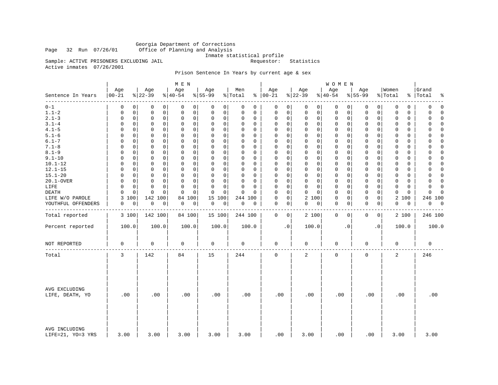Georgia Department of Corrections Office of Planning and Analysis

Inmate statistical profile<br>Requestor: Statistics

Active inmates 07/26/2001

Sample: ACTIVE PRISONERS EXCLUDING JAIL

### Prison Sentence In Years by current age & sex

|                                    |                         |                            | M E N                        |                  |                         |                      |                                    | WOMEN            |                             |                            |                           |
|------------------------------------|-------------------------|----------------------------|------------------------------|------------------|-------------------------|----------------------|------------------------------------|------------------|-----------------------------|----------------------------|---------------------------|
| Sentence In Years                  | Age<br>$ 00 - 21$       | Age<br>$ 22-39 $           | Age<br>$\frac{1}{6}$   40-54 | Age<br>$8 55-99$ | Men<br>% Total          | Age<br>$8   00 - 21$ | Age<br>$ 22-39$                    | Age<br>$ 40-54$  | Age<br>$8 55-99$            | Women<br>% Total           | Grand<br>%   Total<br>್ಠಿ |
| ------<br>$0 - 1$                  | 0<br>0                  | 0<br>0                     | 0<br>0                       | 0<br>0           | 0<br>$\mathbf 0$        | 0                    | 0<br>$\mathbf 0$<br>$\overline{0}$ | 0<br>0           | 0<br>0                      | 0<br>0                     | $\mathbf 0$<br>0          |
| $1.1 - 2$                          | $\mathbf 0$             | 0                          | $\mathbf 0$                  | 0                | $\Omega$                | 0                    | $\mathsf{O}$                       | 0                | $\mathsf{O}$                | $\mathbf 0$                | 0                         |
|                                    | 0                       | 0                          | 0                            | 0                | $\Omega$                | 0                    | $\mathbf{0}$                       | 0                | $\mathbf 0$                 | $\Omega$                   | $\Omega$                  |
| $2.1 - 3$                          | $\mathbf 0$             | $\mathbf 0$                | $\mathbf 0$                  | 0                | $\Omega$                | $\mathbf 0$          | $\mathbf 0$                        | 0                | $\mathbf 0$                 | $\mathbf 0$                | 0                         |
|                                    | $\mathbf 0$             | 0                          | 0                            | $\mathbf 0$      | $\mathbf 0$             | 0                    | $\mathbf 0$                        | 0                | $\mathbf 0$                 | $\mathbf 0$                | $\mathbf 0$               |
| $3.1 - 4$                          | $\mathbf 0$             | $\mathbf 0$                | $\mathbf 0$                  | 0                | $\Omega$                | 0                    | $\mathbf 0$                        | 0                | $\mathbf 0$                 | 0                          | $\mathbf 0$               |
|                                    | 0                       | 0                          | $\mathbf 0$                  | $\mathbf 0$      | 0                       | 0                    | $\mathbf 0$                        | 0                | 0                           | 0                          | 0                         |
| $4.1 - 5$                          | $\Omega$                | $\mathbf 0$                | $\mathbf 0$                  | 0                | $\Omega$                | 0                    | $\mathbf 0$                        | $\mathbf 0$      | $\mathbf 0$                 | $\Omega$                   | $\Omega$                  |
|                                    | 0                       | 0                          | $\mathbf 0$                  | $\Omega$         | $\Omega$                | 0                    | $\mathbf 0$                        | 0                | $\mathbf 0$                 | 0                          | $\Omega$                  |
| $5.1 - 6$                          | $\Omega$<br>0           | $\mathbf 0$<br>0           | $\mathbf 0$<br>$\mathbf 0$   | 0<br>0           | $\Omega$<br>0           | 0                    | 0<br>$\mathbf 0$<br>$\mathbf 0$    | $\mathbf 0$<br>0 | $\mathbf 0$<br>$\mathbf{0}$ | 0<br>0                     | 0<br>0                    |
| $6.1 - 7$                          | $\mathbf 0$             | $\mathbf 0$                | $\mathbf 0$                  | 0                | $\Omega$                | 0                    | $\Omega$                           | 0                | $\mathbf 0$                 | 0                          | $\Omega$                  |
|                                    | $\Omega$                | 0                          | 0                            | $\mathbf 0$      | $\Omega$                | 0                    | $\Omega$                           | 0                | $\mathbf{0}$                | $\Omega$                   | 0                         |
| $7.1 - 8$                          | $\mathbf 0$             | $\mathbf 0$                | $\mathsf 0$                  | $\mathbf 0$      | $\Omega$                | 0                    | $\mathsf{O}$                       | 0                | $\mathbf 0$                 | 0                          | 0                         |
|                                    | $\mathbf 0$             | 0                          | $\mathbf 0$                  | $\mathbf 0$      | $\Omega$                | $\mathbf 0$          | $\mathbf 0$                        | 0                | $\mathbf 0$                 | $\mathbf 0$                | $\Omega$                  |
| $8.1 - 9$                          | $\Omega$                | $\mathbf 0$                | $\mathbf 0$                  | 0                | $\Omega$                | $\Omega$             | $\mathbf 0$                        | 0                | $\mathbf 0$                 | $\Omega$                   | 0                         |
|                                    | 0                       | 0                          | 0                            | 0                | $\Omega$                | 0                    | 0                                  | 0                | $\mathbf{0}$                | $\Omega$                   | 0                         |
| $9.1 - 10$                         | 0                       | 0                          | $\mathbf 0$                  | $\Omega$         | $\Omega$                | $\mathbf 0$          | $\mathbf{0}$                       | $\mathbf 0$      | $\mathbf 0$                 | $\mathbf 0$                | $\Omega$                  |
|                                    | 0                       | 0                          | $\mathbf 0$                  | $\mathbf 0$      | 0                       | 0                    | $\mathbf 0$                        | 0                | $\mathbf 0$                 | $\mathbf 0$                | 0                         |
| $10.1 - 12$                        | $\Omega$                | $\Omega$                   | $\mathbf 0$                  | $\Omega$         | $\Omega$                | 0                    | $\mathbf{0}$                       | $\mathbf 0$      | $\Omega$                    | $\Omega$                   | $\Omega$                  |
|                                    | 0                       | 0                          | 0                            | $\mathbf 0$      | $\Omega$                | $\Omega$             | $\mathbf 0$                        | 0                | $\mathbf 0$                 | 0                          | $\Omega$                  |
| $12.1 - 15$                        | $\Omega$                | $\mathbf 0$                | 0                            | 0                | $\Omega$                | $\mathbf 0$          | $\mathbf 0$                        | $\mathbf 0$      | $\mathbf 0$                 | $\mathbf 0$                | $\mathbf 0$               |
|                                    | 0                       | 0                          | $\mathbf 0$                  | 0                | 0                       | 0                    | 0                                  | 0                | $\mathbf 0$                 | 0                          | 0                         |
| $15.1 - 20$                        | $\Omega$                | $\mathbf 0$                | $\Omega$                     | $\Omega$         | $\Omega$                | $\Omega$             | $\mathbf 0$                        | 0                | $\mathbf 0$                 | 0                          | $\Omega$                  |
|                                    | $\Omega$                | 0                          | 0                            | $\mathbf 0$      | $\Omega$                | 0                    | $\Omega$                           | 0                | $\mathbf{0}$                | $\Omega$                   | 0                         |
| 20.1-OVER                          | $\Omega$                | $\mathbf 0$                | $\mathbf 0$                  | 0                | $\Omega$                | 0                    | $\mathbf 0$                        | $\mathsf 0$      | $\mathbf 0$                 | $\mathbf 0$                | $\Omega$                  |
|                                    | $\mathbf 0$             | $\mathbf 0$                | $\mathbf 0$                  | $\mathbf 0$      | $\Omega$                | $\mathbf 0$          | $\mathbf 0$                        | 0                | $\mathbf 0$                 | $\Omega$                   | 0                         |
| LIFE                               | $\Omega$                | $\Omega$                   | $\Omega$                     | 0                | $\Omega$                | 0                    | $\Omega$                           | $\mathbf 0$      | $\mathbf{0}$                | $\Omega$                   | $\Omega$                  |
|                                    | $\Omega$                | 0                          | $\Omega$                     | $\mathbf 0$      | $\Omega$                | $\Omega$             | $\Omega$                           | 0                | $\Omega$                    | $\Omega$                   | $\Omega$                  |
| DEATH                              | $\Omega$<br>$\mathbf 0$ | $\mathbf 0$<br>$\mathbf 0$ | $\mathbf 0$<br>$\Omega$      | 0<br>$\mathbf 0$ | $\mathbf 0$<br>$\Omega$ | $\Omega$             | 0<br>$\Omega$<br>$\Omega$          | $\mathbf 0$<br>0 | $\mathbf 0$<br>$\mathbf 0$  | $\mathbf 0$<br>$\mathbf 0$ | 0<br>$\Omega$             |
| LIFE W/O PAROLE                    | 3<br>100                | 142 100                    | 100<br>84                    | 15<br>100        | 244 100                 | $\mathbf 0$          | 0<br>2 100                         | $\mathbf 0$<br>0 | $\mathbf{0}$<br>$\mathbf 0$ | 2<br>100                   | 246 100                   |
| YOUTHFUL OFFENDERS                 | 0<br>0                  | 0<br>0                     | 0<br>0                       | 0<br>0           | 0<br>0                  | 0                    | $\overline{0}$<br>0<br> 0          | 0<br>0           | 0<br>0                      | 0<br>0                     | 0<br>0                    |
| Total reported                     | 3 100                   | 142 100                    | 84 100                       | 15 100           | 244 100                 | $\mathbf 0$          | $\overline{0}$<br>2 100            | $\mathbf 0$<br>0 | $\mathbf 0$<br>0            | 2 100                      | 246 100                   |
| Percent reported                   | 100.0                   | 100.0                      | 100.0                        | 100.0            | 100.0                   | $\cdot$ 0            | 100.0                              | $\cdot$ 0        | $\cdot$ 0                   | 100.0                      | 100.0                     |
| NOT REPORTED                       | 0                       | 0                          | 0                            | $\mathbf 0$      | 0                       | 0                    | 0                                  | 0                | 0                           | 0                          | 0                         |
| Total                              | 3                       | 142                        | 84                           | 15               | 244                     | $\mathbf 0$          | 2                                  | $\mathbf 0$      | $\mathbf 0$                 | $\overline{a}$             | 246                       |
| AVG EXCLUDING<br>LIFE, DEATH, YO   | .00                     | .00                        | .00                          | .00              | .00                     | .00                  | .00                                | .00              | .00                         | .00                        | .00                       |
| AVG INCLUDING<br>LIFE=21, YO=3 YRS | 3.00                    | 3.00                       | 3.00                         | 3.00             | 3.00                    | .00                  | 3.00                               | .00              | .00                         | 3.00                       | 3.00                      |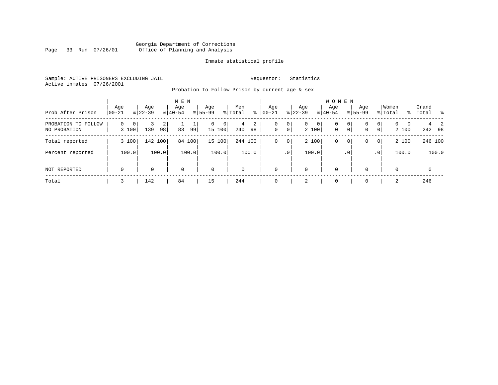#### Georgia Department of Corrections Page 33 Run 07/26/01 Office of Planning and Analysis

#### Inmate statistical profile

Sample: ACTIVE PRISONERS EXCLUDING JAIL **Requestor:** Statistics Active inmates 07/26/2001

Probation To Follow Prison by current age & sex

| Prob After Prison                      | Age<br>$ 00-21$        | Age<br>$ 22-39 $ | M E N<br>Age<br>$8 40-54$ | Aqe<br>$8 55-99$              | Men<br>% Total<br>∻ | Age<br>$ 00 - 21 $ | Aqe<br>$ 22-39 $                | <b>WOMEN</b><br>Aqe<br>$ 40-54$      | Age<br>$8155 - 99$                                    | Women<br>% Total                                         | Grand<br>%   Total<br>- 왕 |
|----------------------------------------|------------------------|------------------|---------------------------|-------------------------------|---------------------|--------------------|---------------------------------|--------------------------------------|-------------------------------------------------------|----------------------------------------------------------|---------------------------|
| PROBATION TO<br>FOLLOW<br>NO PROBATION | $\Omega$<br>0<br>3 100 | 2<br>139<br>98   | 83<br>99                  | 0<br>$\overline{0}$<br>15 100 | 2<br>4<br>98<br>240 | 0<br>$\mathbf 0$   | $\circ$<br>$\overline{0}$<br> 0 | $\circ$<br>0<br>2 100<br>$\mathbf 0$ | 0 <sup>1</sup><br>0<br>0 <sup>1</sup><br>$\mathbf{0}$ | $\mathbf{0}$<br>0<br>$\Omega$<br>0 <sup>1</sup><br>2 100 | 242 98                    |
| Total reported                         | 3 100                  | 142 100          | 84<br>100                 | 15 100                        | 244 100             | 0                  | $\overline{0}$                  | 2 100<br>0                           | 0 <sup>1</sup><br>0                                   | 2 100<br> 0                                              | 246 100                   |
| Percent reported                       | 100.0                  | 100.0            | 100.0                     | 100.0                         | 100.0               |                    | .0 <sup>1</sup>                 | 100.0                                | .0 <sup>1</sup>                                       | 100.0<br>$\cdot$ 0                                       | 100.0                     |
| NOT REPORTED                           | $\mathbf 0$            | $\Omega$         | $\mathbf 0$               | $\mathbf 0$                   | $\Omega$            | $\Omega$           | 0                               | $\mathbf 0$                          | $\Omega$                                              | 0                                                        | $\mathbf{0}$              |
| Total                                  |                        | 142              | 84                        | 15                            | 244                 |                    | 2                               | $\Omega$                             |                                                       | 2                                                        | 246                       |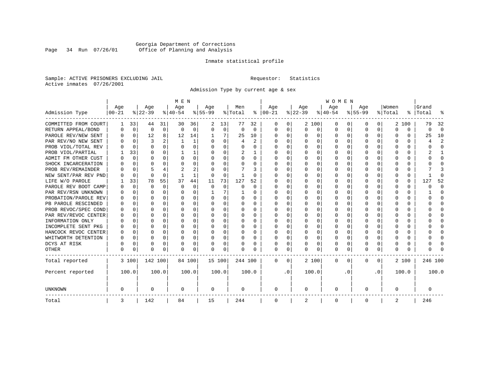### Georgia Department of Corrections Page 34 Run 07/26/01 Office of Planning and Analysis

#### Inmate statistical profile

Sample: ACTIVE PRISONERS EXCLUDING JAIL **Requestor:** Statistics Active inmates 07/26/2001

Admission Type by current age & sex

|                      |           |             |           |              | M E N     |          |           |          |          |              |          |           |          |          | <b>WOMEN</b> |          |              |              |         |          |         |                         |
|----------------------|-----------|-------------|-----------|--------------|-----------|----------|-----------|----------|----------|--------------|----------|-----------|----------|----------|--------------|----------|--------------|--------------|---------|----------|---------|-------------------------|
|                      | Age       |             | Age       |              | Age       |          | Aqe       |          | Men      |              | Age      |           | Age      |          | Age          |          | Aqe          |              | Women   |          | Grand   |                         |
| Admission Type       | $00 - 21$ |             | $ 22-39 $ |              | $ 40-54 $ |          | $8 55-99$ |          | % Total  | ႜ            | $ 00-21$ |           | $ 22-39$ |          | $ 40-54$     |          | $8 55-99$    |              | % Total | ွေ       | Total   | ू                       |
| COMMITTED FROM COURT | 1         | 33          | 44        | 31           | 30        | 36       | 2         | 13       | 77       | 32           | 0        | 0         |          | 2 100    | 0            | U        | 0            | 0            |         | 2 100    | 79      | 32                      |
| RETURN APPEAL/BOND   | 0         | $\mathbf 0$ | $\Omega$  | $\mathbf 0$  | $\Omega$  | 0        | $\Omega$  | 0        | $\Omega$ | $\Omega$     | 0        | 0         | $\Omega$ | 0        | 0            | $\Omega$ | <sup>0</sup> | $\Omega$     | O       | 0        | 0       | $\Omega$                |
| PAROLE REV/NEW SENT  | O         | $\Omega$    | 12        | 8            | 12        | 14       |           |          | 25       | 10           | $\Omega$ | 0         | ∩        | $\Omega$ | 0            | $\Omega$ | $\cap$       | 0            | U       | U        | 25      | 10                      |
| PAR REV/NO NEW SENT  | U         | $\Omega$    | 3         |              | -1        | 1        |           | $\Omega$ | 4        | $\mathbf{2}$ | $\Omega$ | 0         | ∩        | $\Omega$ | O            | C        | ∩            | <sup>n</sup> | U       | O        |         | $\overline{\mathbf{c}}$ |
| PROB VIOL/TOTAL REV  |           | $\Omega$    | $\Omega$  | $\Omega$     | $\Omega$  | 0        |           | $\Omega$ | $\Omega$ | O            | n        | O         | $\Omega$ | $\Omega$ | 0            | C        | <sup>0</sup> | <sup>n</sup> | O       | O        |         | <sup>0</sup>            |
| PROB VIOL/PARTIAL    |           | 33          | O         | 0            |           | 1        |           | $\Omega$ | 2        |              | O        | 0         | O        | $\Omega$ | O            | C        |              |              |         | U        |         |                         |
| ADMIT FM OTHER CUST  | O         | $\Omega$    | O         | 0            | O         | 0        | O         | $\Omega$ | O        | 0            | $\Omega$ | 0         | O        | $\Omega$ | O            | O        | O            | 0            | O       | U        |         | <sup>0</sup>            |
| SHOCK INCARCERATION  |           | 0           | U         | 0            | O         | 0        | ∩         | $\Omega$ | O        | U            | $\Omega$ | 0         | O        | $\Omega$ | 0            | C        | <sup>0</sup> | 0            | U       | 0        |         | ∩                       |
| PROB REV/REMAINDER   |           | $\mathbf 0$ |           |              | 2         | 2        |           | $\Omega$ |          | 3            | $\Omega$ | 0         | $\Omega$ | $\Omega$ | 0            | $\Omega$ | ∩            | $\Omega$     | U       | 0        |         |                         |
| NEW SENT/PAR REV PND |           | $\Omega$    | $\Omega$  | $\Omega$     |           | 1        | $\Omega$  | $\Omega$ |          | U            | $\Omega$ | 0         | $\Omega$ | $\Omega$ | 0            | C        | <sup>0</sup> | 0            |         | $\Omega$ |         | ſ                       |
| LIFE W/O PAROLE      |           | 33          | 78        | 55           | 37        | 44       | 11        | 73       | 127      | 52           |          | O         |          | $\Omega$ | 0            | O        |              | $\Omega$     | O       | $\Omega$ | 127     | 52                      |
| PAROLE REV BOOT CAMP |           | $\Omega$    | $\Omega$  | $\Omega$     | $\Omega$  | $\Omega$ | $\Omega$  | $\Omega$ | 0        | $\Omega$     | 0        | O         |          | $\Omega$ | 0            | $\Omega$ |              |              |         | $\Omega$ | Ω       | $\Omega$                |
| PAR REV/RSN UNKNOWN  |           | $\Omega$    | O         | $\Omega$     | O         | 0        |           | 7        |          | 0            | 0        | O         |          | $\Omega$ | 0            | $\Omega$ |              | 0            | O       | 0        |         | <sup>0</sup>            |
| PROBATION/PAROLE REV |           | $\Omega$    | U         | $\Omega$     | O         | 0        |           | $\Omega$ | 0        | 0            | O        | 0         | O        | $\Omega$ | 0            | $\Omega$ |              | <sup>n</sup> | O       | 0        | U       | ∩                       |
| PB PAROLE RESCINDED  |           | $\Omega$    | U         | $\Omega$     | O         | 0        |           | $\Omega$ | 0        | 0            | n        | 0         | O        | $\Omega$ | 0            | O        | n            | 0            | U       | U        |         | n                       |
| PROB REVOC/SPEC COND | n         | 0           | U         | <sup>n</sup> | n         | U        |           | ∩        | 0        | U            | $\Omega$ | U         | ∩        | ∩        | U            | C        | ∩            | <sup>n</sup> |         | 0        |         | ∩                       |
| PAR REV/REVOC CENTER | O         | 0           | U         | 0            | n         | 0        |           | $\Omega$ | 0        | O            | $\Omega$ | U         | $\Omega$ | $\Omega$ | U            | C        | ∩            | <sup>n</sup> | Λ       | 0        |         | ∩                       |
| INFORMATION ONLY     |           | $\mathbf 0$ | U         | $\Omega$     | O         | 0        |           | $\Omega$ | 0        |              | n        | O         | O        | $\Omega$ | 0            | C        |              | 0            |         | 0        |         | ∩                       |
| INCOMPLETE SENT PKG  | O         | 0           | U         | $\Omega$     | O         | 0        |           | $\Omega$ | 0        | O            | $\Omega$ | O         | O        | $\Omega$ | 0            | O        |              | 0            |         | 0        |         | <sup>0</sup>            |
| HANCOCK REVOC CENTER | 0         | 0           | U         | $\Omega$     | O         | 0        |           | $\Omega$ | 0        | 0            | $\Omega$ | 0         | O        | $\Omega$ | 0            | 0        | O            | 0            | O       | 0        |         | ∩                       |
| WHITWORTH DETENTION  | O         | $\Omega$    | U         | $\Omega$     | O         | 0        | ∩         | $\Omega$ | 0        | 0            | $\Omega$ | 0         | O        | $\Omega$ | 0            | $\Omega$ | ∩            | $\Omega$     | U       | 0        |         | ∩                       |
| DCYS AT RISK         | O         | 0           | O         | $\Omega$     | O         | 0        |           | $\Omega$ | O        | O            | $\Omega$ | 0         | $\Omega$ | $\Omega$ | O            | $\Omega$ | <sup>0</sup> | 0            | Ω       | 0        |         | ſ                       |
| <b>OTHER</b>         | 0         | 0           | $\Omega$  | 0            | O         | 0        | $\Omega$  | 0        | N        | O            | $\Omega$ | 0         | $\Omega$ | 0        | 0            | 0        | $\Omega$     | 0            | U       | U        |         |                         |
| Total reported       |           | 3 100       | 142 100   |              | 84 100    |          | 15 100    |          | 244 100  |              | 0        | 0         |          | 2 100    | 0            | $\Omega$ | $\Omega$     | 0            |         | 2 100    | 246 100 |                         |
| Percent reported     |           | 100.0       |           | 100.0        |           | 100.0    |           | 100.0    |          | 100.0        |          | $\cdot$ 0 |          | 100.0    |              | . 0      |              | $\cdot$ 0    |         | 100.0    |         | 100.0                   |
| <b>UNKNOWN</b>       | 0         |             | 0         |              | 0         |          | 0         |          | 0        |              | 0        |           | 0        |          | 0            |          | 0            |              | O       |          | 0       |                         |
| Total                | 3         |             | 142       |              | 84        |          | 15        |          | 244      |              | 0        |           | 2        |          | 0            |          | 0            |              | 2       |          | 246     |                         |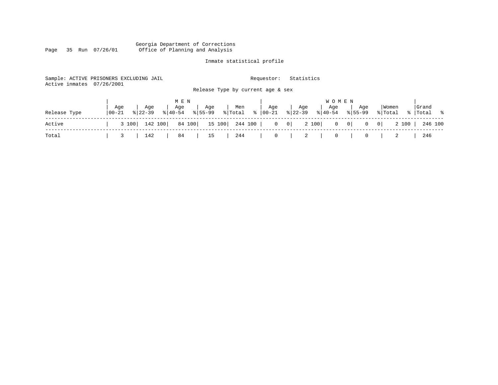#### Georgia Department of Corrections Page 35 Run 07/26/01 Office of Planning and Analysis

# Inmate statistical profile

|                           | Sample: ACTIVE PRISONERS EXCLUDING JAIL |                                   | Statistics<br>Requestor:                                      |                                                  |                  |
|---------------------------|-----------------------------------------|-----------------------------------|---------------------------------------------------------------|--------------------------------------------------|------------------|
| Active inmates 07/26/2001 |                                         | Release Type by current age & sex |                                                               |                                                  |                  |
|                           |                                         |                                   |                                                               |                                                  |                  |
|                           |                                         | M E N                             |                                                               | <b>WOMEN</b>                                     |                  |
|                           | Aqe<br>Age<br>Age                       | Age<br>Men                        | Age<br>Age<br>Aqe                                             | Women<br>Age                                     | Grand            |
| Release Type              | $8122 - 39$<br>$ 00 - 21$<br>$ 40-54 $  | ႜၟ<br>$8155 - 99$<br>% Total      | $8 22-39$<br>$ 00-21 $<br>$\frac{1}{6}$   40-54               | $8155 - 99$<br>% Total                           | %   Total %      |
| Active                    | 142 100<br>3 100                        | 84 100<br>15 100<br>244 100       | 2 100<br>$\begin{array}{c c} 0 \end{array}$<br>$\overline{0}$ | $0 \qquad 0$<br>$\overline{0}$<br>0 <sup>1</sup> | 2 100<br>246 100 |
| Total                     | 142<br>84                               | 244<br>15                         | $\mathbf{0}$<br>2<br>0                                        | 0                                                | 246              |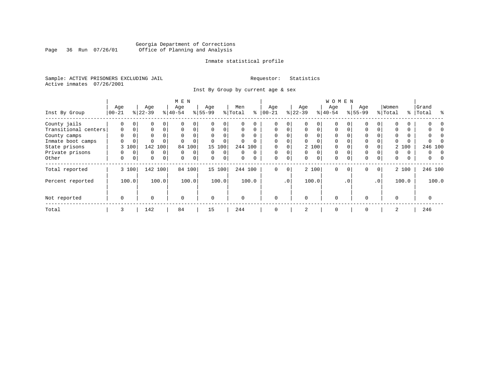### Georgia Department of Corrections Page 36 Run 07/26/01 Office of Planning and Analysis

#### Inmate statistical profile

Sample: ACTIVE PRISONERS EXCLUDING JAIL **Requestor:** Statistics Active inmates 07/26/2001

Inst By Group by current age & sex

|                      |             |             |           |          | M E N     |             |           |                |         |          |             |             |          |          | W O M E N |           |             |              |          |          |       |         |
|----------------------|-------------|-------------|-----------|----------|-----------|-------------|-----------|----------------|---------|----------|-------------|-------------|----------|----------|-----------|-----------|-------------|--------------|----------|----------|-------|---------|
|                      | Age         |             | Age       |          | Age       |             | Age       |                | Men     |          | Age         |             | Age      |          | Age       |           | Age         |              | Women    |          | Grand |         |
| Inst By Group        | $ 00-21 $   |             | $ 22-39 $ |          | $8 40-54$ |             | $8 55-99$ |                | % Total | နွ       | $ 00 - 21$  |             | $ 22-39$ |          | $8 40-54$ |           | $8155 - 99$ |              | % Total  | ွေ       | Total | ু       |
| County jails         | 0           | $\Omega$    | 0         |          |           | 0           |           | $\Omega$       |         | U        | $\Omega$    | 0           |          | 0        | $\Omega$  |           |             | 0            | $\Omega$ | 0        |       |         |
| Transitional centers | $\mathbf 0$ | $\mathbf 0$ | 0         | $\Omega$ | $\Omega$  | 0           | $\Omega$  | 0              | 0       | $\Omega$ | $\Omega$    | $\Omega$    | $\Omega$ | $\Omega$ | $\Omega$  | 0         | 0           | 0            | 0        | 0        |       |         |
| County camps         | $\Omega$    |             | 0         |          | $\Omega$  | $\Omega$    | $\Omega$  |                | 0       |          | $\Omega$    | 0           | $\Omega$ |          | $\Omega$  |           |             |              | $\Omega$ | 0        |       |         |
| Inmate boot camps    | 0           | $\mathbf 0$ | $\Omega$  |          |           | 0           |           |                | 0       |          | $\Omega$    | 0           | $\Omega$ |          | $\Omega$  |           |             |              | 0        | 0        |       |         |
| State prisons        |             | 3 100       | 142       | 100      | 84        | 100         |           | 15 100         |         | 244 100  | $\Omega$    |             |          | 2 100    | $\Omega$  |           |             |              |          | 2 100    |       | 246 100 |
| Private prisons      | 0           | $\mathbf 0$ | 0         | $\Omega$ | $\Omega$  | $\mathbf 0$ | $\Omega$  | $\Omega$       | 0       | $\Omega$ | $\Omega$    | $\Omega$    | $\Omega$ | $\Omega$ | $\Omega$  |           | 0           |              | $\Omega$ | $\Omega$ | 0     |         |
| Other                | 0           | 0           | 0         | 0        | $\Omega$  | $\mathbf 0$ | $\Omega$  | $\overline{0}$ | 0       | 0        | 0           | $\mathbf 0$ | $\Omega$ | $\Omega$ | 0         | 0         | 0           | 0            | 0        | 0        | 0     |         |
| Total reported       |             | 3 100       | 142 100   |          |           | 84 100      |           | 15 100         |         | 244 100  | $\mathbf 0$ | 0           |          | 2 100    | 0         | $\Omega$  | $\mathbf 0$ | $\mathbf{0}$ |          | 2 100    |       | 246 100 |
| Percent reported     |             | 100.0       |           | 100.0    |           | 100.0       |           | 100.0          |         | 100.0    |             | $\cdot$ 0   |          | 100.0    |           | $\cdot$ 0 |             | $\cdot$ 0    |          | 100.0    |       | 100.0   |
| Not reported         | $\mathbf 0$ |             | $\Omega$  |          | $\Omega$  |             | $\Omega$  |                | O       |          | $\Omega$    |             | $\Omega$ |          | $\Omega$  |           | $\Omega$    |              | $\Omega$ |          |       |         |
| Total                | 3           |             | 142       |          | 84        |             | 15        |                | 244     |          | 0           |             | 2        |          | 0         |           | 0           |              | 2        |          | 246   |         |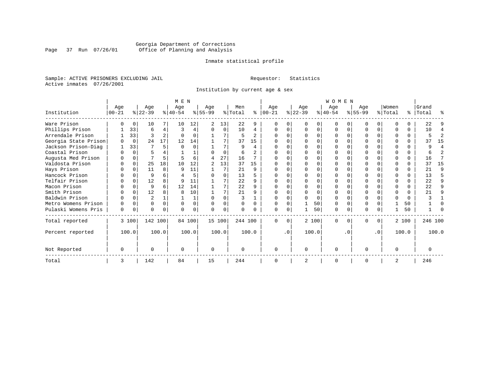### Georgia Department of Corrections Page 37 Run 07/26/01 Office of Planning and Analysis

#### Inmate statistical profile

Sample: ACTIVE PRISONERS EXCLUDING JAIL **Requestor:** Statistics Active inmates 07/26/2001

Institution by current age & sex

|                      |           |              |                |                | M E N          |             |           |          |          |                          |              |           |           |          | WOMEN     |          |           |                  |         |              |           |                |
|----------------------|-----------|--------------|----------------|----------------|----------------|-------------|-----------|----------|----------|--------------------------|--------------|-----------|-----------|----------|-----------|----------|-----------|------------------|---------|--------------|-----------|----------------|
|                      | Age       |              | Age            |                | Age            |             | Age       |          | Men      |                          | Age          |           | Age       |          | Age       |          | Age       |                  | Women   |              | Grand     |                |
| Institution          | $00 - 21$ |              | $ 22-39 $      |                | $ 40-54 $      |             | $8 55-99$ |          | % Total  | ႜ                        | $ 00-21 $    |           | $ 22-39 $ |          | $ 40-54 $ |          | $ 55-99 $ |                  | % Total |              | %   Total | ႜ              |
| Ware Prison          |           | $\Omega$     | 10             |                | 10             | 12          | 2         | 13       | 22       | 9                        |              |           |           | 0        |           |          |           | $\Omega$         |         |              | 22        |                |
| Phillips Prison      |           | 33           | 6              | 4              | $\overline{3}$ | 4           | O         | $\Omega$ | 10       | 4                        |              |           |           | 0        |           | O        |           | $\Omega$         |         | 0            | 10        | 4              |
| Arrendale Prison     |           | 33           | ς              | $\overline{a}$ | $\Omega$       |             |           | 7        | 5        | $\mathfrak{D}$           |              |           |           |          |           |          |           |                  |         |              |           | $\mathfrak{D}$ |
| Georgia State Prison |           | $\Omega$     | 24             | 17             | 12             | 14          |           |          | 37       | 15                       |              |           |           |          |           |          |           |                  |         |              | 37        | 15             |
| Jackson Prison-Diag  |           | 33           |                | 5              | $\Omega$       | U           |           | 7        | 9        | 4                        |              |           |           |          |           |          |           |                  |         |              | a         | 4              |
| Coastal Prison       | ∩         | $\Omega$     |                |                |                |             |           | $\Omega$ | 6        | $\overline{\mathcal{L}}$ |              |           |           |          |           |          |           |                  |         | C.           |           | $\mathfrak{D}$ |
| Augusta Med Prison   |           | 0            |                | 5.             |                | 6           | 4         | 27       | 16       |                          |              |           |           |          |           |          |           |                  |         | 0            | 16        |                |
| Valdosta Prison      | $\Omega$  | $\Omega$     | 25             | 18             | 10             | 12          |           | 13       | 37       | 15                       | <sup>0</sup> |           |           |          |           |          |           |                  |         |              | 37        | 15             |
| Hays Prison          |           | $\Omega$     | 11             | 8              | 9              | 11          |           | 7        | 21       | 9                        |              |           |           | U        |           |          |           | U                |         |              | 21        | 9              |
| Hancock Prison       |           |              | 9              |                |                | 5           | ∩         | O        | 13       | 5                        |              |           |           |          |           |          |           | U                |         |              | 13        | 5              |
| Telfair Prison       |           | <sup>0</sup> | 12             |                | q              | 11          |           |          | 22       | 9                        |              |           |           |          |           |          |           |                  |         |              | 22        | 9              |
| Macon Prison         |           |              | 9              |                | 12             | 14          |           |          | 22       | 9                        |              |           |           |          |           |          |           |                  |         |              | 22        | 9              |
| Smith Prison         |           | $\Omega$     | 12             |                | 8              | 10          |           | 7        | 21       | 9                        |              |           |           | O        |           |          |           | 0                |         |              | 21        | 9              |
| Baldwin Prison       |           |              | $\overline{a}$ |                |                |             | U         | U        |          |                          |              |           |           | $\Omega$ |           |          |           |                  |         | <sup>0</sup> |           |                |
| Metro Womens Prison  |           |              | O              | U              | $\Omega$       | $\mathbf 0$ | $\Omega$  | 0        | $\Omega$ | $\Omega$                 |              |           |           | 50       |           |          |           |                  |         | 50           |           |                |
| Pulaski Womens Pris  | 0         |              | 0              | 0              |                | 0           | $\Omega$  | 0        | $\Omega$ | 0                        | O            |           |           | 50       | $\Omega$  | 0        | 0         | 0                |         | 50           |           | ∩              |
| Total reported       |           | 3 100        | 142 100        |                |                | 84 100      | 15 100    |          | 244 100  |                          | $\Omega$     | $\Omega$  |           | 2 100    | $\Omega$  | $\Omega$ | U         | $\Omega$         |         | 2 100        | 246 100   |                |
| Percent reported     |           | 100.0        |                | 100.0          |                | 100.0       |           | 100.0    |          | 100.0                    |              | $\cdot$ 0 |           | 100.0    |           | . 0      |           | $\overline{0}$ . |         | 100.0        |           | 100.0          |
| Not Reported         | $\Omega$  |              | 0              |                | $\Omega$       |             | $\Omega$  |          | $\Omega$ |                          | ∩            |           | $\Omega$  |          | $\Omega$  |          | U         |                  |         |              |           |                |
| Total                | 3         |              | 142            |                | 84             |             | 15        |          | 244      |                          | ∩            |           | 2         |          | $\Omega$  |          | O         |                  | 2       |              | 246       |                |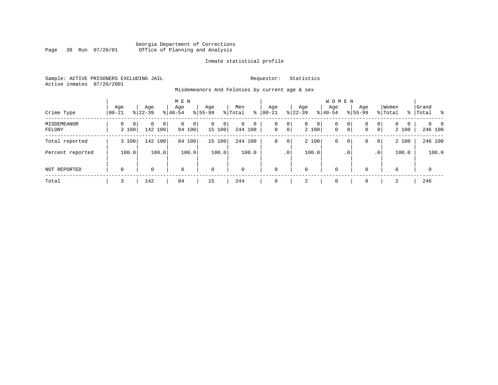#### Georgia Department of Corrections Page 38 Run 07/26/01 Office of Planning and Analysis

#### Inmate statistical profile

Sample: ACTIVE PRISONERS EXCLUDING JAIL **Requestor:** Statistics Active inmates 07/26/2001

Misdemeanors And Felonies by current age & sex

| Crime Type            | Aqe<br>$00 - 21$ | Age<br>$8122 - 39$                  | M E N<br>Age<br>$8140 - 54$        | Age<br>$8155 - 99$          | Men<br>⊱<br>% Total               | Age<br>$00 - 21$ | Age<br>$ 22-39 $                             | <b>WOMEN</b><br>Aqe<br>$8 40-54$ | Age<br>$8155 - 99$ | Women<br>% Total                                                    | Grand<br>%   Total<br>း         |
|-----------------------|------------------|-------------------------------------|------------------------------------|-----------------------------|-----------------------------------|------------------|----------------------------------------------|----------------------------------|--------------------|---------------------------------------------------------------------|---------------------------------|
| MISDEMEANOR<br>FELONY | 0<br>3 100       | $\mathbf{0}$<br>$\Omega$<br>142 100 | 0<br>$\overline{0}$<br>0<br>84 100 | $\mathbf{0}$<br>0<br>15 100 | $\mathbf 0$<br>$\circ$<br>244 100 | 0<br>$\mathbf 0$ | 0<br>$\mathbf{0}$<br>$\overline{0}$<br>2 100 | 0<br>$\mathbf 0$<br>$\mathbf{0}$ | 0<br>0<br> 0 <br>0 | $\mathbf{0}$<br>$\Omega$<br>$\mathbf{0}$<br>$\overline{0}$<br>2 100 | $\Omega$<br>$\Omega$<br>246 100 |
| Total reported        | 3 100            | 142 100                             | 84<br>100                          | 15 100                      | 244 100                           | 0                | 2 100<br>0                                   | 0                                | 0<br>0             | 2 100<br>$\overline{0}$                                             | 246 100                         |
| Percent reported      | 100.0            | 100.0                               | 100.0                              | 100.0                       | 100.0                             |                  | 100.0<br>$\cdot$ 0                           |                                  | $\cdot$ 0          | 100.0<br>.0 <sup>1</sup>                                            | 100.0                           |
| NOT REPORTED          | $\mathbf 0$      | 0                                   | $\mathbf 0$                        | $\mathbf 0$                 | $\mathbf 0$                       | $\mathbf 0$      | 0                                            | $\mathbf 0$                      | 0                  | $\mathbf 0$                                                         | $\mathbf 0$                     |
| Total                 | 3                | 142                                 | 84                                 | 15                          | 244                               | 0                | 2                                            | $\mathbf 0$                      | $\Omega$           | 2                                                                   | 246                             |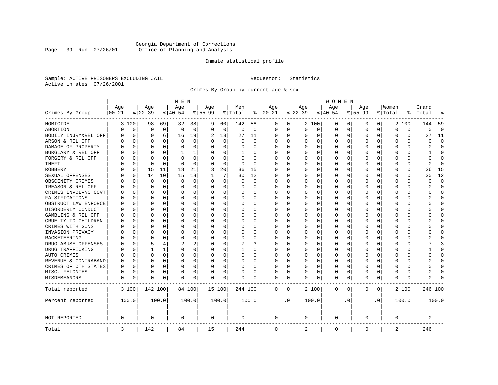### Georgia Department of Corrections Page 39 Run 07/26/01 Office of Planning and Analysis

#### Inmate statistical profile

Sample: ACTIVE PRISONERS EXCLUDING JAIL **Requestor:** Statistics Active inmates 07/26/2001

Crimes By Group by current age & sex

|                      |            |             |          |              | M E N       |          |           |             |          |          |             |           |             |          | W O M E N   |          |           |           |             |          |              |             |
|----------------------|------------|-------------|----------|--------------|-------------|----------|-----------|-------------|----------|----------|-------------|-----------|-------------|----------|-------------|----------|-----------|-----------|-------------|----------|--------------|-------------|
|                      | Age        |             | Age      |              | Age         |          | Age       |             | Men      |          | Age         |           | Age         |          | Age         |          | Age       |           | Women       |          | Grand        |             |
| Crimes By Group      | $ 00 - 21$ |             | $ 22-39$ |              | $ 40-54$    |          | $8 55-99$ |             | % Total  | ႜ        | $ 00-21$    |           | $ 22-39$    |          | $ 40-54$    |          | $8 55-99$ |           | % Total     | ႜ        | Total        | 읏           |
| HOMICIDE             |            | 3 100       | 98       | 69           | 32          | 38       | 9         | 60          | 142      | 58       | 0           | 0         |             | 2 100    | 0           | 0        | $\Omega$  | 0         |             | 2 100    | 144          | 59          |
| ABORTION             | U          | 0           | $\Omega$ | $\mathbf 0$  | $\mathbf 0$ | 0        | $\Omega$  | $\mathbf 0$ | 0        | 0        | $\mathbf 0$ | 0         | 0           | 0        | 0           | 0        | $\Omega$  | 0         | $\Omega$    | 0        | $\Omega$     | $\mathbf 0$ |
| BODILY INJRY&REL OFF | 0          | $\mathbf 0$ | 9        | 6            | 16          | 19       | 2         | 13          | 27       | 11       | 0           | 0         | 0           | 0        | 0           | 0        | $\Omega$  | 0         | O           | 0        | 27           | 11          |
| ARSON & REL OFF      | O          | $\Omega$    | $\Omega$ | 0            | $\Omega$    | $\Omega$ |           | $\Omega$    | $\Omega$ | $\Omega$ | $\Omega$    | $\Omega$  | 0           | $\Omega$ | $\Omega$    | $\Omega$ | $\Omega$  | $\Omega$  | O           | 0        | $\Omega$     | $\Omega$    |
| DAMAGE OF PROPERTY   | U          | $\Omega$    | $\Omega$ | 0            | $\Omega$    | 0        | O         | $\Omega$    | 0        | 0        | $\Omega$    | 0         | $\Omega$    | 0        | $\Omega$    | $\Omega$ | $\Omega$  | $\Omega$  | C           | 0        | O            | $\Omega$    |
| BURGLARY & REL OFF   |            | $\Omega$    | $\Omega$ | $\Omega$     | 1           | 1        |           | $\Omega$    | 1        | 0        | $\Omega$    | $\Omega$  | 0           | $\Omega$ | 0           | $\Omega$ | $\Omega$  | $\Omega$  | O           | $\Omega$ |              | $\Omega$    |
| FORGERY & REL OFF    |            | $\Omega$    | $\Omega$ | $\Omega$     | n           | 0        |           | $\Omega$    | 0        | $\Omega$ | O           | $\Omega$  | 0           | $\Omega$ | 0           | $\Omega$ | $\Omega$  | $\Omega$  | C           | 0        | 0            | $\bigcap$   |
| THEFT                |            | 0           | $\Omega$ | $\Omega$     | $\Omega$    | $\Omega$ |           | $\Omega$    | 0        | $\Omega$ | $\Omega$    | $\Omega$  | U           | O        | U           | 0        | $\Omega$  | $\Omega$  | O           | 0        | <sup>0</sup> | $\Omega$    |
| <b>ROBBERY</b>       | U          | 0           | 15       | 11           | 18          | 21       | 3         | 20          | 36       | 15       | $\Omega$    | $\Omega$  | 0           | O        | 0           | 0        | $\Omega$  | $\Omega$  | C           | 0        | 36           | 15          |
| SEXUAL OFFENSES      | U          | $\Omega$    | 14       | 10           | 15          | 18       |           | 7           | 30       | 12       | $\Omega$    | 0         | U           | O        | $\Omega$    | $\Omega$ | $\Omega$  | $\Omega$  | C           | U        | 30           | 12          |
| OBSCENITY CRIMES     | n          | $\Omega$    | $\Omega$ | 0            | $\Omega$    | 0        | $\Omega$  | 0           | 0        | 0        | $\Omega$    | 0         | U           | O        | 0           | 0        | $\Omega$  | $\Omega$  | C           | 0        | U            | $\mathbf 0$ |
| TREASON & REL OFF    |            | 0           | $\Omega$ | 0            | 0           | 0        | $\Omega$  | 0           | 0        | 0        | $\Omega$    | 0         | 0           | 0        | 0           | 0        | $\Omega$  | 0         | O           | 0        | O            | $\mathbf 0$ |
| CRIMES INVOLVNG GOVT |            | $\Omega$    | $\Omega$ | $\Omega$     | $\Omega$    | 0        |           | 0           | 0        | $\Omega$ | $\Omega$    | $\Omega$  | $\Omega$    | $\Omega$ | 0           | $\Omega$ | $\Omega$  | $\Omega$  | $\Omega$    | 0        | U            | $\Omega$    |
| FALSIFICATIONS       | O          | $\Omega$    | $\Omega$ | $\Omega$     | $\Omega$    | 0        | ∩         | 0           | 0        | 0        | $\Omega$    | 0         | 0           | $\Omega$ | 0           | 0        | $\Omega$  | $\Omega$  | O           | 0        | U            | $\mathbf 0$ |
| OBSTRUCT LAW ENFORCE | U          | $\Omega$    | $\Omega$ | 0            | 0           | 0        |           | 0           | 0        | 0        | $\Omega$    | 0         | 0           | $\Omega$ | 0           | 0        | $\Omega$  | 0         | C           | 0        |              | $\mathbf 0$ |
| DISORDERLY CONDUCT   | O          | $\Omega$    | $\Omega$ | <sup>0</sup> | n           | 0        |           | $\Omega$    | 0        | O        | $\Omega$    | $\Omega$  | U           | $\Omega$ | $\Omega$    | $\Omega$ | $\Omega$  | $\Omega$  | C           | 0        |              | $\cap$      |
| GAMBLING & REL OFF   | U          | $\Omega$    | O        | 0            | n           | 0        | $\Omega$  | $\Omega$    | 0        | 0        | $\Omega$    | $\Omega$  | U           | $\Omega$ | U           | O        | $\Omega$  | $\Omega$  | O           | 0        |              | $\Omega$    |
| CRUELTY TO CHILDREN  | 0          | 0           | $\Omega$ | $\Omega$     | $\Omega$    | 0        |           | $\mathbf 0$ | 0        | 0        | $\Omega$    | $\Omega$  | 0           | 0        | 0           | 0        | $\Omega$  | $\Omega$  | C           | 0        |              | $\Omega$    |
| CRIMES WITH GUNS     | Ω          | $\Omega$    | $\Omega$ | 0            | n           | 0        |           | $\Omega$    | 0        | $\Omega$ | $\Omega$    | $\Omega$  | U           | O        | U           | $\Omega$ | $\Omega$  | $\Omega$  | C           | $\Omega$ |              | $\Omega$    |
| INVASION PRIVACY     | U          | 0           | ∩        | 0            | n           | 0        |           | 0           | 0        | 0        | $\Omega$    | $\Omega$  | $\Omega$    | 0        | 0           | 0        | $\Omega$  | $\Omega$  | O           | 0        |              | $\Omega$    |
| RACKETEERING         |            | $\Omega$    | ∩        | <sup>0</sup> | n           | 0        |           | 0           | 0        | 0        | $\Omega$    | 0         | O           | $\Omega$ | 0           | $\Omega$ | $\Omega$  | $\Omega$  | O           | 0        |              | $\cap$      |
| DRUG ABUSE OFFENSES  | U          | $\Omega$    | 5        | 4            |             | 2        |           | $\Omega$    |          | 3        | $\Omega$    | $\Omega$  | $\Omega$    | $\Omega$ | 0           | $\Omega$ | $\Omega$  | $\Omega$  | $\Omega$    | 0        |              | 3           |
| DRUG TRAFFICKING     | Ω          | $\Omega$    | 1        | 1            | $\Omega$    | 0        | $\Omega$  | 0           | 1        | 0        | $\Omega$    | $\Omega$  | 0           | 0        | 0           | $\Omega$ | $\Omega$  | $\Omega$  | O           | 0        |              | $\Omega$    |
| AUTO CRIMES          |            | $\Omega$    | $\Omega$ | 0            | $\Omega$    | 0        |           | 0           | $\Omega$ | 0        | 0           | 0         | 0           | 0        | 0           | 0        | $\Omega$  | 0         | O           | 0        |              | $\mathbf 0$ |
| REVENUE & CONTRABAND | 0          | $\Omega$    | $\Omega$ | $\Omega$     | 0           | 0        | $\Omega$  | 0           | 0        | $\Omega$ | $\Omega$    | 0         | 0           | 0        | 0           | $\Omega$ | $\Omega$  | 0         | O           | 0        | U            | $\Omega$    |
| CRIMES OF OTH STATES | 0          | $\Omega$    | $\Omega$ | $\Omega$     | $\Omega$    | 0        | $\Omega$  | $\Omega$    | 0        | 0        | $\Omega$    | $\Omega$  | $\Omega$    | $\Omega$ | 0           | $\Omega$ | $\Omega$  | $\Omega$  | $\Omega$    | 0        | U            | $\Omega$    |
| MISC. FELONIES       | 0          | $\Omega$    | $\Omega$ | 0            | 0           | 0        |           | 0           | 0        | 0        | $\Omega$    | 0         | 0           | $\Omega$ | 0           | $\Omega$ | $\Omega$  | $\Omega$  | O           | 0        |              | $\bigcap$   |
| MISDEMEANORS         | 0          | 0           | $\Omega$ | 0            | $\Omega$    | 0        | $\Omega$  | 0           | 0        | O        | 0           | 0         | U           | 0        | $\Omega$    | 0        | $\Omega$  | 0         | C           | 0        | Λ            |             |
| Total reported       |            | 3 100       | 142 100  |              |             | 84 100   | 15 100    |             | 244 100  |          | 0           | 0         |             | 2 100    | $\mathbf 0$ | 0        | 0         | 0         |             | 2 100    | 246 100      |             |
| Percent reported     |            | 100.0       |          | 100.0        |             | 100.0    |           | 100.0       |          | 100.0    |             | $\cdot$ 0 |             | 100.0    |             | . 0      |           | $\cdot$ 0 |             | 100.0    |              | 100.0       |
| NOT REPORTED         | 0          |             | 0        |              | 0           |          | 0         |             | 0        |          | 0           |           | $\mathbf 0$ |          | $\mathbf 0$ |          | 0         |           | $\mathbf 0$ |          | 0            |             |
| Total                | 3          |             | 142      |              | 84          |          | 15        |             | 244      |          | $\mathbf 0$ |           | 2           |          | $\mathbf 0$ |          | 0         |           | 2           |          | 246          |             |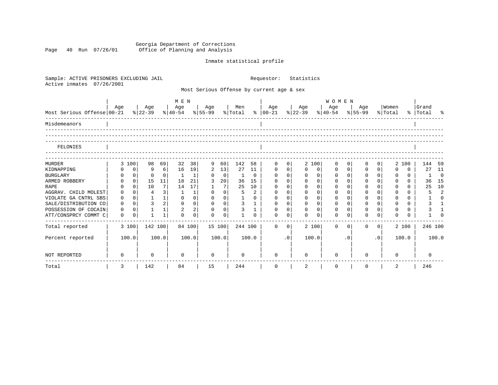Georgia Department of Corrections Page 40 Run 07/26/01 Office of Planning and Analysis

# Inmate statistical profile

| Sample: ACTIVE PRISONERS EXCLUDING JAIL<br>Active inmates<br>07/26/2001 |             |                |                |              |                                |                |              |                 |                |                | Requestor:                                |                | Statistics  |                |                              |              |                |                |                  |             |                    |                |
|-------------------------------------------------------------------------|-------------|----------------|----------------|--------------|--------------------------------|----------------|--------------|-----------------|----------------|----------------|-------------------------------------------|----------------|-------------|----------------|------------------------------|--------------|----------------|----------------|------------------|-------------|--------------------|----------------|
|                                                                         |             |                |                |              |                                |                |              |                 |                |                | Most Serious Offense by current age & sex |                |             |                |                              |              |                |                |                  |             |                    |                |
|                                                                         |             |                |                |              | M E N                          |                |              |                 |                |                |                                           |                |             |                | <b>WOMEN</b>                 |              |                |                |                  |             |                    |                |
| Most Serious Offense 00-21                                              | Aqe         |                | Age<br>% 22-39 |              | Age<br>% 40-54 % 55-99 % Total |                | Age          |                 | Men            |                | Aqe<br>%   00-21 %   22-39                |                | Age         |                | Age<br>$\frac{1}{6}$   40-54 |              | Age<br>% 55-99 |                | Women<br>% Total |             | Grand<br>% Total % |                |
| Misdemeanors                                                            |             |                |                |              |                                |                |              |                 |                |                |                                           |                |             |                |                              |              |                |                |                  |             |                    |                |
| FELONIES                                                                |             |                |                |              |                                |                |              |                 |                |                |                                           |                |             |                |                              |              |                |                |                  |             |                    |                |
| <b>MURDER</b>                                                           |             | 3 100          | 98             | 69           | 32                             | 38             | 9            | 60              | 142            | 58             | $\Omega$                                  | 0              |             | 2 100          | $\Omega$                     | $\Omega$     | $\Omega$       | $\Omega$       |                  | 2 100       | 144 59             |                |
| KIDNAPPING                                                              | 0           | $\mathsf{O}$   | 9              | 6            | 16                             | 19             | 2            | 13              | 27             | 11             | $\mathbf 0$                               | 0 <sup>1</sup> | $\Omega$    | 0              | 0                            | $\mathsf{O}$ | 0              | 0              | $\Omega$         | $\mathbf 0$ | 27                 | 11             |
| <b>BURGLARY</b>                                                         | 0           | $\overline{0}$ | $\Omega$       | $\Omega$     | 1                              | $\mathbf{1}$   | 0            | $\mathbf 0$     | 1              | $\mathbf 0$    | $\mathbf 0$                               | $\mathbf{0}$   | $\mathbf 0$ | $\overline{0}$ | $\mathbf 0$                  | $\mathbf 0$  | $\mathbf 0$    | 0 <sup>1</sup> | $\Omega$         | $\Omega$    | $1 \quad$          | $\overline{0}$ |
| ARMED ROBBERY                                                           | 0           | $\mathbf 0$    | 15             | 11           | 18                             | 21             | 3            | 20              | 36             | 15             | $\Omega$                                  | $\Omega$       | $\Omega$    | $\Omega$       | $\Omega$                     | $\Omega$     | $\mathbf 0$    | $\Omega$       | $\Omega$         | 0           | 36                 | 15             |
| <b>RAPE</b>                                                             | $\Omega$    | $\Omega$       | 10             | 7            | 14                             | 17             | $\mathbf{1}$ | $7\overline{ }$ | 25             | 10             | $\mathbf 0$                               | $\mathbf 0$    | $\Omega$    | $\Omega$       | $\mathbf 0$                  | $\Omega$     | $\mathbf 0$    | $\Omega$       | $\Omega$         | 0           | 25                 | 10             |
| AGGRAV. CHILD MOLEST                                                    | 0           | $\Omega$       | $\overline{4}$ | 3            | 1                              | $\mathbf 1$    | $\Omega$     | $\mathbf 0$     | 5              | $\overline{2}$ | $\Omega$                                  | $\Omega$       | $\Omega$    | $\Omega$       | $\Omega$                     | $\Omega$     | $\Omega$       |                | $\Omega$         | 0           | 5                  | $\overline{2}$ |
| VIOLATE GA CNTRL SBS                                                    | 0           | 0 <sup>1</sup> | $\mathbf{1}$   | 1            | $\mathbf 0$                    | $\mathbf 0$    | $\mathbf 0$  | 0 <sup>1</sup>  | $\mathbf{1}$   | $\Omega$       | $\mathbf 0$                               | $\overline{0}$ | $\mathbf 0$ | $\overline{0}$ | $\mathbf 0$                  | $\mathbf 0$  | $\mathbf 0$    | $\Omega$       | $\Omega$         | 0           |                    | $\Omega$       |
| SALE/DISTRIBUTION CO                                                    | 0           | $\Omega$       | 3              | 2            | $\mathbf 0$                    | 0 <sup>1</sup> | $\mathbf{0}$ | 0 <sup>1</sup>  | $\mathbf{3}$   | $\mathbf{1}$   | $\mathbf 0$                               | 0 <sup>1</sup> | $\mathbf 0$ | 0 <sup>1</sup> | $\mathbf{0}$                 | $\Omega$     | $\mathbf 0$    | $\Omega$       | $\Omega$         | $\Omega$    | 3                  | $\mathbf{1}$   |
| POSSESSION OF COCAIN                                                    | $\Omega$    | $\Omega$       | $\mathbf{1}$   | 1            | $\overline{2}$                 | 2              | $\Omega$     | $\Omega$        | $\overline{3}$ | $\mathbf{1}$   | $\Omega$                                  | 0 <sup>1</sup> | $\Omega$    | $\Omega$       | $\Omega$                     | $\Omega$     | $\Omega$       | $\Omega$       | $\Omega$         | $\Omega$    | 3                  |                |
| ATT/CONSPRCY COMMT C                                                    | $\mathbf 0$ | $\mathbf 0$    | $\mathbf{1}$   | $\mathbf{1}$ | $\cap$                         | $\mathbf 0$    | $\Omega$     | $\mathbf 0$     | $\mathbf{1}$   | $\Omega$       | $\cap$                                    | 0              | $\cap$      | $\Omega$       | $\Omega$                     | $\Omega$     | $\Omega$       | $\Omega$       | $\cap$           | $\Omega$    |                    | $\Omega$       |
| Total reported                                                          |             | 3 100          | 142 100        |              |                                | 84 100         | 15 100       |                 | 244 100        |                | $\Omega$                                  | $\overline{0}$ |             | 2 100          | $\Omega$                     | $\Omega$     | $\Omega$       | $\Omega$       |                  | 2 100       | 246 100            |                |
| Percent reported                                                        |             | 100.0          |                | 100.0        |                                | 100.0          |              | 100.0           |                | 100.0          |                                           | .0             |             | 100.0          |                              | $\cdot$ 0    |                | $\cdot$ 0      |                  | 100.0       |                    | 100.0          |
| NOT REPORTED                                                            | 0           |                | 0              |              | $\Omega$                       |                | $\Omega$     |                 | $\Omega$       |                | $\Omega$                                  |                | $\Omega$    |                | $\Omega$                     |              | <sup>n</sup>   |                | <sup>0</sup>     |             | $\Omega$           |                |
| Total                                                                   | 3           |                | 142            |              | 84                             |                | 15           |                 | 244            |                | 0                                         |                | 2           |                | $\mathbf 0$                  |              | 0              |                | 2                |             | 246                |                |